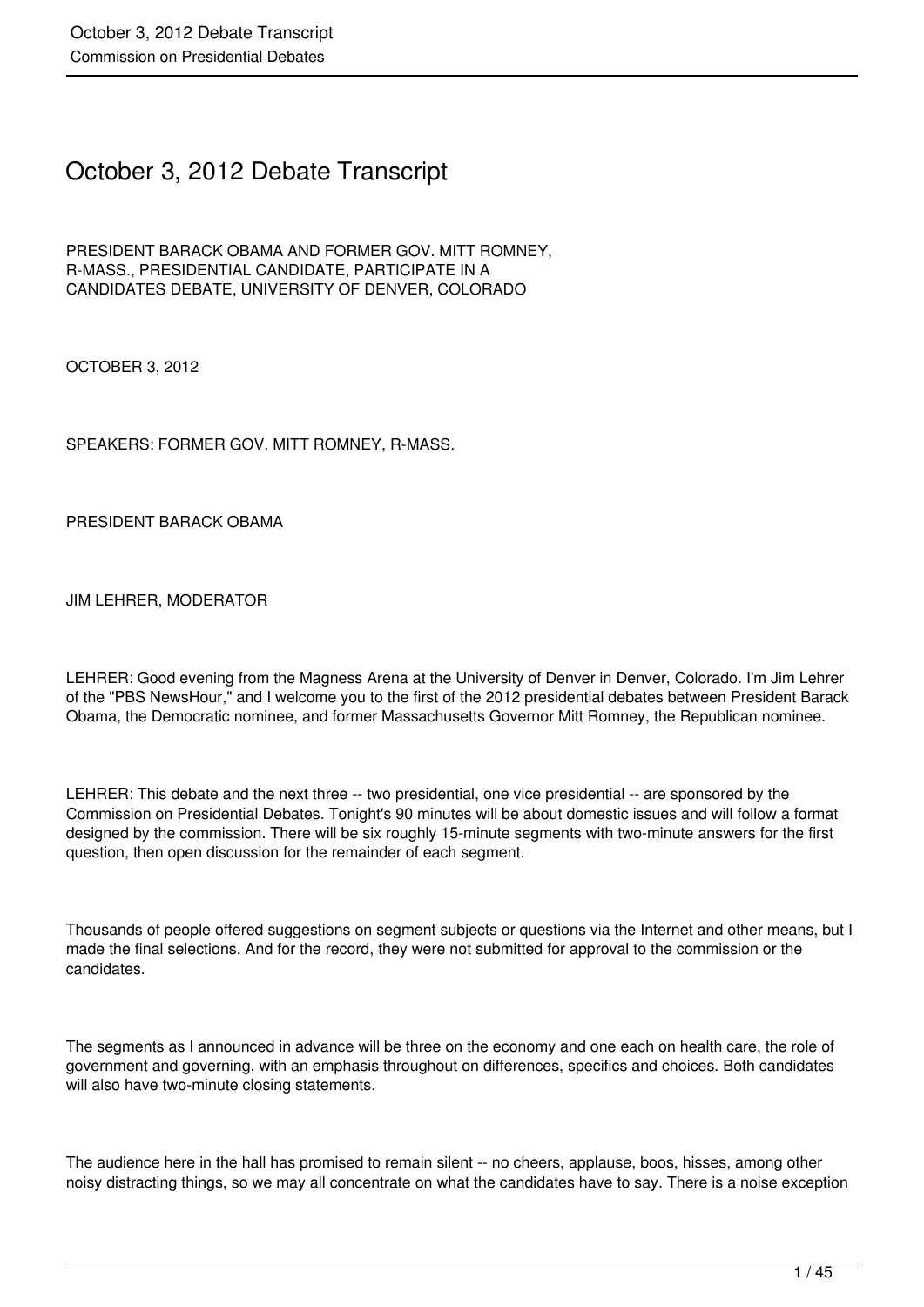# October 3, 2012 Debate Transcript

PRESIDENT BARACK OBAMA AND FORMER GOV. MITT ROMNEY, R-MASS., PRESIDENTIAL CANDIDATE, PARTICIPATE IN A CANDIDATES DEBATE, UNIVERSITY OF DENVER, COLORADO

OCTOBER 3, 2012

SPEAKERS: FORMER GOV. MITT ROMNEY, R-MASS.

PRESIDENT BARACK OBAMA

JIM LEHRER, MODERATOR

LEHRER: Good evening from the Magness Arena at the University of Denver in Denver, Colorado. I'm Jim Lehrer of the "PBS NewsHour," and I welcome you to the first of the 2012 presidential debates between President Barack Obama, the Democratic nominee, and former Massachusetts Governor Mitt Romney, the Republican nominee.

LEHRER: This debate and the next three -- two presidential, one vice presidential -- are sponsored by the Commission on Presidential Debates. Tonight's 90 minutes will be about domestic issues and will follow a format designed by the commission. There will be six roughly 15-minute segments with two-minute answers for the first question, then open discussion for the remainder of each segment.

Thousands of people offered suggestions on segment subjects or questions via the Internet and other means, but I made the final selections. And for the record, they were not submitted for approval to the commission or the candidates.

The segments as I announced in advance will be three on the economy and one each on health care, the role of government and governing, with an emphasis throughout on differences, specifics and choices. Both candidates will also have two-minute closing statements.

The audience here in the hall has promised to remain silent -- no cheers, applause, boos, hisses, among other noisy distracting things, so we may all concentrate on what the candidates have to say. There is a noise exception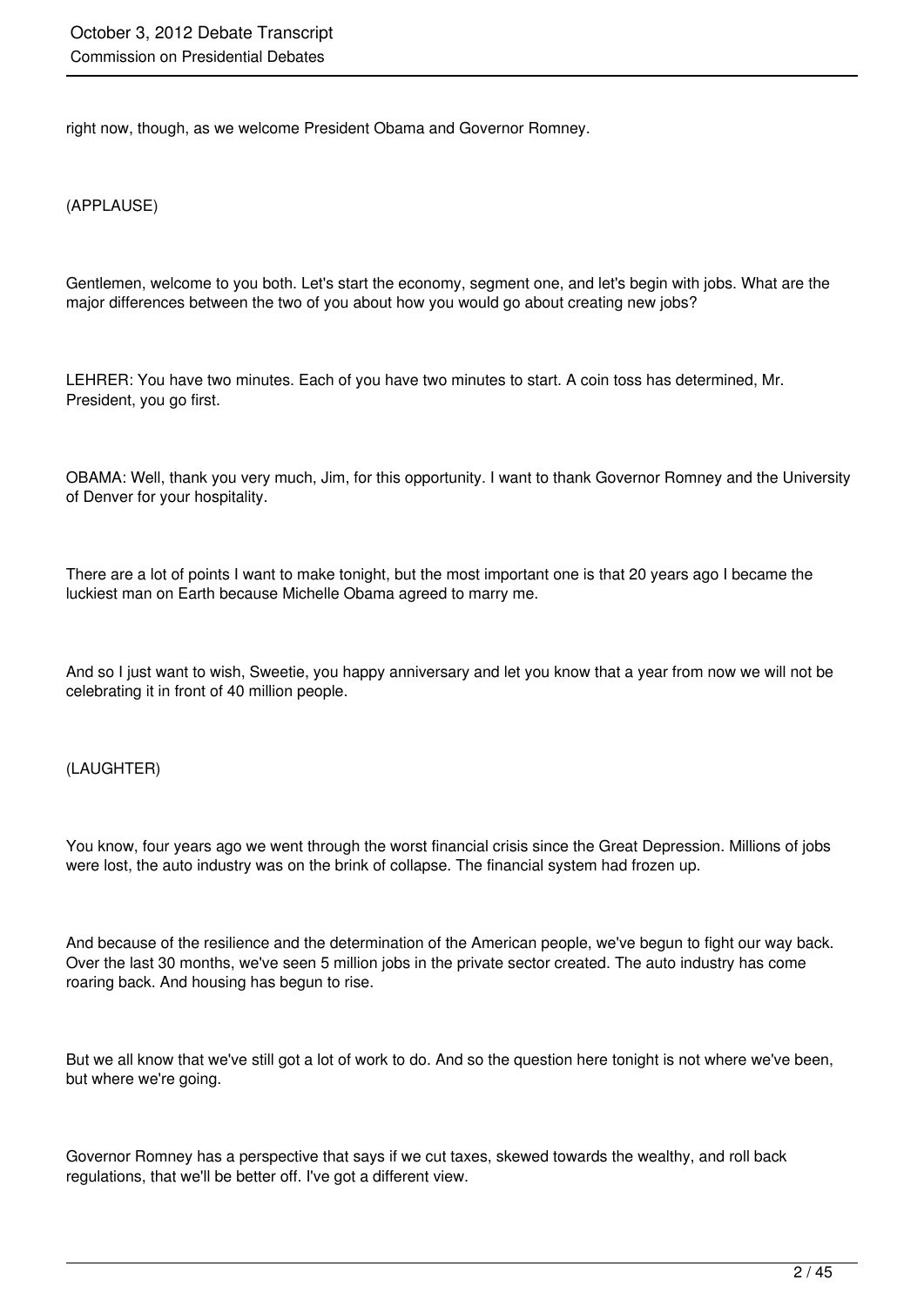right now, though, as we welcome President Obama and Governor Romney.

(APPLAUSE)

Gentlemen, welcome to you both. Let's start the economy, segment one, and let's begin with jobs. What are the major differences between the two of you about how you would go about creating new jobs?

LEHRER: You have two minutes. Each of you have two minutes to start. A coin toss has determined, Mr. President, you go first.

OBAMA: Well, thank you very much, Jim, for this opportunity. I want to thank Governor Romney and the University of Denver for your hospitality.

There are a lot of points I want to make tonight, but the most important one is that 20 years ago I became the luckiest man on Earth because Michelle Obama agreed to marry me.

And so I just want to wish, Sweetie, you happy anniversary and let you know that a year from now we will not be celebrating it in front of 40 million people.

## (LAUGHTER)

You know, four years ago we went through the worst financial crisis since the Great Depression. Millions of jobs were lost, the auto industry was on the brink of collapse. The financial system had frozen up.

And because of the resilience and the determination of the American people, we've begun to fight our way back. Over the last 30 months, we've seen 5 million jobs in the private sector created. The auto industry has come roaring back. And housing has begun to rise.

But we all know that we've still got a lot of work to do. And so the question here tonight is not where we've been, but where we're going.

Governor Romney has a perspective that says if we cut taxes, skewed towards the wealthy, and roll back regulations, that we'll be better off. I've got a different view.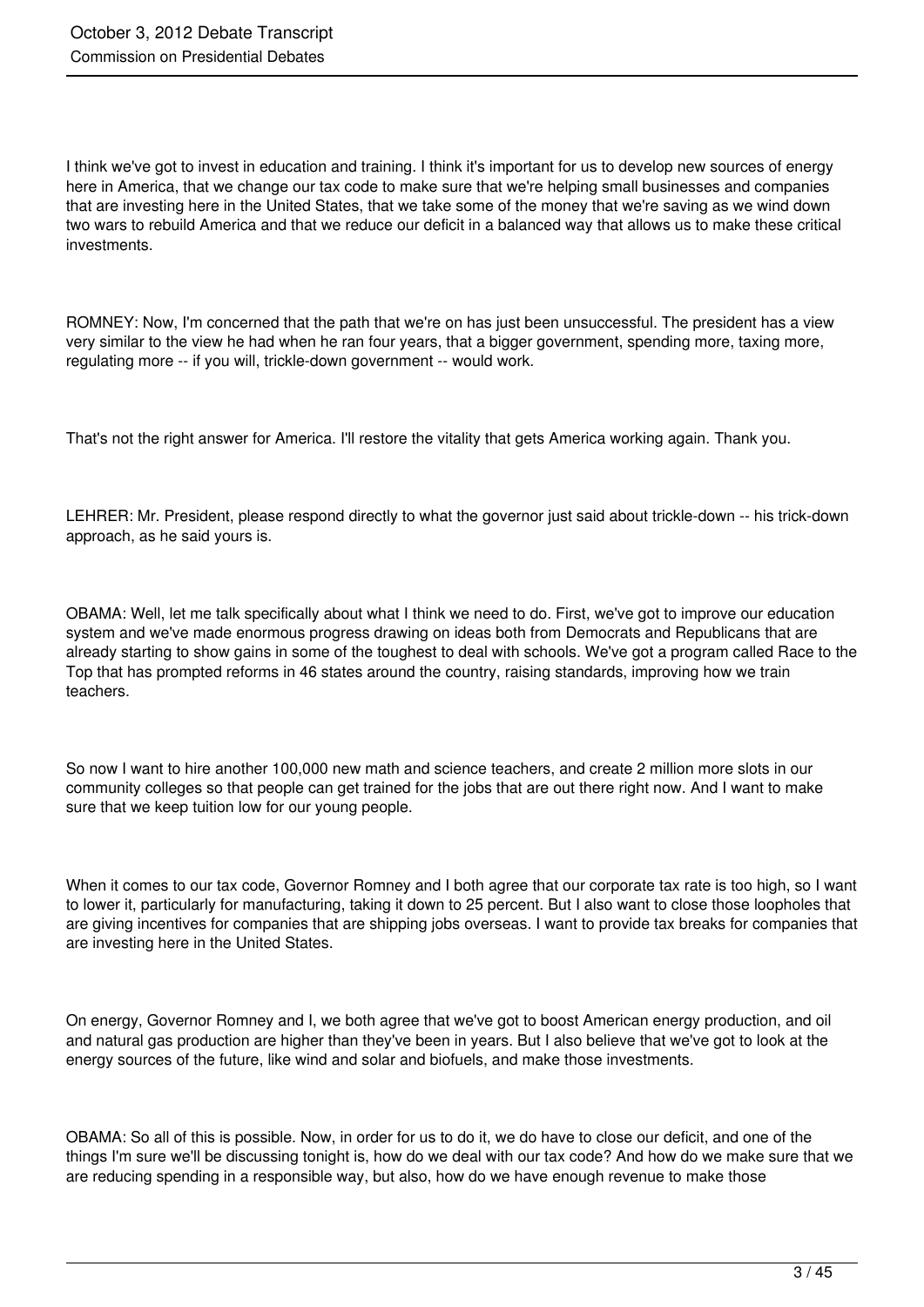I think we've got to invest in education and training. I think it's important for us to develop new sources of energy here in America, that we change our tax code to make sure that we're helping small businesses and companies that are investing here in the United States, that we take some of the money that we're saving as we wind down two wars to rebuild America and that we reduce our deficit in a balanced way that allows us to make these critical investments.

ROMNEY: Now, I'm concerned that the path that we're on has just been unsuccessful. The president has a view very similar to the view he had when he ran four years, that a bigger government, spending more, taxing more, regulating more -- if you will, trickle-down government -- would work.

That's not the right answer for America. I'll restore the vitality that gets America working again. Thank you.

LEHRER: Mr. President, please respond directly to what the governor just said about trickle-down -- his trick-down approach, as he said yours is.

OBAMA: Well, let me talk specifically about what I think we need to do. First, we've got to improve our education system and we've made enormous progress drawing on ideas both from Democrats and Republicans that are already starting to show gains in some of the toughest to deal with schools. We've got a program called Race to the Top that has prompted reforms in 46 states around the country, raising standards, improving how we train teachers.

So now I want to hire another 100,000 new math and science teachers, and create 2 million more slots in our community colleges so that people can get trained for the jobs that are out there right now. And I want to make sure that we keep tuition low for our young people.

When it comes to our tax code, Governor Romney and I both agree that our corporate tax rate is too high, so I want to lower it, particularly for manufacturing, taking it down to 25 percent. But I also want to close those loopholes that are giving incentives for companies that are shipping jobs overseas. I want to provide tax breaks for companies that are investing here in the United States.

On energy, Governor Romney and I, we both agree that we've got to boost American energy production, and oil and natural gas production are higher than they've been in years. But I also believe that we've got to look at the energy sources of the future, like wind and solar and biofuels, and make those investments.

OBAMA: So all of this is possible. Now, in order for us to do it, we do have to close our deficit, and one of the things I'm sure we'll be discussing tonight is, how do we deal with our tax code? And how do we make sure that we are reducing spending in a responsible way, but also, how do we have enough revenue to make those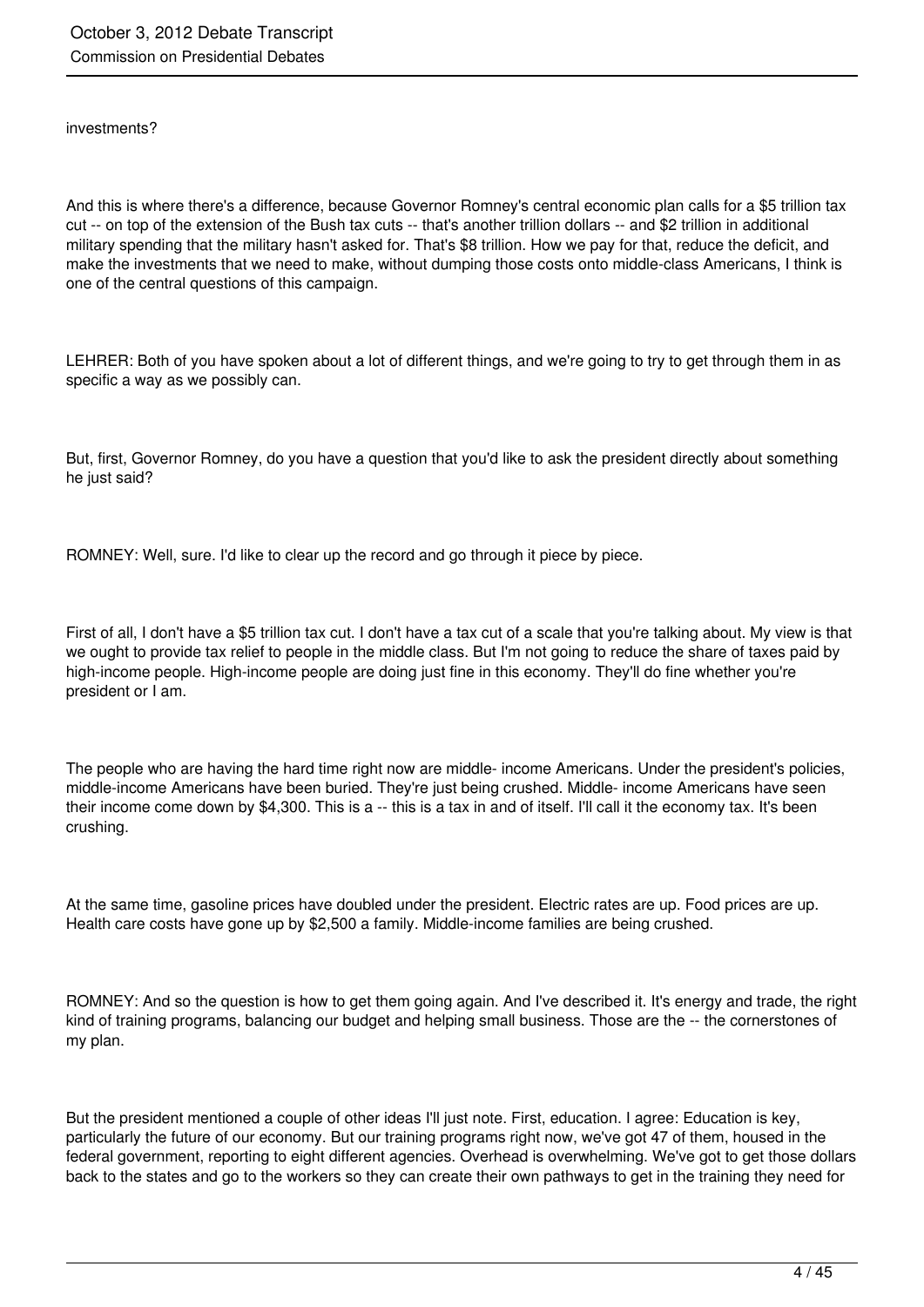investments?

And this is where there's a difference, because Governor Romney's central economic plan calls for a \$5 trillion tax cut -- on top of the extension of the Bush tax cuts -- that's another trillion dollars -- and \$2 trillion in additional military spending that the military hasn't asked for. That's \$8 trillion. How we pay for that, reduce the deficit, and make the investments that we need to make, without dumping those costs onto middle-class Americans, I think is one of the central questions of this campaign.

LEHRER: Both of you have spoken about a lot of different things, and we're going to try to get through them in as specific a way as we possibly can.

But, first, Governor Romney, do you have a question that you'd like to ask the president directly about something he just said?

ROMNEY: Well, sure. I'd like to clear up the record and go through it piece by piece.

First of all, I don't have a \$5 trillion tax cut. I don't have a tax cut of a scale that you're talking about. My view is that we ought to provide tax relief to people in the middle class. But I'm not going to reduce the share of taxes paid by high-income people. High-income people are doing just fine in this economy. They'll do fine whether you're president or I am.

The people who are having the hard time right now are middle- income Americans. Under the president's policies, middle-income Americans have been buried. They're just being crushed. Middle- income Americans have seen their income come down by \$4,300. This is a -- this is a tax in and of itself. I'll call it the economy tax. It's been crushing.

At the same time, gasoline prices have doubled under the president. Electric rates are up. Food prices are up. Health care costs have gone up by \$2,500 a family. Middle-income families are being crushed.

ROMNEY: And so the question is how to get them going again. And I've described it. It's energy and trade, the right kind of training programs, balancing our budget and helping small business. Those are the -- the cornerstones of my plan.

But the president mentioned a couple of other ideas I'll just note. First, education. I agree: Education is key, particularly the future of our economy. But our training programs right now, we've got 47 of them, housed in the federal government, reporting to eight different agencies. Overhead is overwhelming. We've got to get those dollars back to the states and go to the workers so they can create their own pathways to get in the training they need for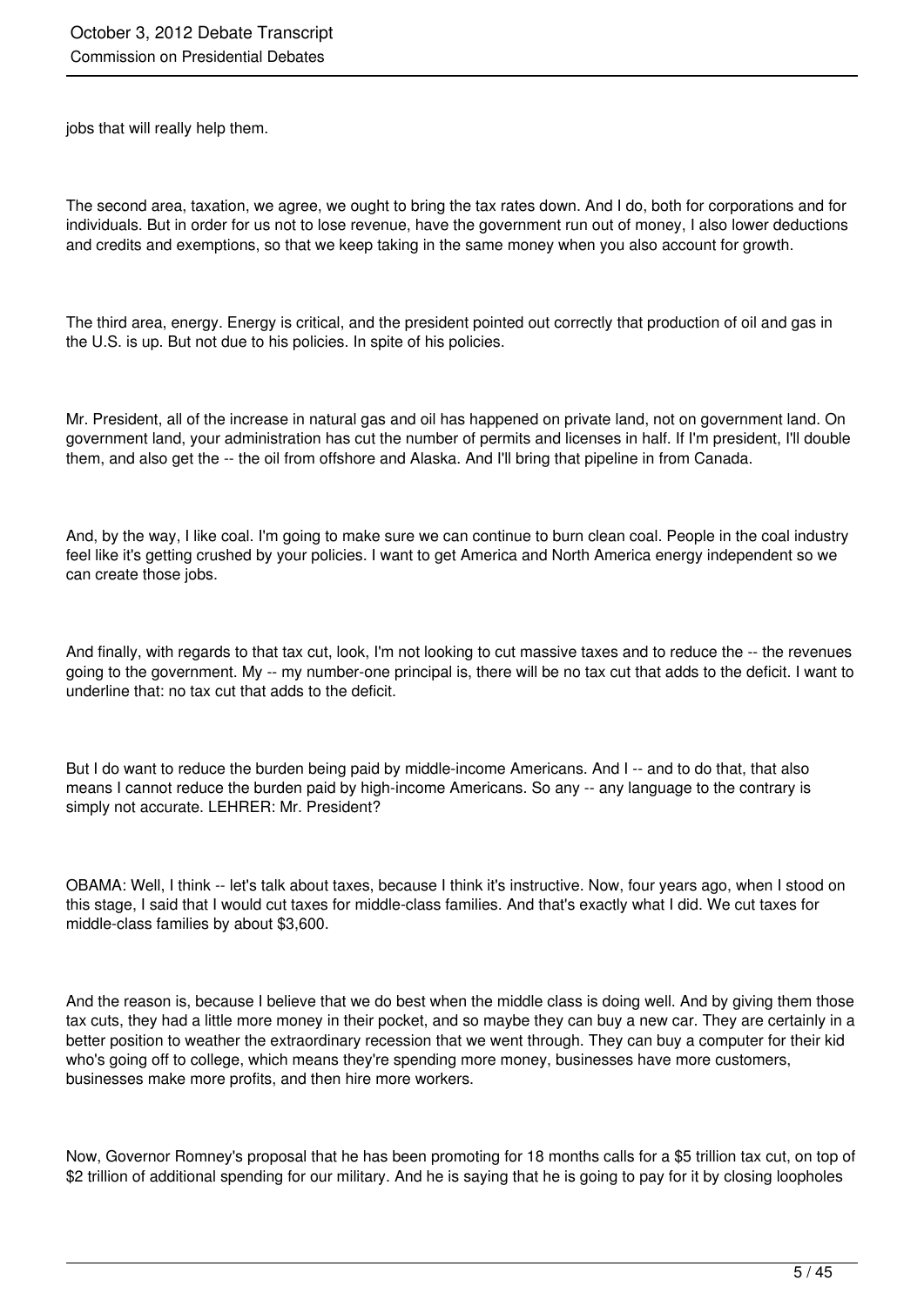jobs that will really help them.

The second area, taxation, we agree, we ought to bring the tax rates down. And I do, both for corporations and for individuals. But in order for us not to lose revenue, have the government run out of money, I also lower deductions and credits and exemptions, so that we keep taking in the same money when you also account for growth.

The third area, energy. Energy is critical, and the president pointed out correctly that production of oil and gas in the U.S. is up. But not due to his policies. In spite of his policies.

Mr. President, all of the increase in natural gas and oil has happened on private land, not on government land. On government land, your administration has cut the number of permits and licenses in half. If I'm president, I'll double them, and also get the -- the oil from offshore and Alaska. And I'll bring that pipeline in from Canada.

And, by the way, I like coal. I'm going to make sure we can continue to burn clean coal. People in the coal industry feel like it's getting crushed by your policies. I want to get America and North America energy independent so we can create those jobs.

And finally, with regards to that tax cut, look, I'm not looking to cut massive taxes and to reduce the -- the revenues going to the government. My -- my number-one principal is, there will be no tax cut that adds to the deficit. I want to underline that: no tax cut that adds to the deficit.

But I do want to reduce the burden being paid by middle-income Americans. And I -- and to do that, that also means I cannot reduce the burden paid by high-income Americans. So any -- any language to the contrary is simply not accurate. LEHRER: Mr. President?

OBAMA: Well, I think -- let's talk about taxes, because I think it's instructive. Now, four years ago, when I stood on this stage, I said that I would cut taxes for middle-class families. And that's exactly what I did. We cut taxes for middle-class families by about \$3,600.

And the reason is, because I believe that we do best when the middle class is doing well. And by giving them those tax cuts, they had a little more money in their pocket, and so maybe they can buy a new car. They are certainly in a better position to weather the extraordinary recession that we went through. They can buy a computer for their kid who's going off to college, which means they're spending more money, businesses have more customers, businesses make more profits, and then hire more workers.

Now, Governor Romney's proposal that he has been promoting for 18 months calls for a \$5 trillion tax cut, on top of \$2 trillion of additional spending for our military. And he is saying that he is going to pay for it by closing loopholes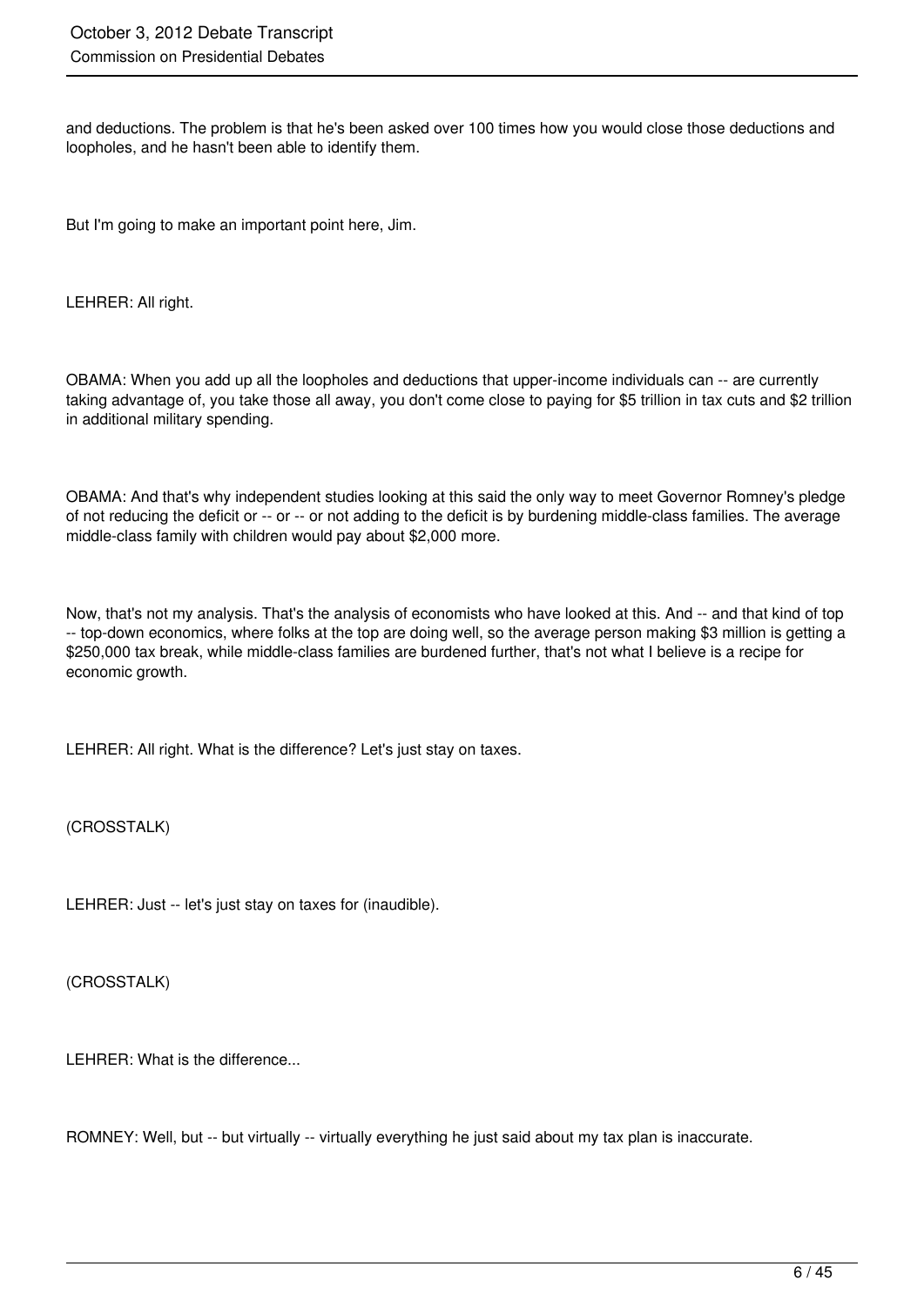and deductions. The problem is that he's been asked over 100 times how you would close those deductions and loopholes, and he hasn't been able to identify them.

But I'm going to make an important point here, Jim.

LEHRER: All right.

OBAMA: When you add up all the loopholes and deductions that upper-income individuals can -- are currently taking advantage of, you take those all away, you don't come close to paying for \$5 trillion in tax cuts and \$2 trillion in additional military spending.

OBAMA: And that's why independent studies looking at this said the only way to meet Governor Romney's pledge of not reducing the deficit or -- or -- or not adding to the deficit is by burdening middle-class families. The average middle-class family with children would pay about \$2,000 more.

Now, that's not my analysis. That's the analysis of economists who have looked at this. And -- and that kind of top -- top-down economics, where folks at the top are doing well, so the average person making \$3 million is getting a \$250,000 tax break, while middle-class families are burdened further, that's not what I believe is a recipe for economic growth.

LEHRER: All right. What is the difference? Let's just stay on taxes.

(CROSSTALK)

LEHRER: Just -- let's just stay on taxes for (inaudible).

(CROSSTALK)

LEHRER: What is the difference...

ROMNEY: Well, but -- but virtually -- virtually everything he just said about my tax plan is inaccurate.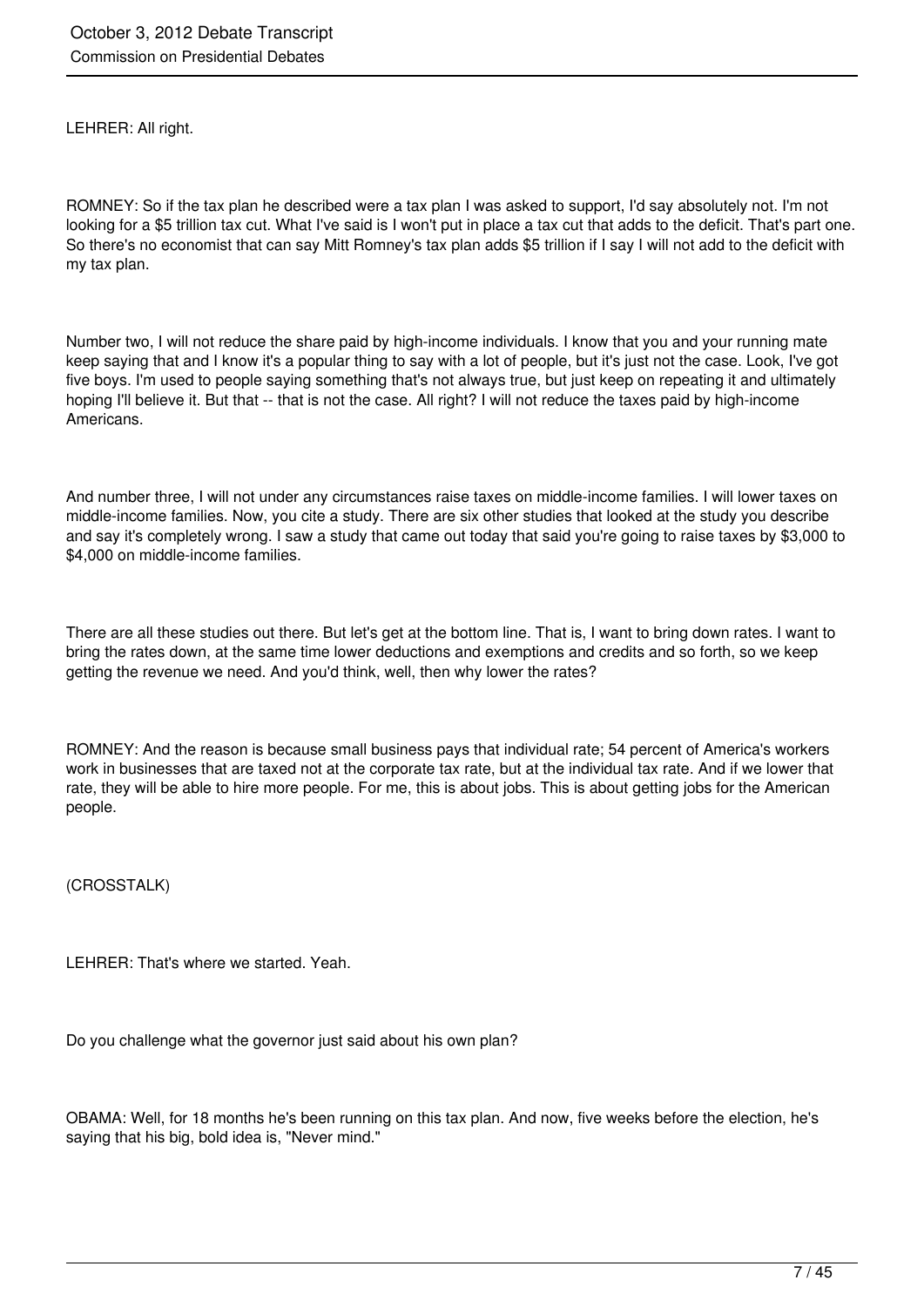LEHRER: All right.

ROMNEY: So if the tax plan he described were a tax plan I was asked to support, I'd say absolutely not. I'm not looking for a \$5 trillion tax cut. What I've said is I won't put in place a tax cut that adds to the deficit. That's part one. So there's no economist that can say Mitt Romney's tax plan adds \$5 trillion if I say I will not add to the deficit with my tax plan.

Number two, I will not reduce the share paid by high-income individuals. I know that you and your running mate keep saying that and I know it's a popular thing to say with a lot of people, but it's just not the case. Look, I've got five boys. I'm used to people saying something that's not always true, but just keep on repeating it and ultimately hoping I'll believe it. But that -- that is not the case. All right? I will not reduce the taxes paid by high-income **Americans** 

And number three, I will not under any circumstances raise taxes on middle-income families. I will lower taxes on middle-income families. Now, you cite a study. There are six other studies that looked at the study you describe and say it's completely wrong. I saw a study that came out today that said you're going to raise taxes by \$3,000 to \$4,000 on middle-income families.

There are all these studies out there. But let's get at the bottom line. That is, I want to bring down rates. I want to bring the rates down, at the same time lower deductions and exemptions and credits and so forth, so we keep getting the revenue we need. And you'd think, well, then why lower the rates?

ROMNEY: And the reason is because small business pays that individual rate; 54 percent of America's workers work in businesses that are taxed not at the corporate tax rate, but at the individual tax rate. And if we lower that rate, they will be able to hire more people. For me, this is about jobs. This is about getting jobs for the American people.

(CROSSTALK)

LEHRER: That's where we started. Yeah.

Do you challenge what the governor just said about his own plan?

OBAMA: Well, for 18 months he's been running on this tax plan. And now, five weeks before the election, he's saying that his big, bold idea is, "Never mind."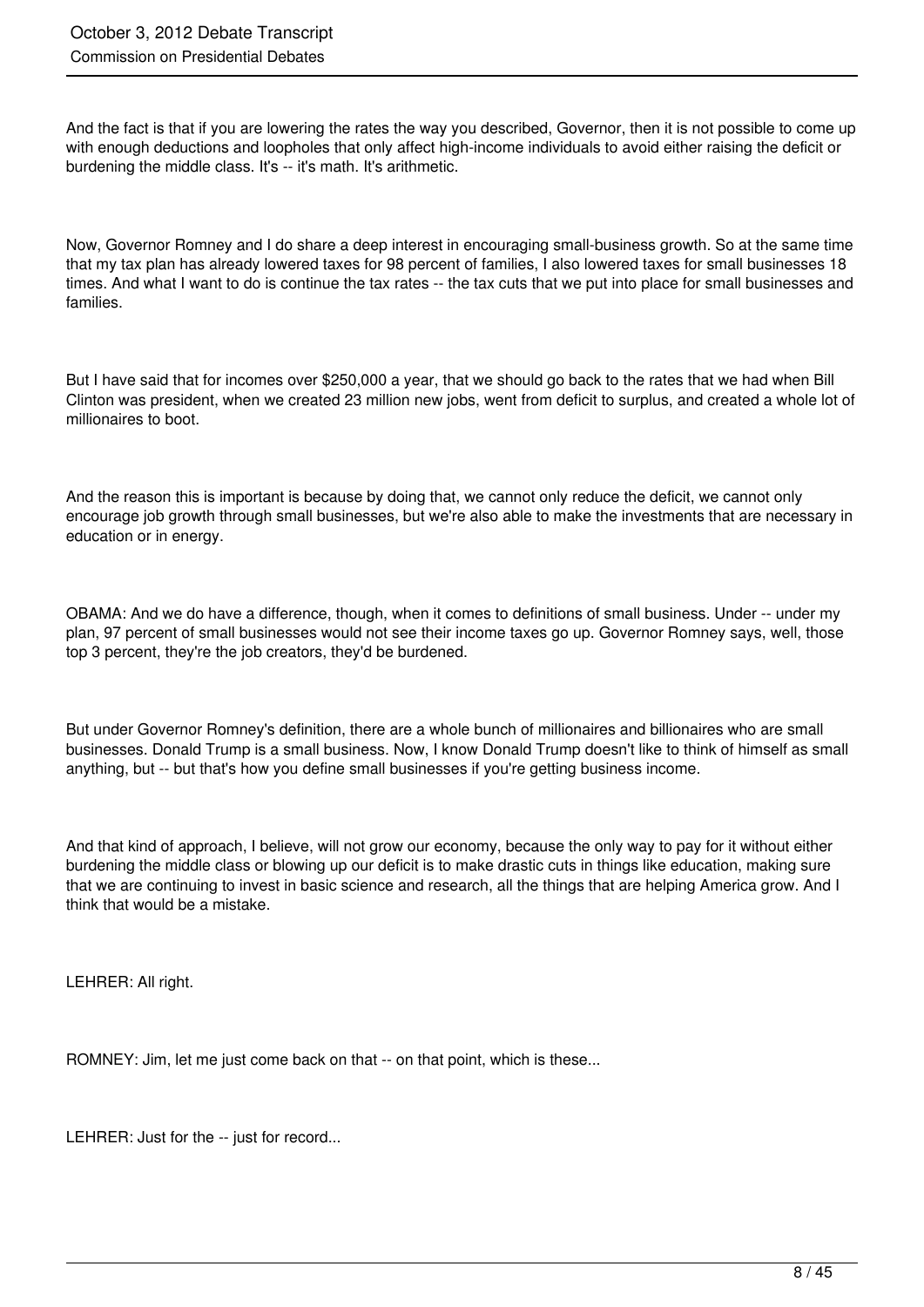And the fact is that if you are lowering the rates the way you described, Governor, then it is not possible to come up with enough deductions and loopholes that only affect high-income individuals to avoid either raising the deficit or burdening the middle class. It's -- it's math. It's arithmetic.

Now, Governor Romney and I do share a deep interest in encouraging small-business growth. So at the same time that my tax plan has already lowered taxes for 98 percent of families, I also lowered taxes for small businesses 18 times. And what I want to do is continue the tax rates -- the tax cuts that we put into place for small businesses and families.

But I have said that for incomes over \$250,000 a year, that we should go back to the rates that we had when Bill Clinton was president, when we created 23 million new jobs, went from deficit to surplus, and created a whole lot of millionaires to boot.

And the reason this is important is because by doing that, we cannot only reduce the deficit, we cannot only encourage job growth through small businesses, but we're also able to make the investments that are necessary in education or in energy.

OBAMA: And we do have a difference, though, when it comes to definitions of small business. Under -- under my plan, 97 percent of small businesses would not see their income taxes go up. Governor Romney says, well, those top 3 percent, they're the job creators, they'd be burdened.

But under Governor Romney's definition, there are a whole bunch of millionaires and billionaires who are small businesses. Donald Trump is a small business. Now, I know Donald Trump doesn't like to think of himself as small anything, but -- but that's how you define small businesses if you're getting business income.

And that kind of approach, I believe, will not grow our economy, because the only way to pay for it without either burdening the middle class or blowing up our deficit is to make drastic cuts in things like education, making sure that we are continuing to invest in basic science and research, all the things that are helping America grow. And I think that would be a mistake.

LEHRER: All right.

ROMNEY: Jim, let me just come back on that -- on that point, which is these...

LEHRER: Just for the -- just for record...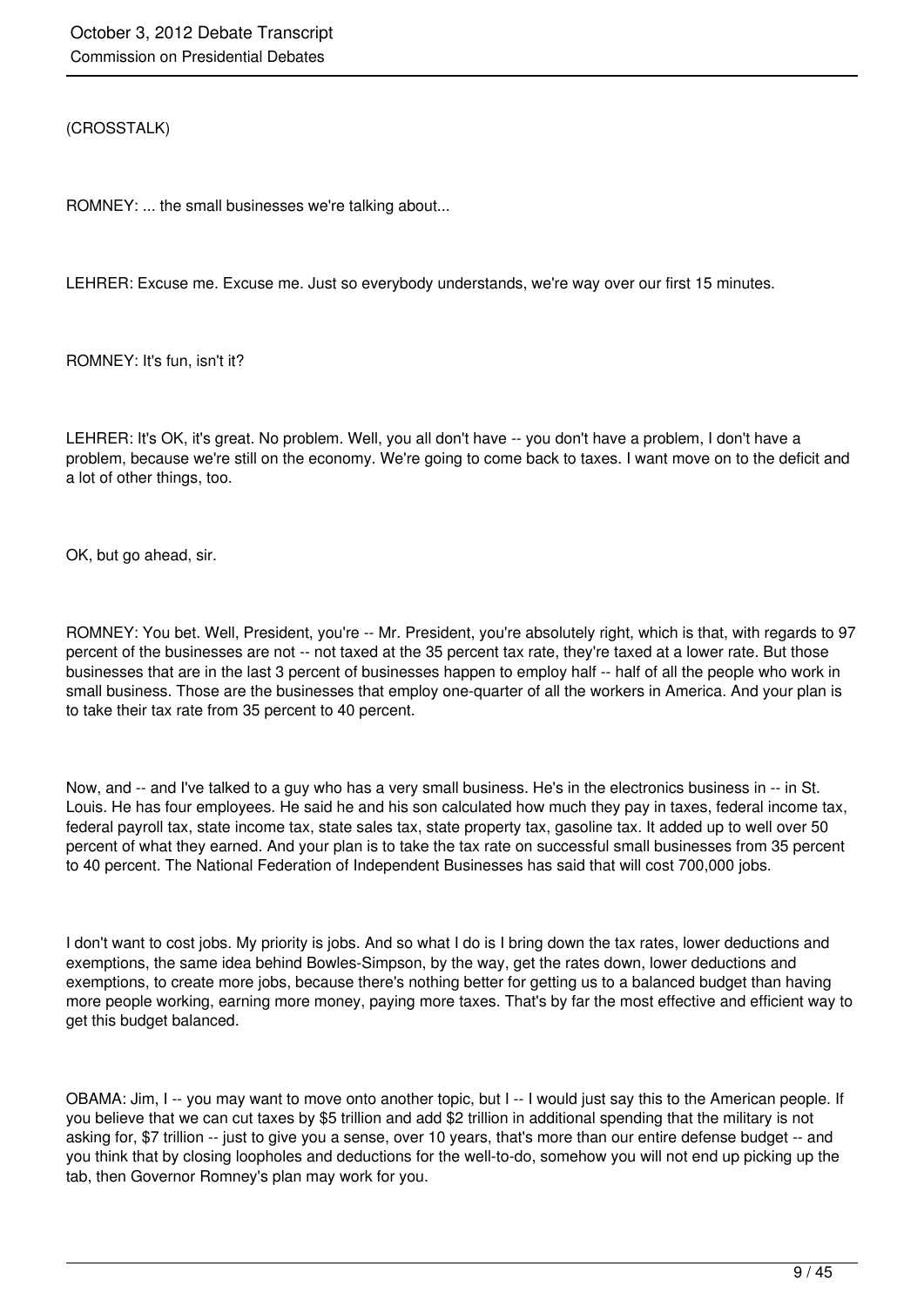(CROSSTALK)

ROMNEY: ... the small businesses we're talking about...

LEHRER: Excuse me. Excuse me. Just so everybody understands, we're way over our first 15 minutes.

ROMNEY: It's fun, isn't it?

LEHRER: It's OK, it's great. No problem. Well, you all don't have -- you don't have a problem, I don't have a problem, because we're still on the economy. We're going to come back to taxes. I want move on to the deficit and a lot of other things, too.

OK, but go ahead, sir.

ROMNEY: You bet. Well, President, you're -- Mr. President, you're absolutely right, which is that, with regards to 97 percent of the businesses are not -- not taxed at the 35 percent tax rate, they're taxed at a lower rate. But those businesses that are in the last 3 percent of businesses happen to employ half -- half of all the people who work in small business. Those are the businesses that employ one-quarter of all the workers in America. And your plan is to take their tax rate from 35 percent to 40 percent.

Now, and -- and I've talked to a guy who has a very small business. He's in the electronics business in -- in St. Louis. He has four employees. He said he and his son calculated how much they pay in taxes, federal income tax, federal payroll tax, state income tax, state sales tax, state property tax, gasoline tax. It added up to well over 50 percent of what they earned. And your plan is to take the tax rate on successful small businesses from 35 percent to 40 percent. The National Federation of Independent Businesses has said that will cost 700,000 jobs.

I don't want to cost jobs. My priority is jobs. And so what I do is I bring down the tax rates, lower deductions and exemptions, the same idea behind Bowles-Simpson, by the way, get the rates down, lower deductions and exemptions, to create more jobs, because there's nothing better for getting us to a balanced budget than having more people working, earning more money, paying more taxes. That's by far the most effective and efficient way to get this budget balanced.

OBAMA: Jim, I -- you may want to move onto another topic, but I -- I would just say this to the American people. If you believe that we can cut taxes by \$5 trillion and add \$2 trillion in additional spending that the military is not asking for, \$7 trillion -- just to give you a sense, over 10 years, that's more than our entire defense budget -- and you think that by closing loopholes and deductions for the well-to-do, somehow you will not end up picking up the tab, then Governor Romney's plan may work for you.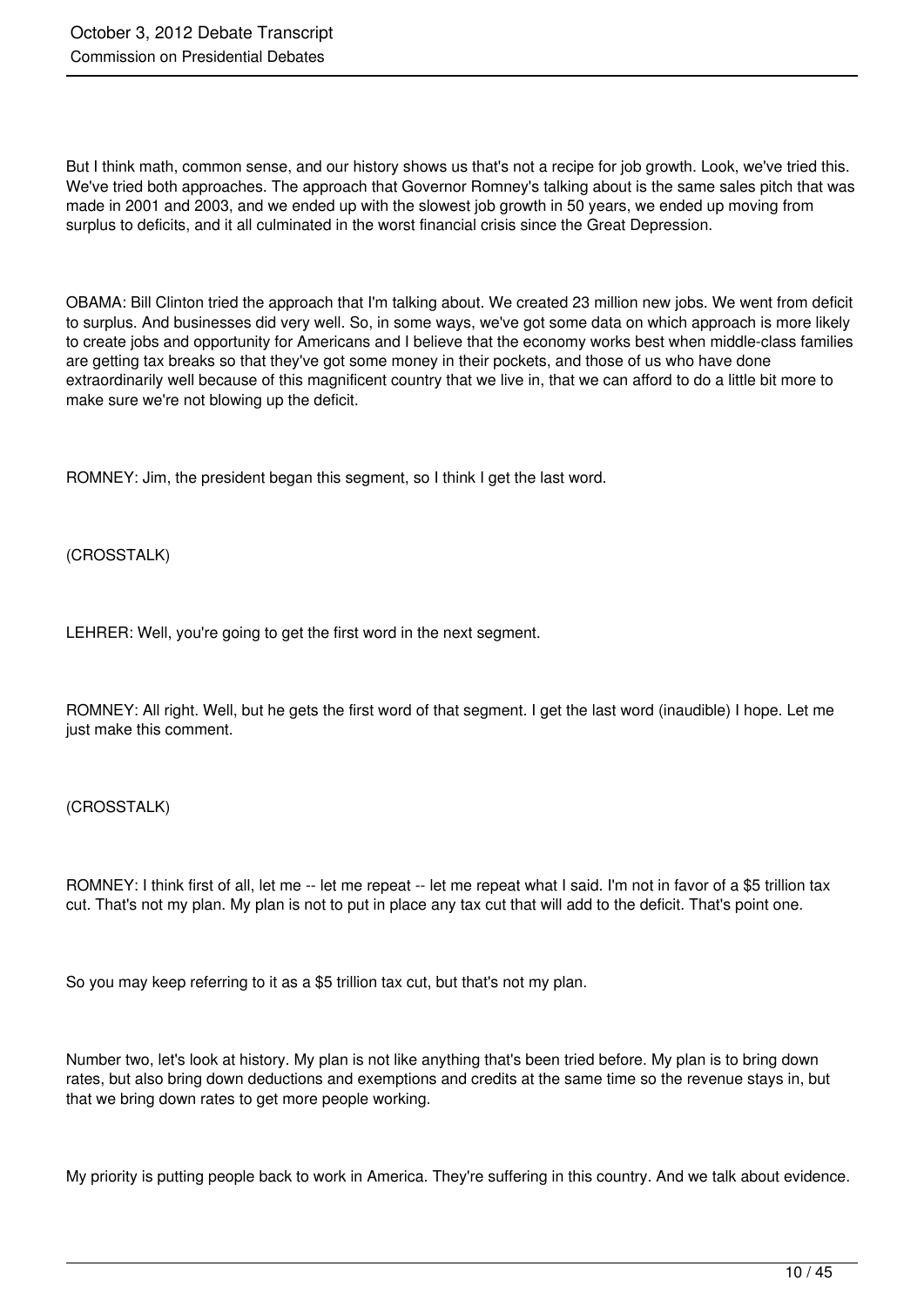But I think math, common sense, and our history shows us that's not a recipe for job growth. Look, we've tried this. We've tried both approaches. The approach that Governor Romney's talking about is the same sales pitch that was made in 2001 and 2003, and we ended up with the slowest job growth in 50 years, we ended up moving from surplus to deficits, and it all culminated in the worst financial crisis since the Great Depression.

OBAMA: Bill Clinton tried the approach that I'm talking about. We created 23 million new jobs. We went from deficit to surplus. And businesses did very well. So, in some ways, we've got some data on which approach is more likely to create jobs and opportunity for Americans and I believe that the economy works best when middle-class families are getting tax breaks so that they've got some money in their pockets, and those of us who have done extraordinarily well because of this magnificent country that we live in, that we can afford to do a little bit more to make sure we're not blowing up the deficit.

ROMNEY: Jim, the president began this segment, so I think I get the last word.

(CROSSTALK)

LEHRER: Well, you're going to get the first word in the next segment.

ROMNEY: All right. Well, but he gets the first word of that segment. I get the last word (inaudible) I hope. Let me just make this comment.

(CROSSTALK)

ROMNEY: I think first of all, let me -- let me repeat -- let me repeat what I said. I'm not in favor of a \$5 trillion tax cut. That's not my plan. My plan is not to put in place any tax cut that will add to the deficit. That's point one.

So you may keep referring to it as a \$5 trillion tax cut, but that's not my plan.

Number two, let's look at history. My plan is not like anything that's been tried before. My plan is to bring down rates, but also bring down deductions and exemptions and credits at the same time so the revenue stays in, but that we bring down rates to get more people working.

My priority is putting people back to work in America. They're suffering in this country. And we talk about evidence.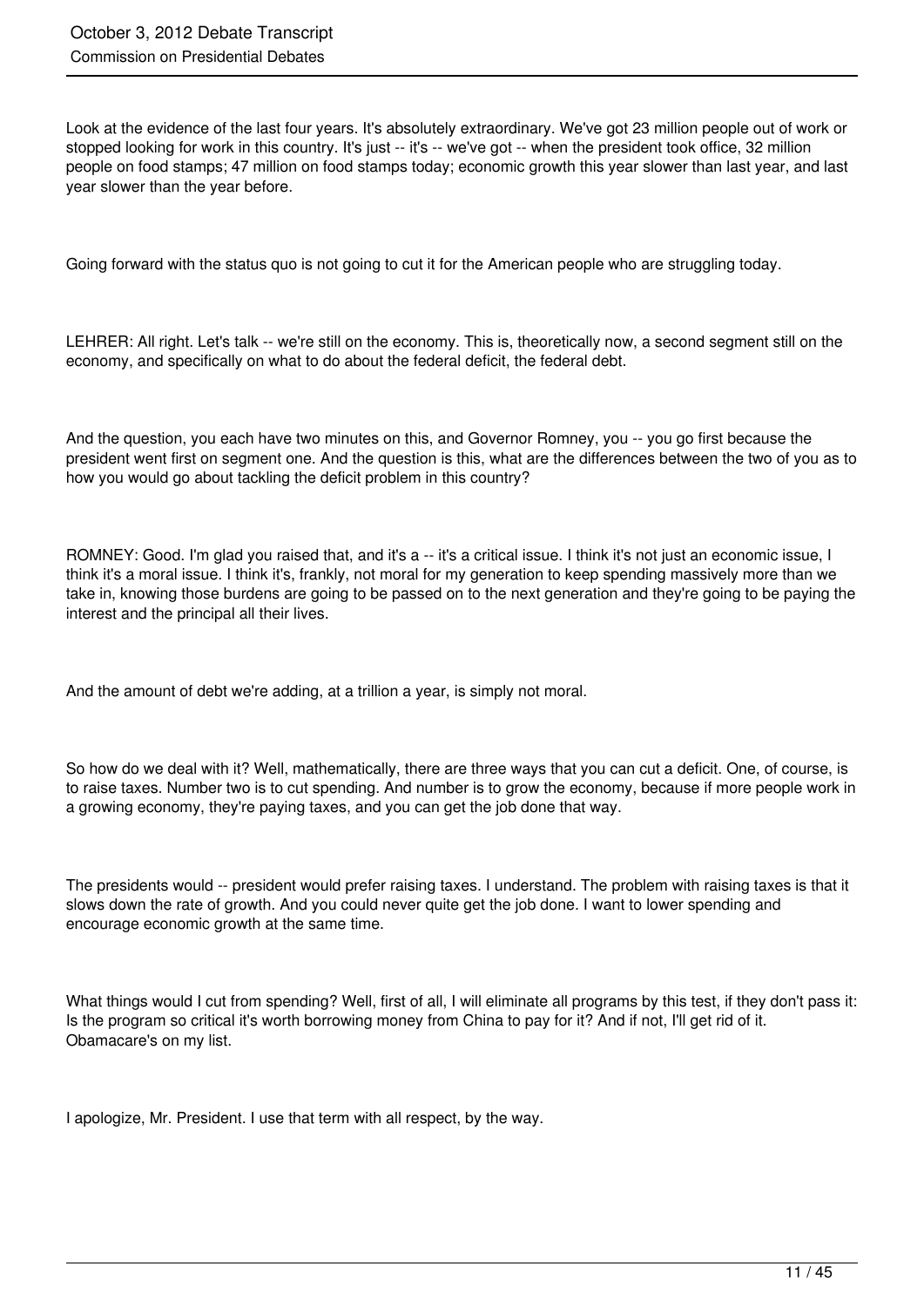Look at the evidence of the last four years. It's absolutely extraordinary. We've got 23 million people out of work or stopped looking for work in this country. It's just -- it's -- we've got -- when the president took office, 32 million people on food stamps; 47 million on food stamps today; economic growth this year slower than last year, and last year slower than the year before.

Going forward with the status quo is not going to cut it for the American people who are struggling today.

LEHRER: All right. Let's talk -- we're still on the economy. This is, theoretically now, a second segment still on the economy, and specifically on what to do about the federal deficit, the federal debt.

And the question, you each have two minutes on this, and Governor Romney, you -- you go first because the president went first on segment one. And the question is this, what are the differences between the two of you as to how you would go about tackling the deficit problem in this country?

ROMNEY: Good. I'm glad you raised that, and it's a -- it's a critical issue. I think it's not just an economic issue, I think it's a moral issue. I think it's, frankly, not moral for my generation to keep spending massively more than we take in, knowing those burdens are going to be passed on to the next generation and they're going to be paying the interest and the principal all their lives.

And the amount of debt we're adding, at a trillion a year, is simply not moral.

So how do we deal with it? Well, mathematically, there are three ways that you can cut a deficit. One, of course, is to raise taxes. Number two is to cut spending. And number is to grow the economy, because if more people work in a growing economy, they're paying taxes, and you can get the job done that way.

The presidents would -- president would prefer raising taxes. I understand. The problem with raising taxes is that it slows down the rate of growth. And you could never quite get the job done. I want to lower spending and encourage economic growth at the same time.

What things would I cut from spending? Well, first of all, I will eliminate all programs by this test, if they don't pass it: Is the program so critical it's worth borrowing money from China to pay for it? And if not, I'll get rid of it. Obamacare's on my list.

I apologize, Mr. President. I use that term with all respect, by the way.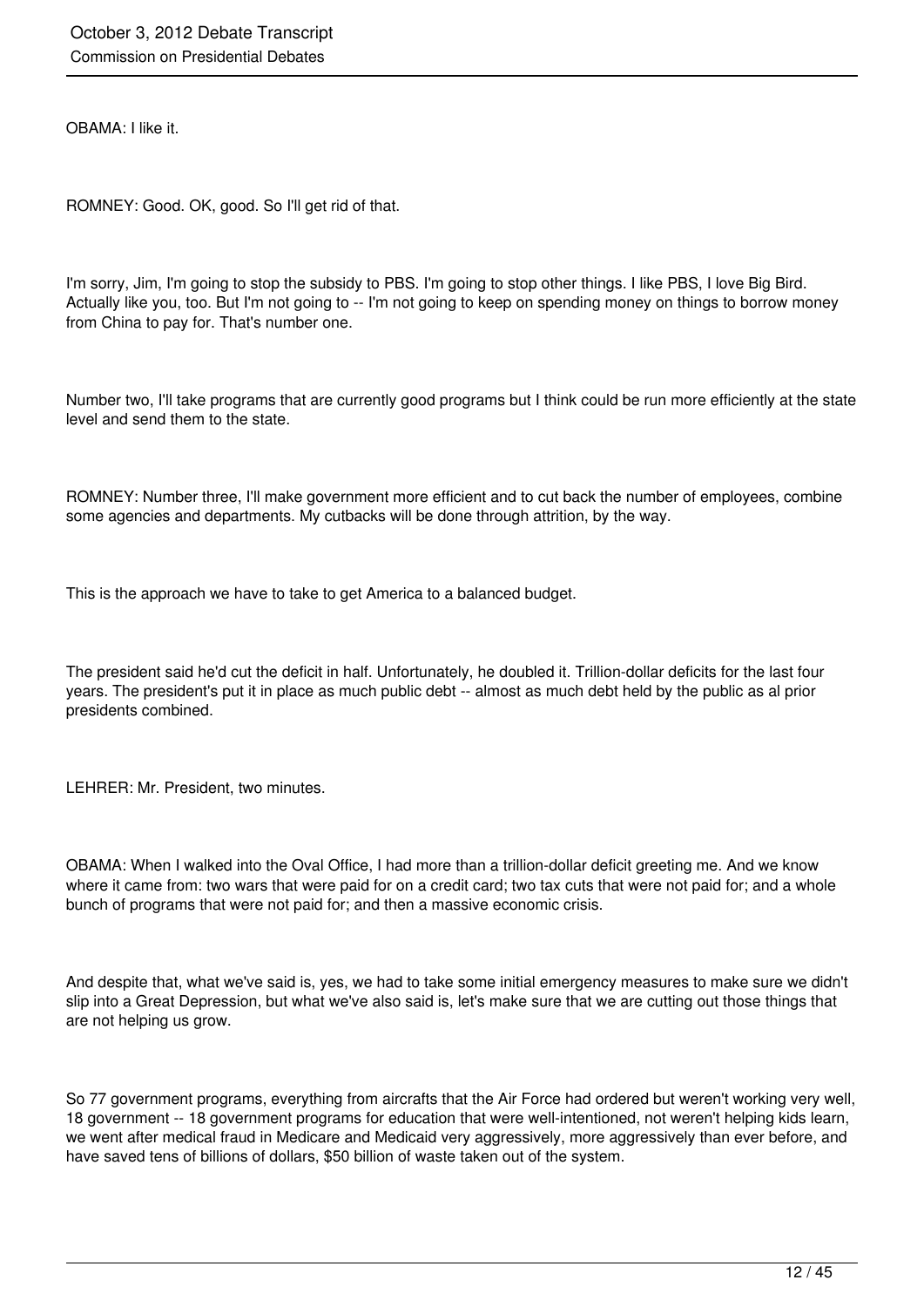OBAMA: I like it.

ROMNEY: Good. OK, good. So I'll get rid of that.

I'm sorry, Jim, I'm going to stop the subsidy to PBS. I'm going to stop other things. I like PBS, I love Big Bird. Actually like you, too. But I'm not going to -- I'm not going to keep on spending money on things to borrow money from China to pay for. That's number one.

Number two, I'll take programs that are currently good programs but I think could be run more efficiently at the state level and send them to the state.

ROMNEY: Number three, I'll make government more efficient and to cut back the number of employees, combine some agencies and departments. My cutbacks will be done through attrition, by the way.

This is the approach we have to take to get America to a balanced budget.

The president said he'd cut the deficit in half. Unfortunately, he doubled it. Trillion-dollar deficits for the last four years. The president's put it in place as much public debt -- almost as much debt held by the public as al prior presidents combined.

LEHRER: Mr. President, two minutes.

OBAMA: When I walked into the Oval Office, I had more than a trillion-dollar deficit greeting me. And we know where it came from: two wars that were paid for on a credit card; two tax cuts that were not paid for; and a whole bunch of programs that were not paid for; and then a massive economic crisis.

And despite that, what we've said is, yes, we had to take some initial emergency measures to make sure we didn't slip into a Great Depression, but what we've also said is, let's make sure that we are cutting out those things that are not helping us grow.

So 77 government programs, everything from aircrafts that the Air Force had ordered but weren't working very well, 18 government -- 18 government programs for education that were well-intentioned, not weren't helping kids learn, we went after medical fraud in Medicare and Medicaid very aggressively, more aggressively than ever before, and have saved tens of billions of dollars, \$50 billion of waste taken out of the system.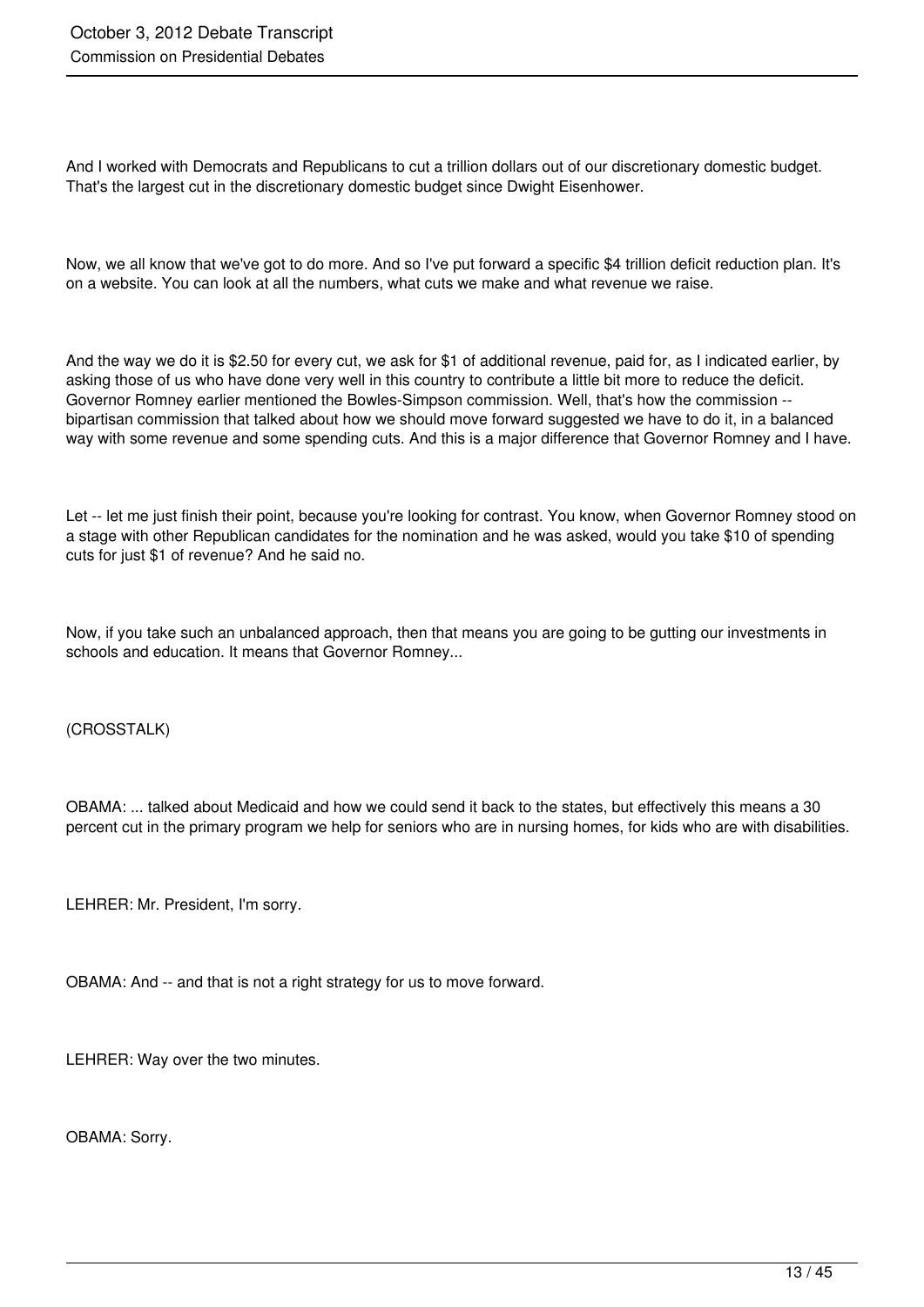And I worked with Democrats and Republicans to cut a trillion dollars out of our discretionary domestic budget. That's the largest cut in the discretionary domestic budget since Dwight Eisenhower.

Now, we all know that we've got to do more. And so I've put forward a specific \$4 trillion deficit reduction plan. It's on a website. You can look at all the numbers, what cuts we make and what revenue we raise.

And the way we do it is \$2.50 for every cut, we ask for \$1 of additional revenue, paid for, as I indicated earlier, by asking those of us who have done very well in this country to contribute a little bit more to reduce the deficit. Governor Romney earlier mentioned the Bowles-Simpson commission. Well, that's how the commission - bipartisan commission that talked about how we should move forward suggested we have to do it, in a balanced way with some revenue and some spending cuts. And this is a major difference that Governor Romney and I have.

Let -- let me just finish their point, because you're looking for contrast. You know, when Governor Romney stood on a stage with other Republican candidates for the nomination and he was asked, would you take \$10 of spending cuts for just \$1 of revenue? And he said no.

Now, if you take such an unbalanced approach, then that means you are going to be gutting our investments in schools and education. It means that Governor Romney...

(CROSSTALK)

OBAMA: ... talked about Medicaid and how we could send it back to the states, but effectively this means a 30 percent cut in the primary program we help for seniors who are in nursing homes, for kids who are with disabilities.

LEHRER: Mr. President, I'm sorry.

OBAMA: And -- and that is not a right strategy for us to move forward.

LEHRER: Way over the two minutes.

OBAMA: Sorry.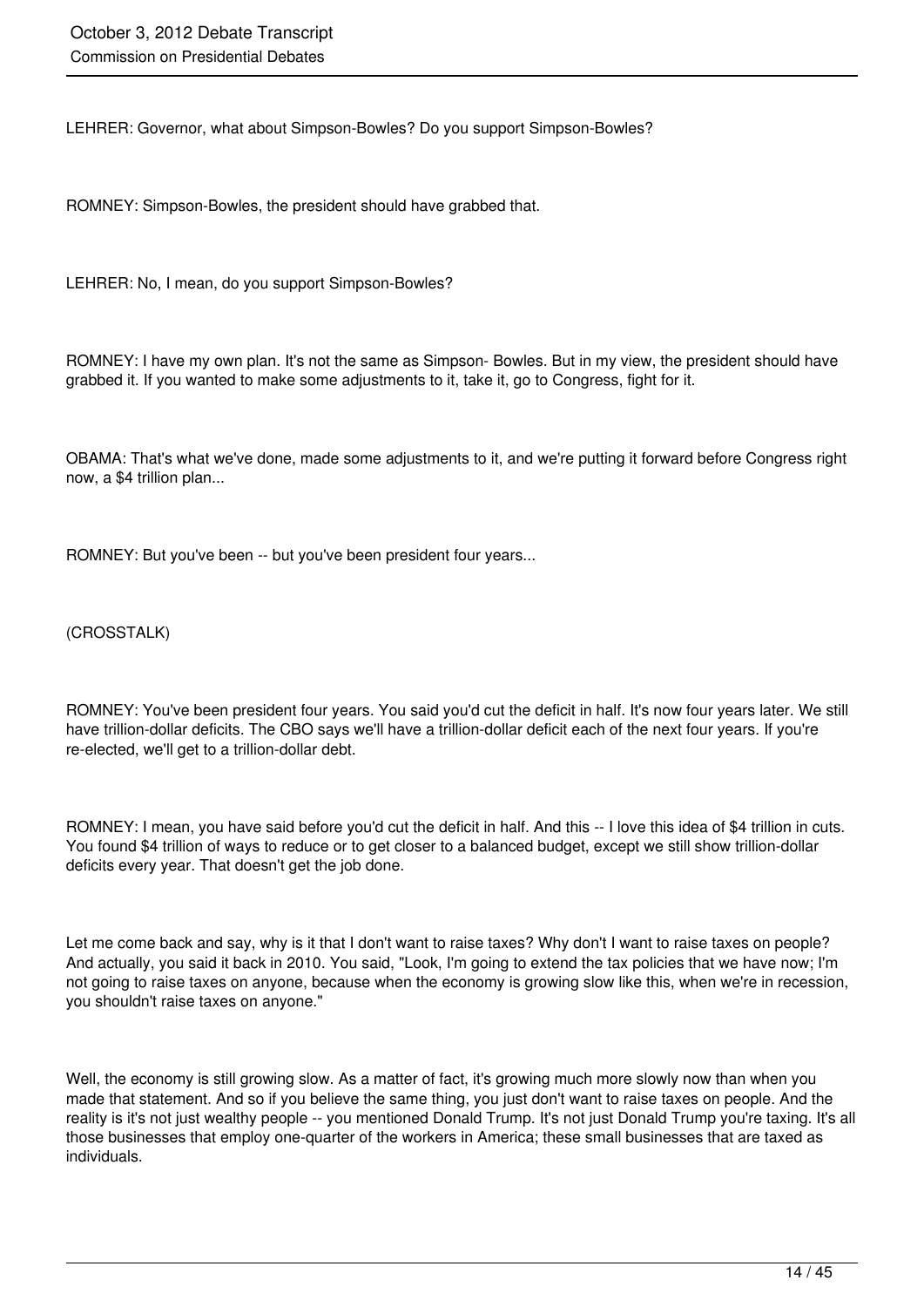LEHRER: Governor, what about Simpson-Bowles? Do you support Simpson-Bowles?

ROMNEY: Simpson-Bowles, the president should have grabbed that.

LEHRER: No, I mean, do you support Simpson-Bowles?

ROMNEY: I have my own plan. It's not the same as Simpson- Bowles. But in my view, the president should have grabbed it. If you wanted to make some adjustments to it, take it, go to Congress, fight for it.

OBAMA: That's what we've done, made some adjustments to it, and we're putting it forward before Congress right now, a \$4 trillion plan...

ROMNEY: But you've been -- but you've been president four years...

### (CROSSTALK)

ROMNEY: You've been president four years. You said you'd cut the deficit in half. It's now four years later. We still have trillion-dollar deficits. The CBO says we'll have a trillion-dollar deficit each of the next four years. If you're re-elected, we'll get to a trillion-dollar debt.

ROMNEY: I mean, you have said before you'd cut the deficit in half. And this -- I love this idea of \$4 trillion in cuts. You found \$4 trillion of ways to reduce or to get closer to a balanced budget, except we still show trillion-dollar deficits every year. That doesn't get the job done.

Let me come back and say, why is it that I don't want to raise taxes? Why don't I want to raise taxes on people? And actually, you said it back in 2010. You said, "Look, I'm going to extend the tax policies that we have now; I'm not going to raise taxes on anyone, because when the economy is growing slow like this, when we're in recession, you shouldn't raise taxes on anyone."

Well, the economy is still growing slow. As a matter of fact, it's growing much more slowly now than when you made that statement. And so if you believe the same thing, you just don't want to raise taxes on people. And the reality is it's not just wealthy people -- you mentioned Donald Trump. It's not just Donald Trump you're taxing. It's all those businesses that employ one-quarter of the workers in America; these small businesses that are taxed as individuals.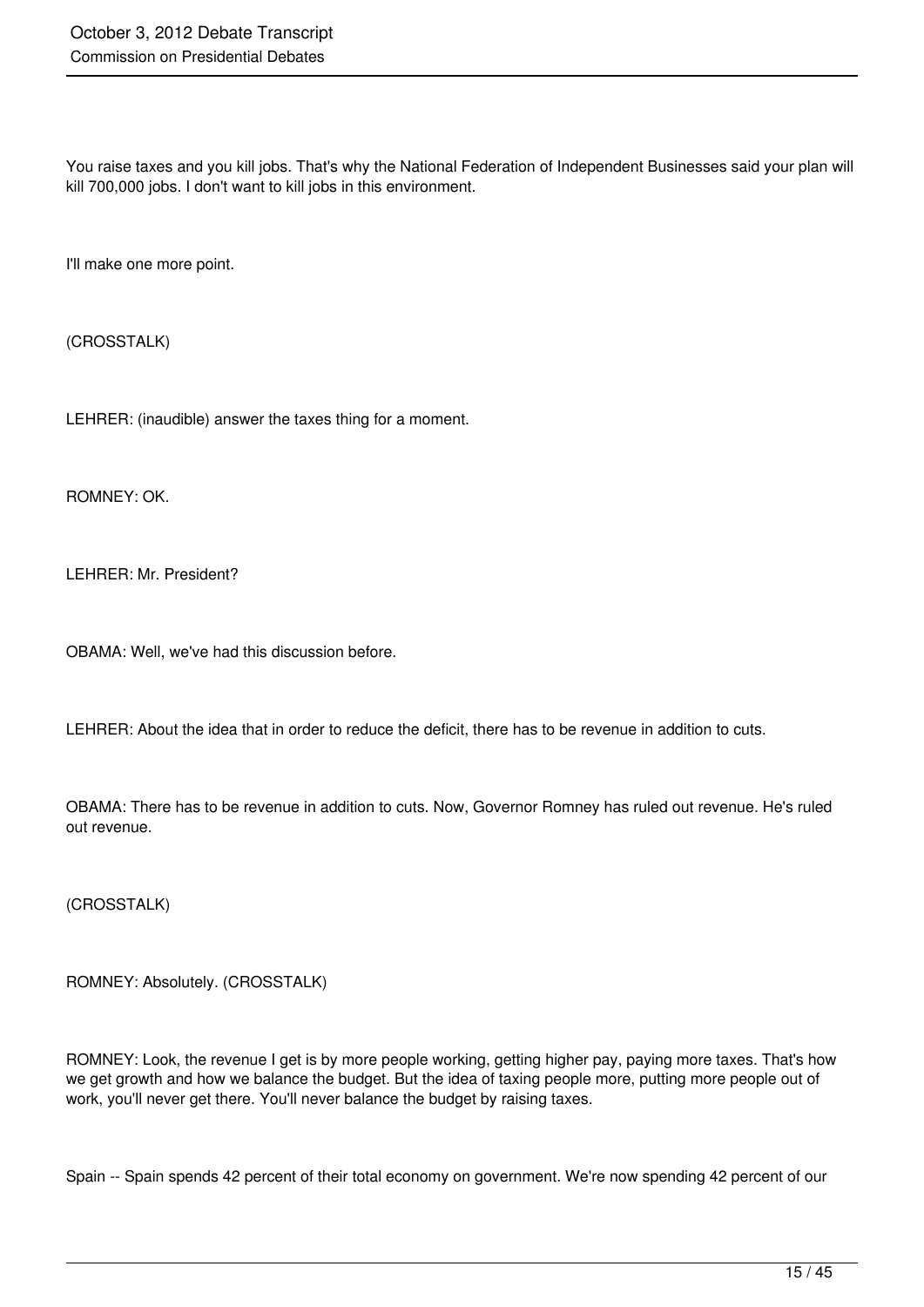You raise taxes and you kill jobs. That's why the National Federation of Independent Businesses said your plan will kill 700,000 jobs. I don't want to kill jobs in this environment.

I'll make one more point.

(CROSSTALK)

LEHRER: (inaudible) answer the taxes thing for a moment.

ROMNEY: OK.

LEHRER: Mr. President?

OBAMA: Well, we've had this discussion before.

LEHRER: About the idea that in order to reduce the deficit, there has to be revenue in addition to cuts.

OBAMA: There has to be revenue in addition to cuts. Now, Governor Romney has ruled out revenue. He's ruled out revenue.

(CROSSTALK)

ROMNEY: Absolutely. (CROSSTALK)

ROMNEY: Look, the revenue I get is by more people working, getting higher pay, paying more taxes. That's how we get growth and how we balance the budget. But the idea of taxing people more, putting more people out of work, you'll never get there. You'll never balance the budget by raising taxes.

Spain -- Spain spends 42 percent of their total economy on government. We're now spending 42 percent of our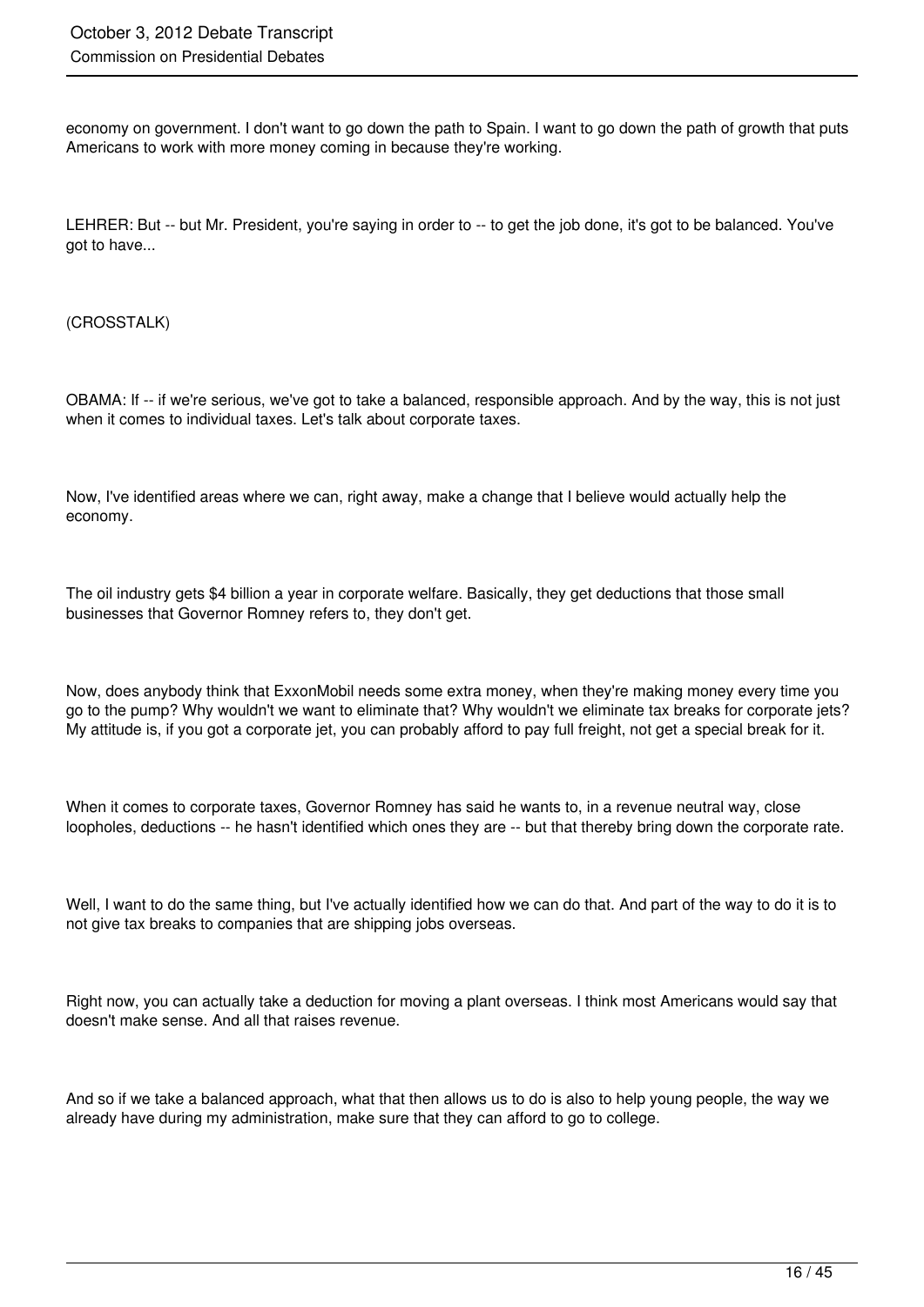economy on government. I don't want to go down the path to Spain. I want to go down the path of growth that puts Americans to work with more money coming in because they're working.

LEHRER: But -- but Mr. President, you're saying in order to -- to get the job done, it's got to be balanced. You've got to have...

(CROSSTALK)

OBAMA: If -- if we're serious, we've got to take a balanced, responsible approach. And by the way, this is not just when it comes to individual taxes. Let's talk about corporate taxes.

Now, I've identified areas where we can, right away, make a change that I believe would actually help the economy.

The oil industry gets \$4 billion a year in corporate welfare. Basically, they get deductions that those small businesses that Governor Romney refers to, they don't get.

Now, does anybody think that ExxonMobil needs some extra money, when they're making money every time you go to the pump? Why wouldn't we want to eliminate that? Why wouldn't we eliminate tax breaks for corporate jets? My attitude is, if you got a corporate jet, you can probably afford to pay full freight, not get a special break for it.

When it comes to corporate taxes, Governor Romney has said he wants to, in a revenue neutral way, close loopholes, deductions -- he hasn't identified which ones they are -- but that thereby bring down the corporate rate.

Well, I want to do the same thing, but I've actually identified how we can do that. And part of the way to do it is to not give tax breaks to companies that are shipping jobs overseas.

Right now, you can actually take a deduction for moving a plant overseas. I think most Americans would say that doesn't make sense. And all that raises revenue.

And so if we take a balanced approach, what that then allows us to do is also to help young people, the way we already have during my administration, make sure that they can afford to go to college.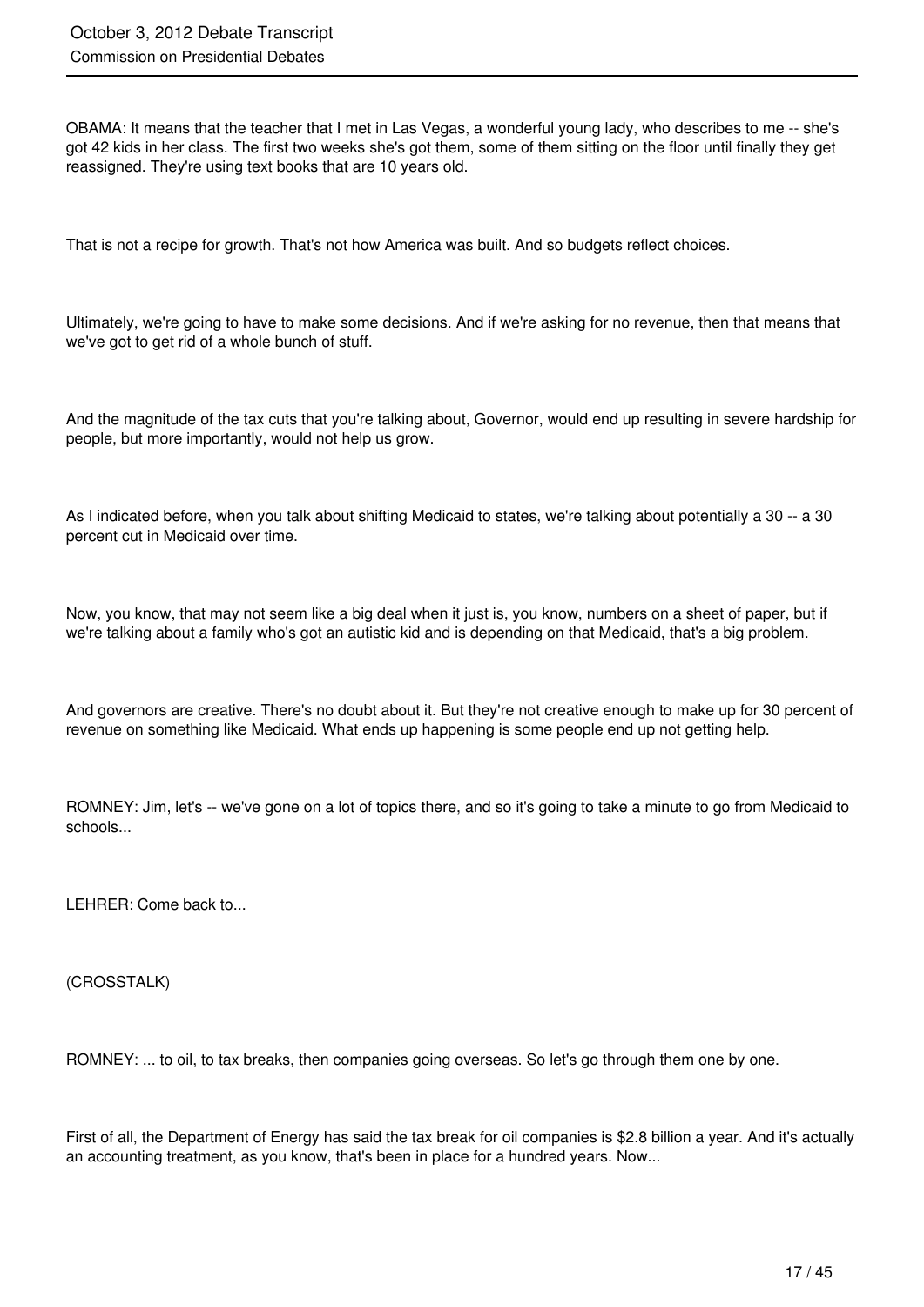OBAMA: It means that the teacher that I met in Las Vegas, a wonderful young lady, who describes to me -- she's got 42 kids in her class. The first two weeks she's got them, some of them sitting on the floor until finally they get reassigned. They're using text books that are 10 years old.

That is not a recipe for growth. That's not how America was built. And so budgets reflect choices.

Ultimately, we're going to have to make some decisions. And if we're asking for no revenue, then that means that we've got to get rid of a whole bunch of stuff.

And the magnitude of the tax cuts that you're talking about, Governor, would end up resulting in severe hardship for people, but more importantly, would not help us grow.

As I indicated before, when you talk about shifting Medicaid to states, we're talking about potentially a 30 -- a 30 percent cut in Medicaid over time.

Now, you know, that may not seem like a big deal when it just is, you know, numbers on a sheet of paper, but if we're talking about a family who's got an autistic kid and is depending on that Medicaid, that's a big problem.

And governors are creative. There's no doubt about it. But they're not creative enough to make up for 30 percent of revenue on something like Medicaid. What ends up happening is some people end up not getting help.

ROMNEY: Jim, let's -- we've gone on a lot of topics there, and so it's going to take a minute to go from Medicaid to schools...

LEHRER: Come back to...

(CROSSTALK)

ROMNEY: ... to oil, to tax breaks, then companies going overseas. So let's go through them one by one.

First of all, the Department of Energy has said the tax break for oil companies is \$2.8 billion a year. And it's actually an accounting treatment, as you know, that's been in place for a hundred years. Now...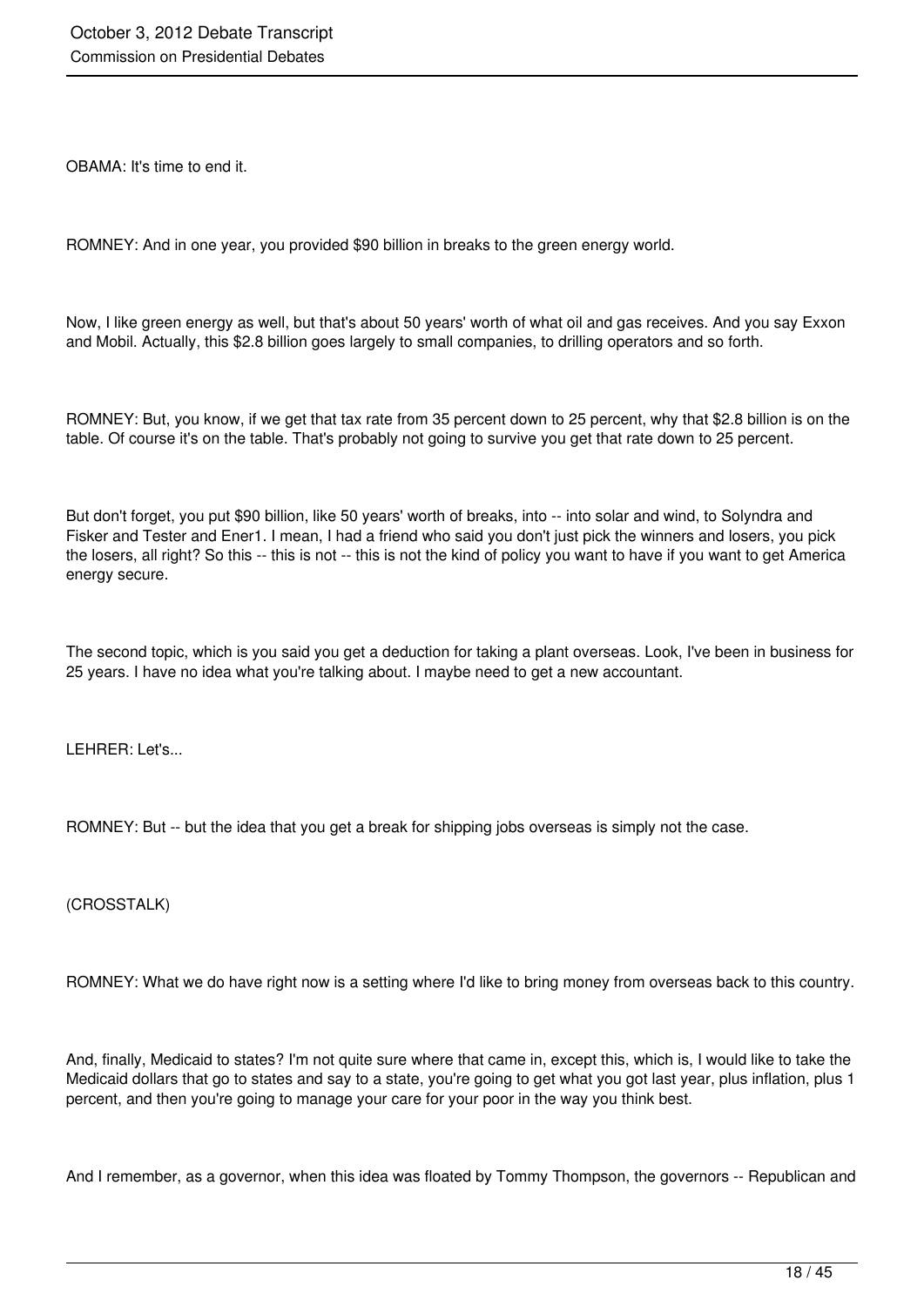OBAMA: It's time to end it.

ROMNEY: And in one year, you provided \$90 billion in breaks to the green energy world.

Now, I like green energy as well, but that's about 50 years' worth of what oil and gas receives. And you say Exxon and Mobil. Actually, this \$2.8 billion goes largely to small companies, to drilling operators and so forth.

ROMNEY: But, you know, if we get that tax rate from 35 percent down to 25 percent, why that \$2.8 billion is on the table. Of course it's on the table. That's probably not going to survive you get that rate down to 25 percent.

But don't forget, you put \$90 billion, like 50 years' worth of breaks, into -- into solar and wind, to Solyndra and Fisker and Tester and Ener1. I mean, I had a friend who said you don't just pick the winners and losers, you pick the losers, all right? So this -- this is not -- this is not the kind of policy you want to have if you want to get America energy secure.

The second topic, which is you said you get a deduction for taking a plant overseas. Look, I've been in business for 25 years. I have no idea what you're talking about. I maybe need to get a new accountant.

LEHRER: Let's...

ROMNEY: But -- but the idea that you get a break for shipping jobs overseas is simply not the case.

(CROSSTALK)

ROMNEY: What we do have right now is a setting where I'd like to bring money from overseas back to this country.

And, finally, Medicaid to states? I'm not quite sure where that came in, except this, which is, I would like to take the Medicaid dollars that go to states and say to a state, you're going to get what you got last year, plus inflation, plus 1 percent, and then you're going to manage your care for your poor in the way you think best.

And I remember, as a governor, when this idea was floated by Tommy Thompson, the governors -- Republican and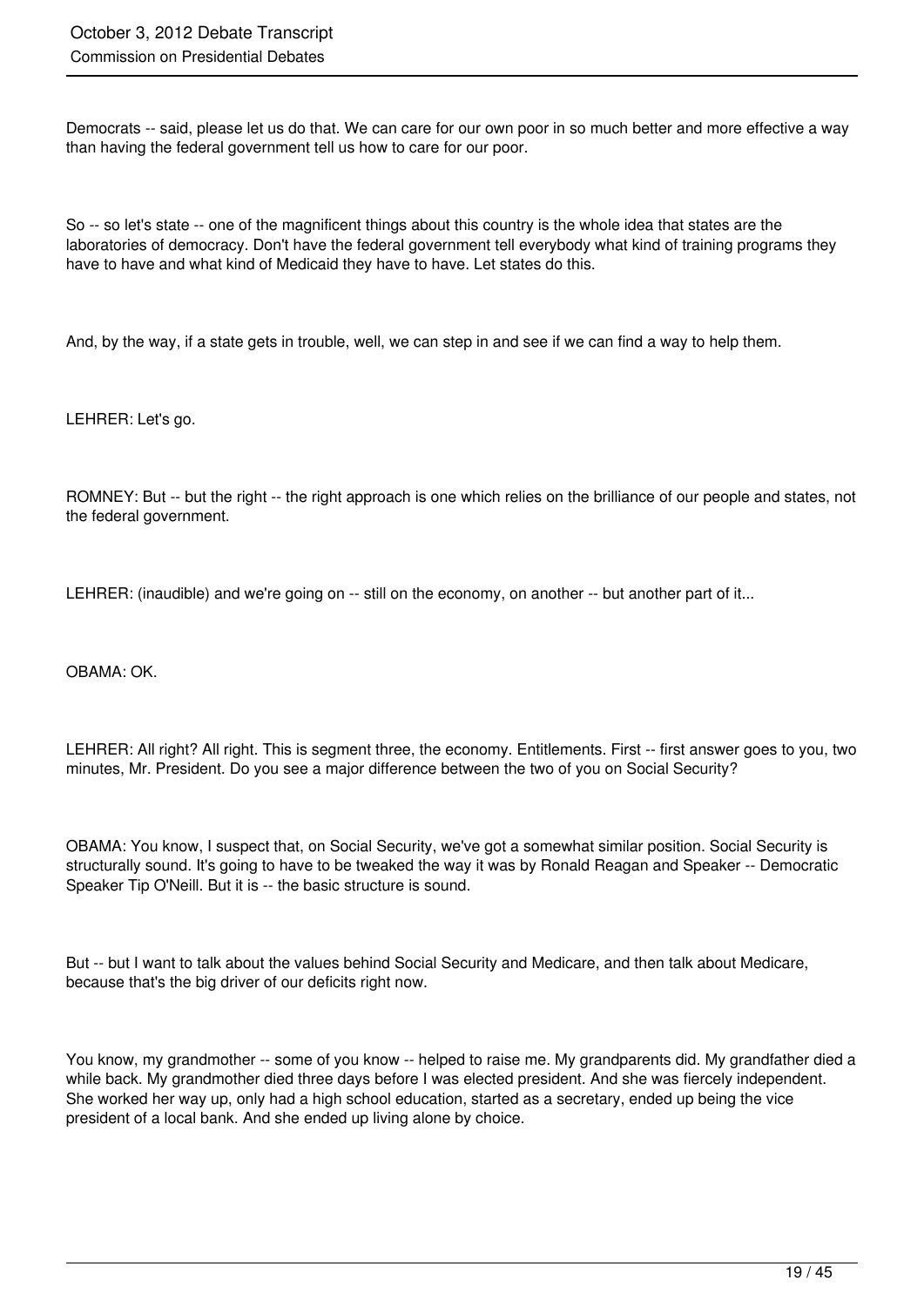Democrats -- said, please let us do that. We can care for our own poor in so much better and more effective a way than having the federal government tell us how to care for our poor.

So -- so let's state -- one of the magnificent things about this country is the whole idea that states are the laboratories of democracy. Don't have the federal government tell everybody what kind of training programs they have to have and what kind of Medicaid they have to have. Let states do this.

And, by the way, if a state gets in trouble, well, we can step in and see if we can find a way to help them.

LEHRER: Let's go.

ROMNEY: But -- but the right -- the right approach is one which relies on the brilliance of our people and states, not the federal government.

LEHRER: (inaudible) and we're going on -- still on the economy, on another -- but another part of it...

OBAMA: OK.

LEHRER: All right? All right. This is segment three, the economy. Entitlements. First -- first answer goes to you, two minutes, Mr. President. Do you see a major difference between the two of you on Social Security?

OBAMA: You know, I suspect that, on Social Security, we've got a somewhat similar position. Social Security is structurally sound. It's going to have to be tweaked the way it was by Ronald Reagan and Speaker -- Democratic Speaker Tip O'Neill. But it is -- the basic structure is sound.

But -- but I want to talk about the values behind Social Security and Medicare, and then talk about Medicare, because that's the big driver of our deficits right now.

You know, my grandmother -- some of you know -- helped to raise me. My grandparents did. My grandfather died a while back. My grandmother died three days before I was elected president. And she was fiercely independent. She worked her way up, only had a high school education, started as a secretary, ended up being the vice president of a local bank. And she ended up living alone by choice.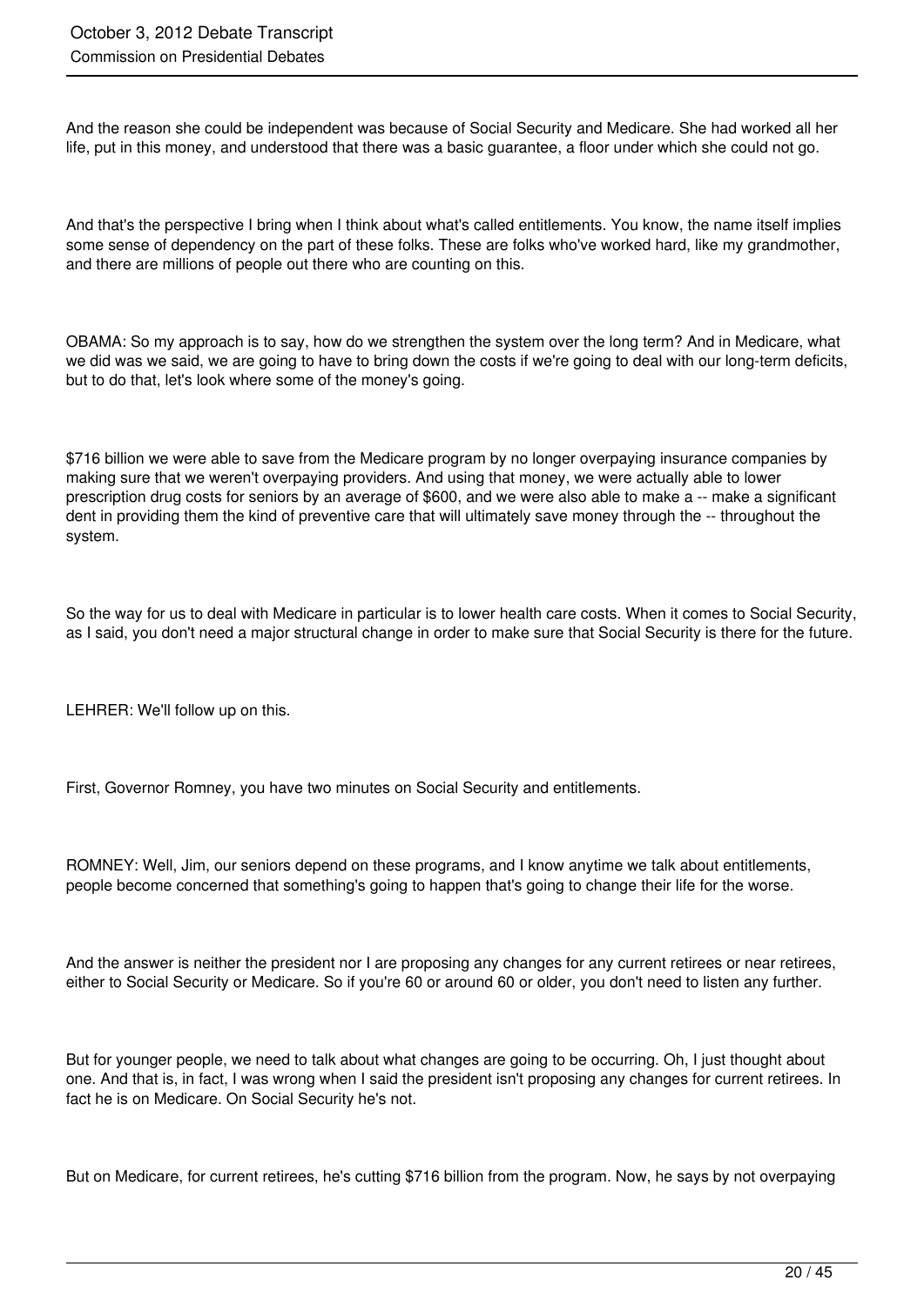And the reason she could be independent was because of Social Security and Medicare. She had worked all her life, put in this money, and understood that there was a basic guarantee, a floor under which she could not go.

And that's the perspective I bring when I think about what's called entitlements. You know, the name itself implies some sense of dependency on the part of these folks. These are folks who've worked hard, like my grandmother, and there are millions of people out there who are counting on this.

OBAMA: So my approach is to say, how do we strengthen the system over the long term? And in Medicare, what we did was we said, we are going to have to bring down the costs if we're going to deal with our long-term deficits, but to do that, let's look where some of the money's going.

\$716 billion we were able to save from the Medicare program by no longer overpaying insurance companies by making sure that we weren't overpaying providers. And using that money, we were actually able to lower prescription drug costs for seniors by an average of \$600, and we were also able to make a -- make a significant dent in providing them the kind of preventive care that will ultimately save money through the -- throughout the system.

So the way for us to deal with Medicare in particular is to lower health care costs. When it comes to Social Security, as I said, you don't need a major structural change in order to make sure that Social Security is there for the future.

LEHRER: We'll follow up on this.

First, Governor Romney, you have two minutes on Social Security and entitlements.

ROMNEY: Well, Jim, our seniors depend on these programs, and I know anytime we talk about entitlements, people become concerned that something's going to happen that's going to change their life for the worse.

And the answer is neither the president nor I are proposing any changes for any current retirees or near retirees, either to Social Security or Medicare. So if you're 60 or around 60 or older, you don't need to listen any further.

But for younger people, we need to talk about what changes are going to be occurring. Oh, I just thought about one. And that is, in fact, I was wrong when I said the president isn't proposing any changes for current retirees. In fact he is on Medicare. On Social Security he's not.

But on Medicare, for current retirees, he's cutting \$716 billion from the program. Now, he says by not overpaying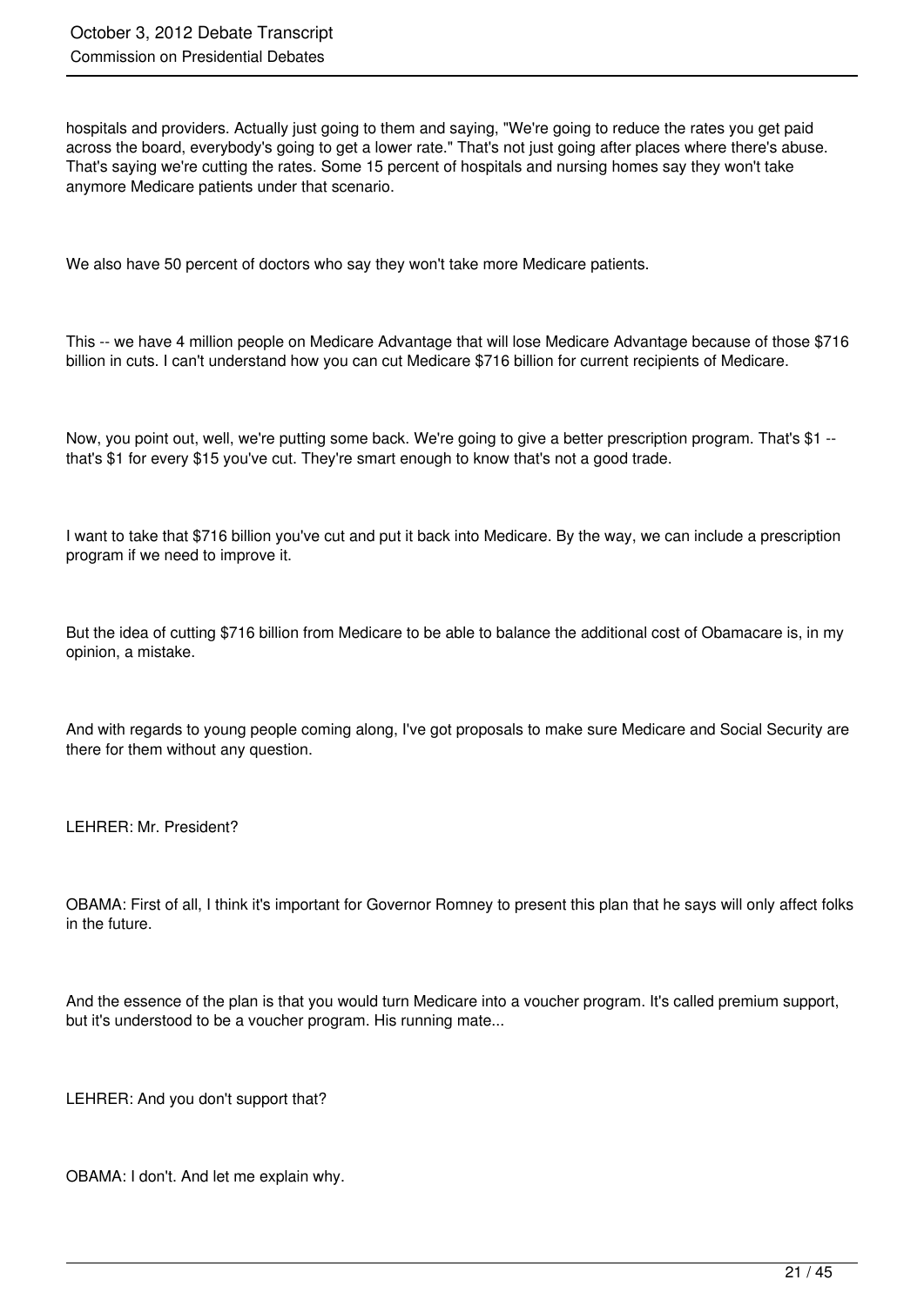hospitals and providers. Actually just going to them and saying, "We're going to reduce the rates you get paid across the board, everybody's going to get a lower rate." That's not just going after places where there's abuse. That's saying we're cutting the rates. Some 15 percent of hospitals and nursing homes say they won't take anymore Medicare patients under that scenario.

We also have 50 percent of doctors who say they won't take more Medicare patients.

This -- we have 4 million people on Medicare Advantage that will lose Medicare Advantage because of those \$716 billion in cuts. I can't understand how you can cut Medicare \$716 billion for current recipients of Medicare.

Now, you point out, well, we're putting some back. We're going to give a better prescription program. That's \$1 - that's \$1 for every \$15 you've cut. They're smart enough to know that's not a good trade.

I want to take that \$716 billion you've cut and put it back into Medicare. By the way, we can include a prescription program if we need to improve it.

But the idea of cutting \$716 billion from Medicare to be able to balance the additional cost of Obamacare is, in my opinion, a mistake.

And with regards to young people coming along, I've got proposals to make sure Medicare and Social Security are there for them without any question.

LEHRER: Mr. President?

OBAMA: First of all, I think it's important for Governor Romney to present this plan that he says will only affect folks in the future.

And the essence of the plan is that you would turn Medicare into a voucher program. It's called premium support, but it's understood to be a voucher program. His running mate...

LEHRER: And you don't support that?

OBAMA: I don't. And let me explain why.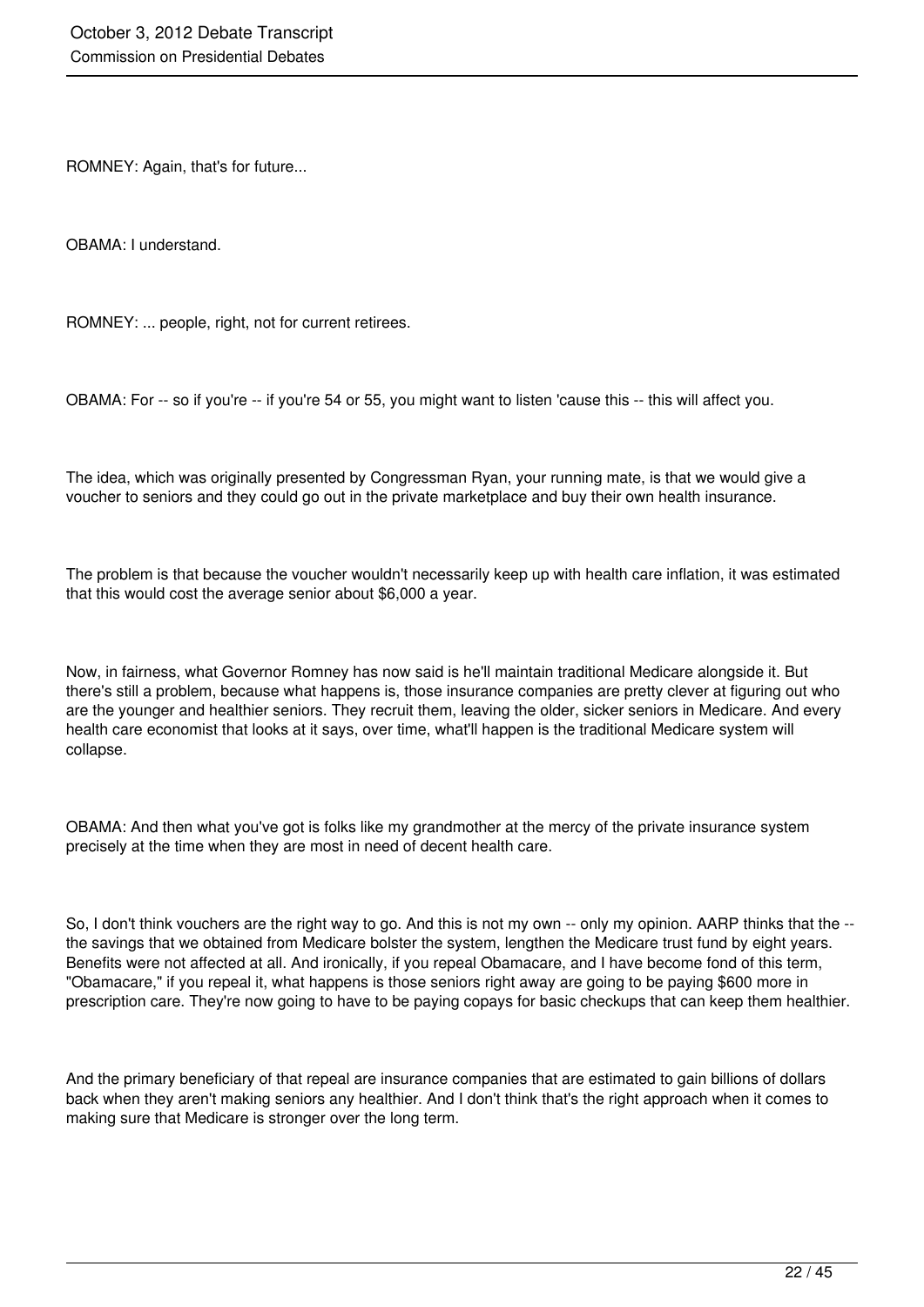ROMNEY: Again, that's for future...

OBAMA: I understand.

ROMNEY: ... people, right, not for current retirees.

OBAMA: For -- so if you're -- if you're 54 or 55, you might want to listen 'cause this -- this will affect you.

The idea, which was originally presented by Congressman Ryan, your running mate, is that we would give a voucher to seniors and they could go out in the private marketplace and buy their own health insurance.

The problem is that because the voucher wouldn't necessarily keep up with health care inflation, it was estimated that this would cost the average senior about \$6,000 a year.

Now, in fairness, what Governor Romney has now said is he'll maintain traditional Medicare alongside it. But there's still a problem, because what happens is, those insurance companies are pretty clever at figuring out who are the younger and healthier seniors. They recruit them, leaving the older, sicker seniors in Medicare. And every health care economist that looks at it says, over time, what'll happen is the traditional Medicare system will collapse.

OBAMA: And then what you've got is folks like my grandmother at the mercy of the private insurance system precisely at the time when they are most in need of decent health care.

So, I don't think vouchers are the right way to go. And this is not my own -- only my opinion. AARP thinks that the - the savings that we obtained from Medicare bolster the system, lengthen the Medicare trust fund by eight years. Benefits were not affected at all. And ironically, if you repeal Obamacare, and I have become fond of this term, "Obamacare," if you repeal it, what happens is those seniors right away are going to be paying \$600 more in prescription care. They're now going to have to be paying copays for basic checkups that can keep them healthier.

And the primary beneficiary of that repeal are insurance companies that are estimated to gain billions of dollars back when they aren't making seniors any healthier. And I don't think that's the right approach when it comes to making sure that Medicare is stronger over the long term.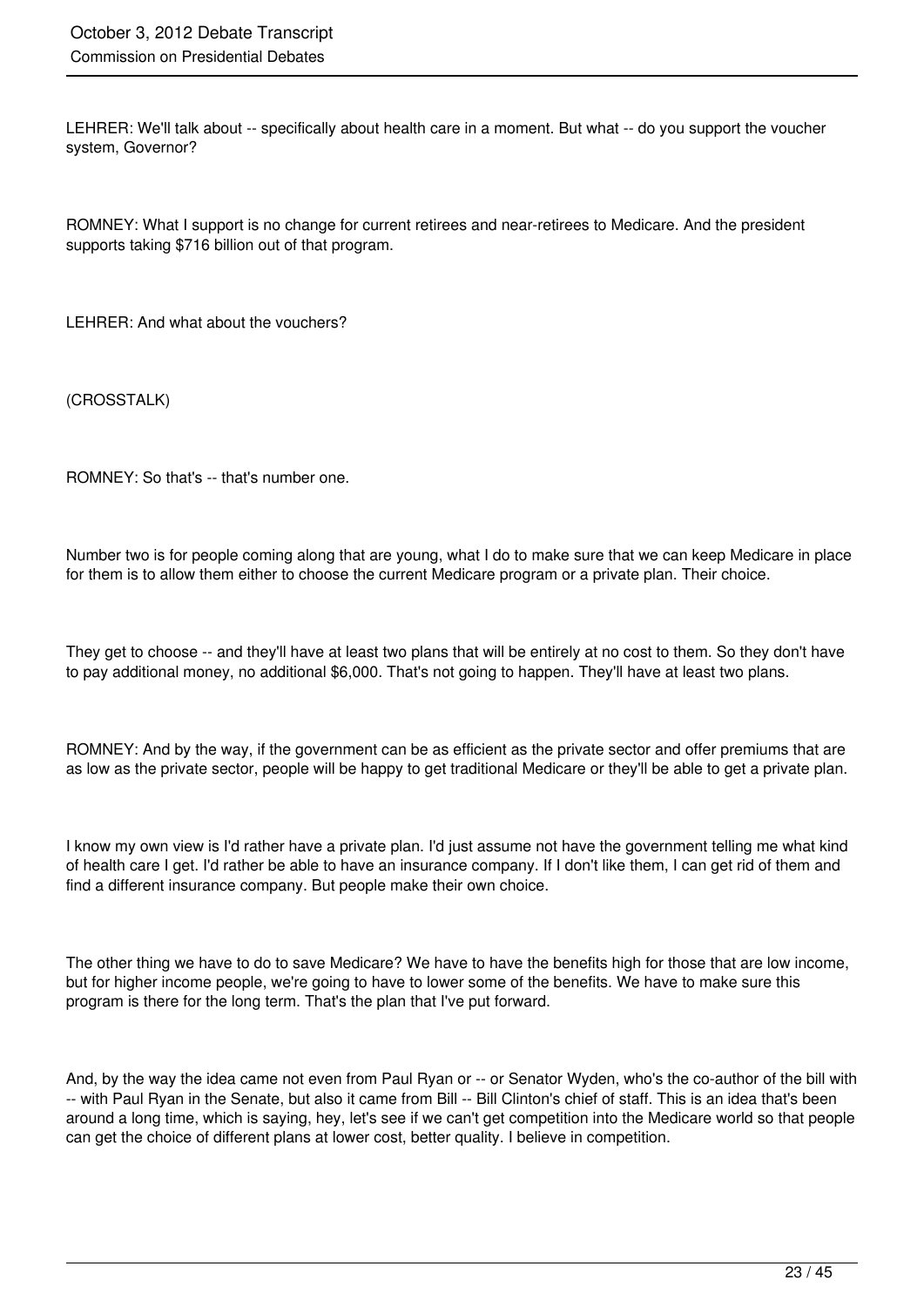LEHRER: We'll talk about -- specifically about health care in a moment. But what -- do you support the voucher system, Governor?

ROMNEY: What I support is no change for current retirees and near-retirees to Medicare. And the president supports taking \$716 billion out of that program.

LEHRER: And what about the vouchers?

(CROSSTALK)

ROMNEY: So that's -- that's number one.

Number two is for people coming along that are young, what I do to make sure that we can keep Medicare in place for them is to allow them either to choose the current Medicare program or a private plan. Their choice.

They get to choose -- and they'll have at least two plans that will be entirely at no cost to them. So they don't have to pay additional money, no additional \$6,000. That's not going to happen. They'll have at least two plans.

ROMNEY: And by the way, if the government can be as efficient as the private sector and offer premiums that are as low as the private sector, people will be happy to get traditional Medicare or they'll be able to get a private plan.

I know my own view is I'd rather have a private plan. I'd just assume not have the government telling me what kind of health care I get. I'd rather be able to have an insurance company. If I don't like them, I can get rid of them and find a different insurance company. But people make their own choice.

The other thing we have to do to save Medicare? We have to have the benefits high for those that are low income, but for higher income people, we're going to have to lower some of the benefits. We have to make sure this program is there for the long term. That's the plan that I've put forward.

And, by the way the idea came not even from Paul Ryan or -- or Senator Wyden, who's the co-author of the bill with -- with Paul Ryan in the Senate, but also it came from Bill -- Bill Clinton's chief of staff. This is an idea that's been around a long time, which is saying, hey, let's see if we can't get competition into the Medicare world so that people can get the choice of different plans at lower cost, better quality. I believe in competition.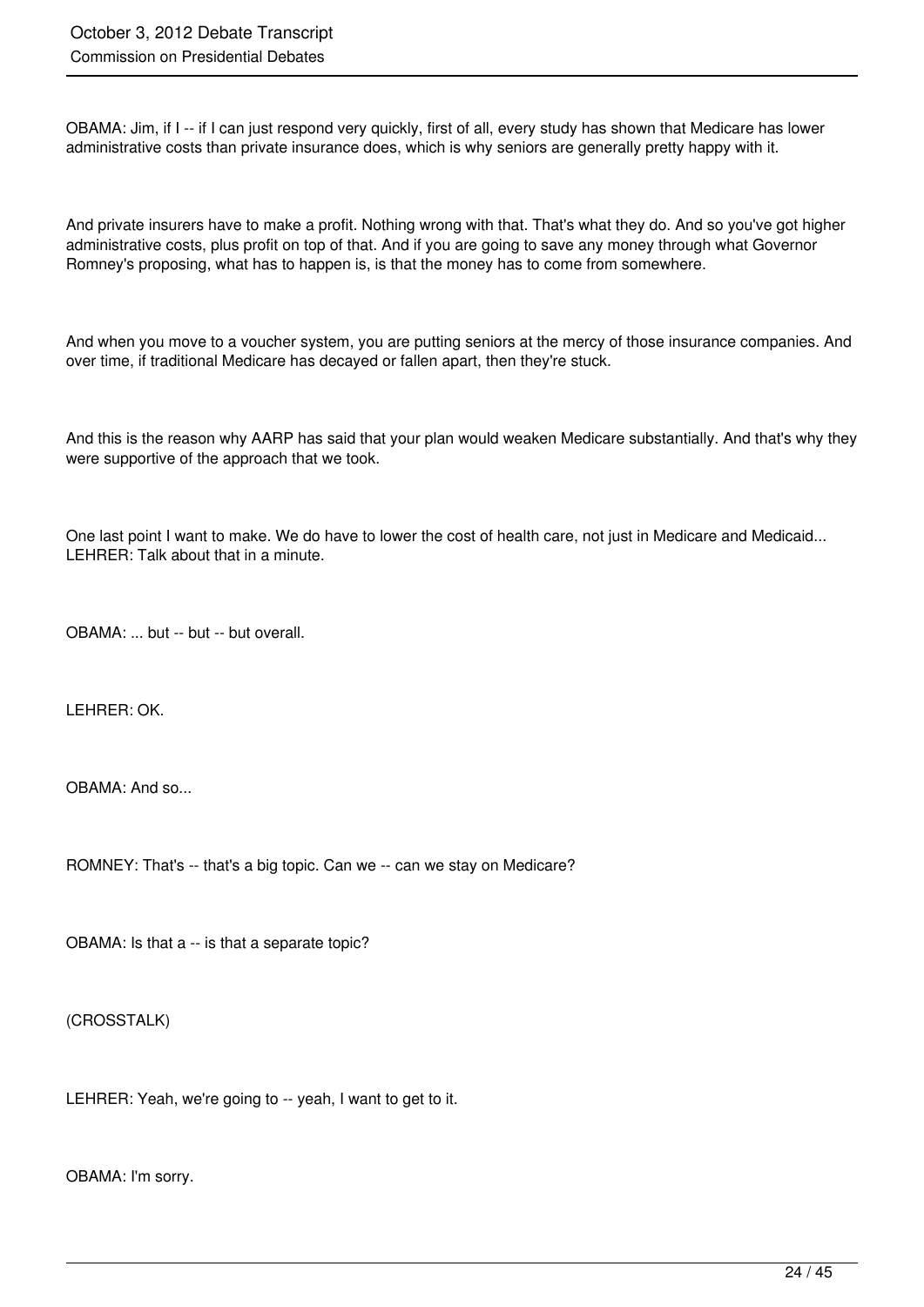OBAMA: Jim, if I -- if I can just respond very quickly, first of all, every study has shown that Medicare has lower administrative costs than private insurance does, which is why seniors are generally pretty happy with it.

And private insurers have to make a profit. Nothing wrong with that. That's what they do. And so you've got higher administrative costs, plus profit on top of that. And if you are going to save any money through what Governor Romney's proposing, what has to happen is, is that the money has to come from somewhere.

And when you move to a voucher system, you are putting seniors at the mercy of those insurance companies. And over time, if traditional Medicare has decayed or fallen apart, then they're stuck.

And this is the reason why AARP has said that your plan would weaken Medicare substantially. And that's why they were supportive of the approach that we took.

One last point I want to make. We do have to lower the cost of health care, not just in Medicare and Medicaid... LEHRER: Talk about that in a minute.

OBAMA: ... but -- but -- but overall.

LEHRER: OK.

OBAMA: And so...

ROMNEY: That's -- that's a big topic. Can we -- can we stay on Medicare?

OBAMA: Is that a -- is that a separate topic?

(CROSSTALK)

LEHRER: Yeah, we're going to -- yeah, I want to get to it.

OBAMA: I'm sorry.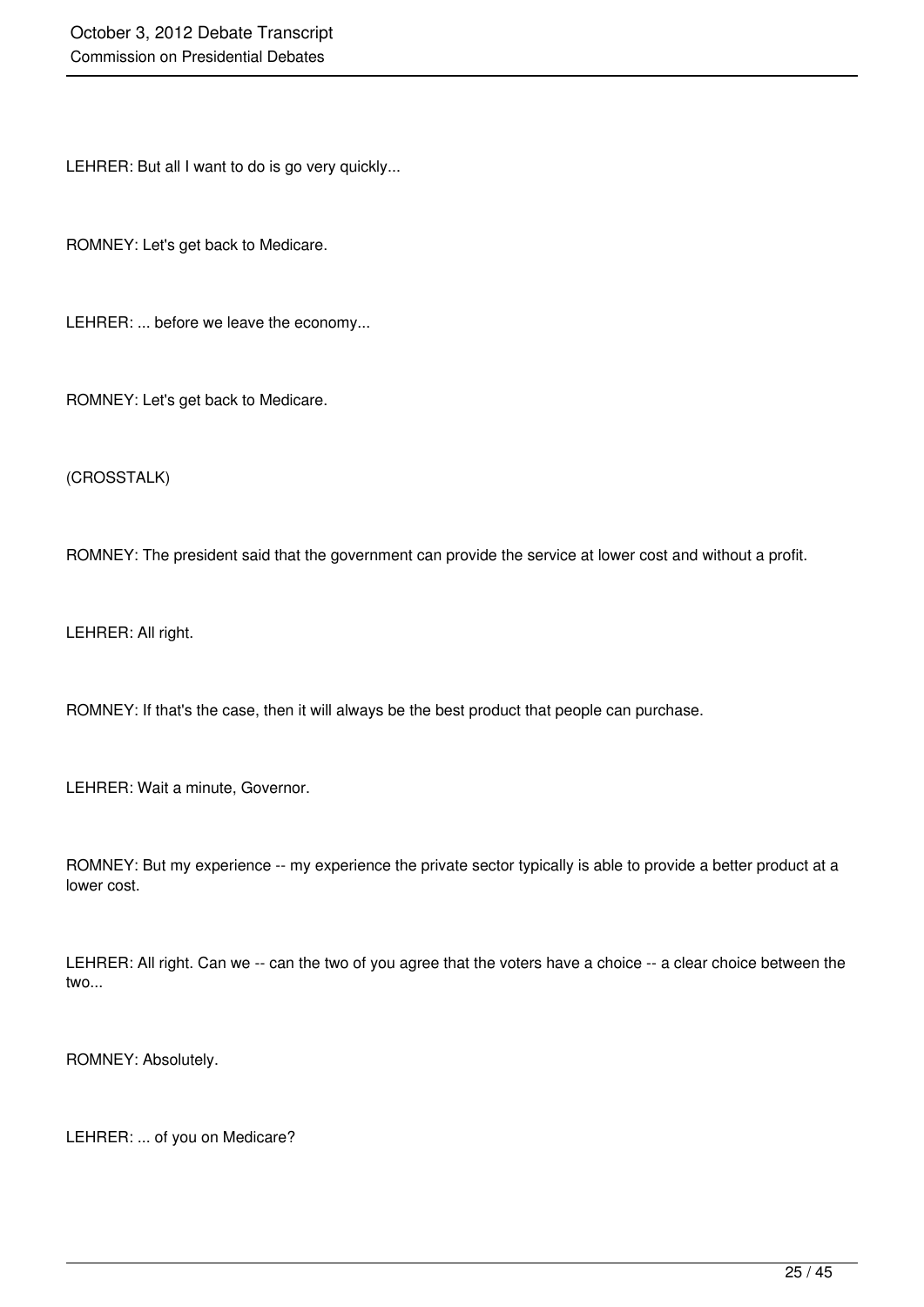LEHRER: But all I want to do is go very quickly...

ROMNEY: Let's get back to Medicare.

LEHRER: ... before we leave the economy...

ROMNEY: Let's get back to Medicare.

(CROSSTALK)

ROMNEY: The president said that the government can provide the service at lower cost and without a profit.

LEHRER: All right.

ROMNEY: If that's the case, then it will always be the best product that people can purchase.

LEHRER: Wait a minute, Governor.

ROMNEY: But my experience -- my experience the private sector typically is able to provide a better product at a lower cost.

LEHRER: All right. Can we -- can the two of you agree that the voters have a choice -- a clear choice between the two...

ROMNEY: Absolutely.

LEHRER: ... of you on Medicare?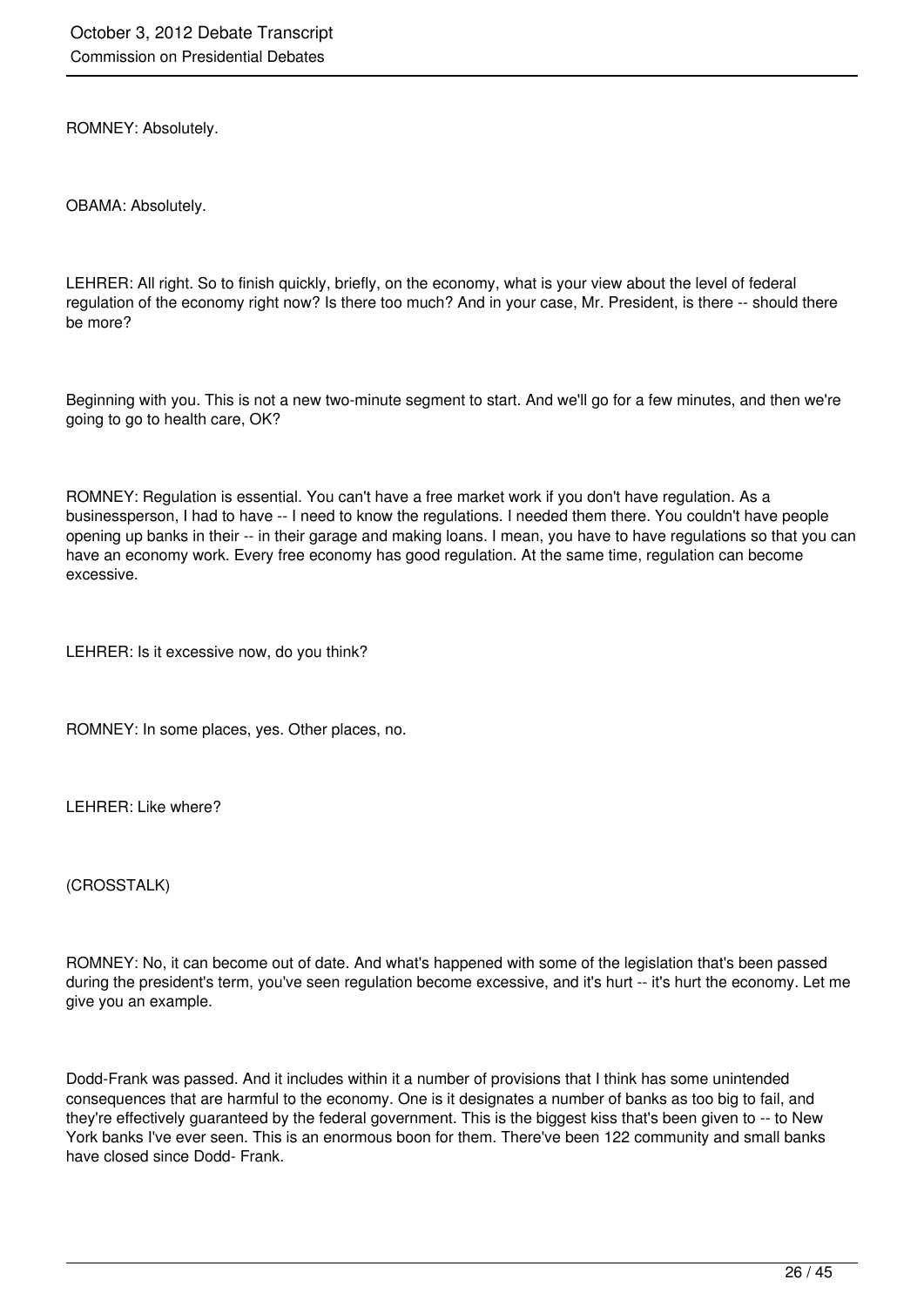ROMNEY: Absolutely.

OBAMA: Absolutely.

LEHRER: All right. So to finish quickly, briefly, on the economy, what is your view about the level of federal regulation of the economy right now? Is there too much? And in your case, Mr. President, is there -- should there be more?

Beginning with you. This is not a new two-minute segment to start. And we'll go for a few minutes, and then we're going to go to health care, OK?

ROMNEY: Regulation is essential. You can't have a free market work if you don't have regulation. As a businessperson, I had to have -- I need to know the regulations. I needed them there. You couldn't have people opening up banks in their -- in their garage and making loans. I mean, you have to have regulations so that you can have an economy work. Every free economy has good regulation. At the same time, regulation can become excessive.

LEHRER: Is it excessive now, do you think?

ROMNEY: In some places, yes. Other places, no.

LEHRER: Like where?

(CROSSTALK)

ROMNEY: No, it can become out of date. And what's happened with some of the legislation that's been passed during the president's term, you've seen regulation become excessive, and it's hurt -- it's hurt the economy. Let me give you an example.

Dodd-Frank was passed. And it includes within it a number of provisions that I think has some unintended consequences that are harmful to the economy. One is it designates a number of banks as too big to fail, and they're effectively guaranteed by the federal government. This is the biggest kiss that's been given to -- to New York banks I've ever seen. This is an enormous boon for them. There've been 122 community and small banks have closed since Dodd- Frank.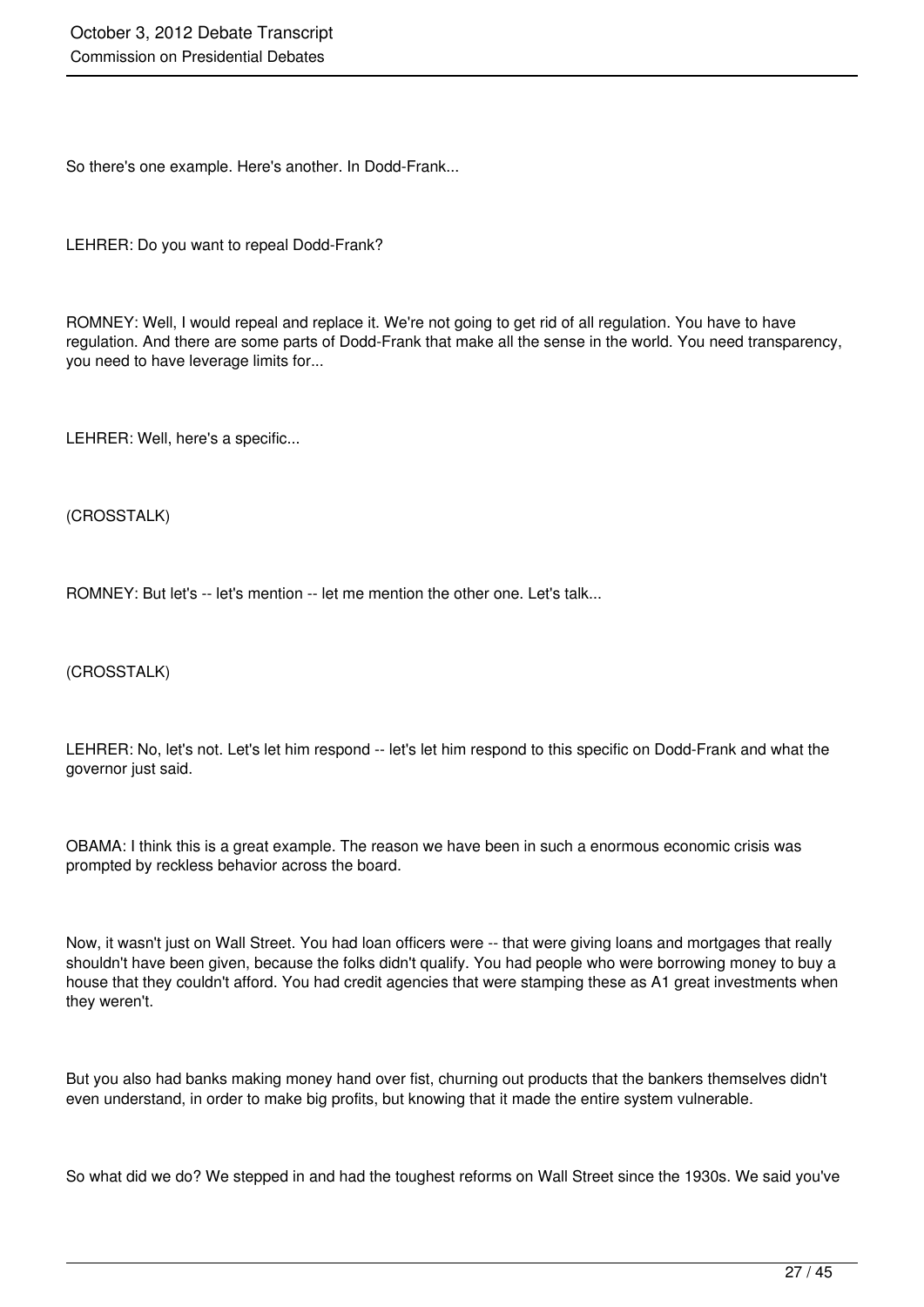So there's one example. Here's another. In Dodd-Frank...

LEHRER: Do you want to repeal Dodd-Frank?

ROMNEY: Well, I would repeal and replace it. We're not going to get rid of all regulation. You have to have regulation. And there are some parts of Dodd-Frank that make all the sense in the world. You need transparency, you need to have leverage limits for...

LEHRER: Well, here's a specific...

(CROSSTALK)

ROMNEY: But let's -- let's mention -- let me mention the other one. Let's talk...

(CROSSTALK)

LEHRER: No, let's not. Let's let him respond -- let's let him respond to this specific on Dodd-Frank and what the governor just said.

OBAMA: I think this is a great example. The reason we have been in such a enormous economic crisis was prompted by reckless behavior across the board.

Now, it wasn't just on Wall Street. You had loan officers were -- that were giving loans and mortgages that really shouldn't have been given, because the folks didn't qualify. You had people who were borrowing money to buy a house that they couldn't afford. You had credit agencies that were stamping these as A1 great investments when they weren't.

But you also had banks making money hand over fist, churning out products that the bankers themselves didn't even understand, in order to make big profits, but knowing that it made the entire system vulnerable.

So what did we do? We stepped in and had the toughest reforms on Wall Street since the 1930s. We said you've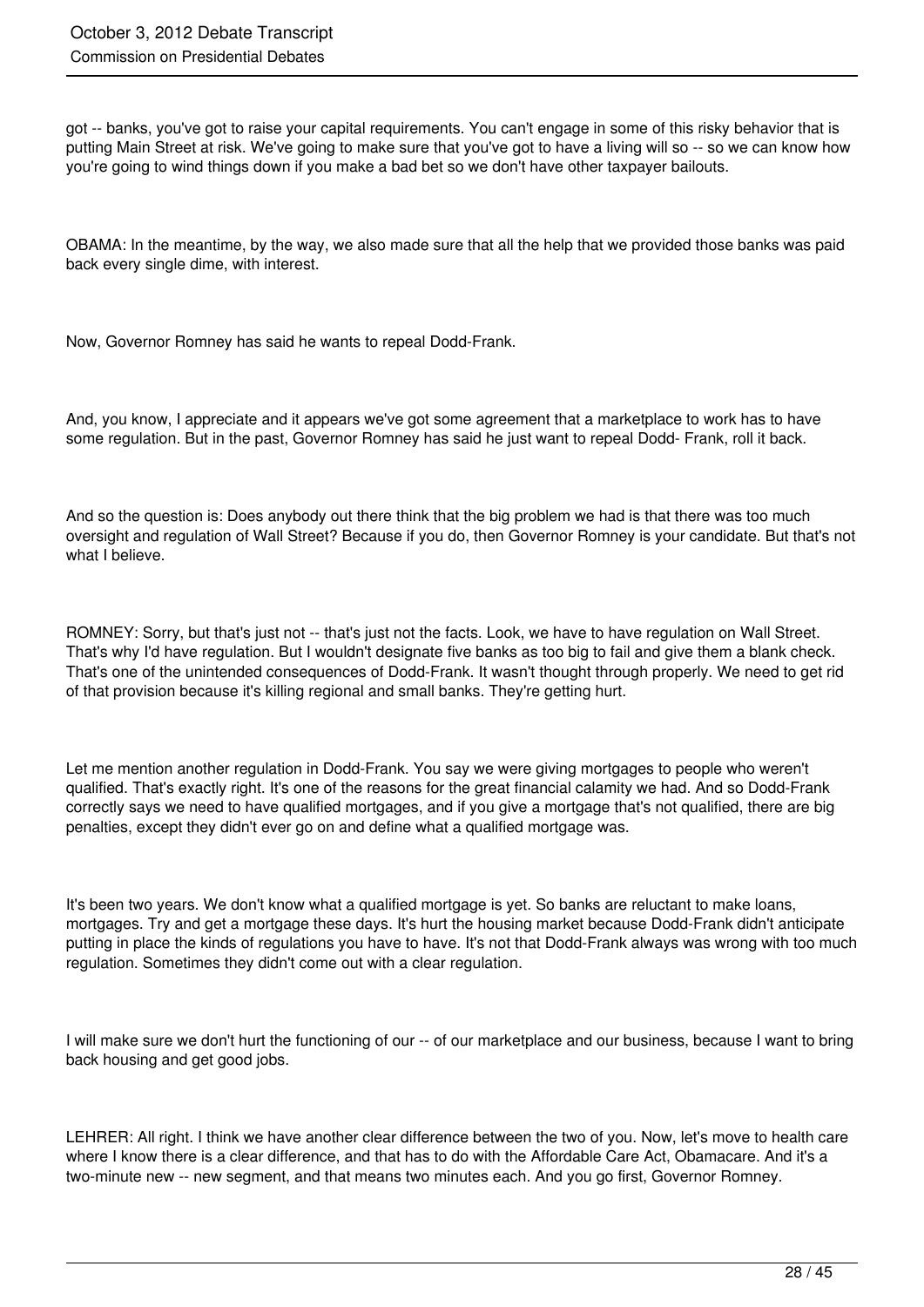got -- banks, you've got to raise your capital requirements. You can't engage in some of this risky behavior that is putting Main Street at risk. We've going to make sure that you've got to have a living will so -- so we can know how you're going to wind things down if you make a bad bet so we don't have other taxpayer bailouts.

OBAMA: In the meantime, by the way, we also made sure that all the help that we provided those banks was paid back every single dime, with interest.

Now, Governor Romney has said he wants to repeal Dodd-Frank.

And, you know, I appreciate and it appears we've got some agreement that a marketplace to work has to have some regulation. But in the past, Governor Romney has said he just want to repeal Dodd- Frank, roll it back.

And so the question is: Does anybody out there think that the big problem we had is that there was too much oversight and regulation of Wall Street? Because if you do, then Governor Romney is your candidate. But that's not what I believe.

ROMNEY: Sorry, but that's just not -- that's just not the facts. Look, we have to have regulation on Wall Street. That's why I'd have regulation. But I wouldn't designate five banks as too big to fail and give them a blank check. That's one of the unintended consequences of Dodd-Frank. It wasn't thought through properly. We need to get rid of that provision because it's killing regional and small banks. They're getting hurt.

Let me mention another regulation in Dodd-Frank. You say we were giving mortgages to people who weren't qualified. That's exactly right. It's one of the reasons for the great financial calamity we had. And so Dodd-Frank correctly says we need to have qualified mortgages, and if you give a mortgage that's not qualified, there are big penalties, except they didn't ever go on and define what a qualified mortgage was.

It's been two years. We don't know what a qualified mortgage is yet. So banks are reluctant to make loans, mortgages. Try and get a mortgage these days. It's hurt the housing market because Dodd-Frank didn't anticipate putting in place the kinds of regulations you have to have. It's not that Dodd-Frank always was wrong with too much regulation. Sometimes they didn't come out with a clear regulation.

I will make sure we don't hurt the functioning of our -- of our marketplace and our business, because I want to bring back housing and get good jobs.

LEHRER: All right. I think we have another clear difference between the two of you. Now, let's move to health care where I know there is a clear difference, and that has to do with the Affordable Care Act, Obamacare. And it's a two-minute new -- new segment, and that means two minutes each. And you go first, Governor Romney.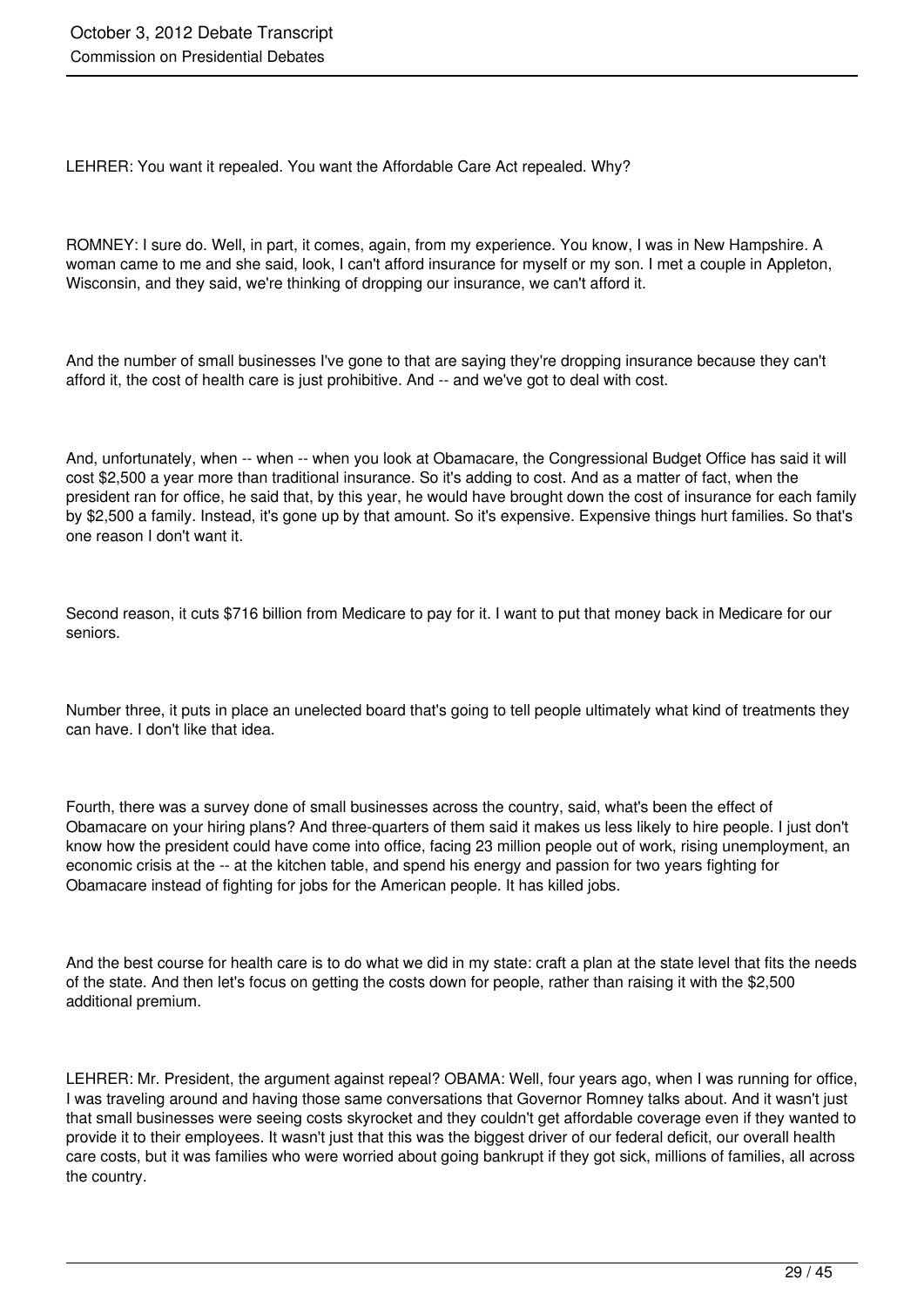LEHRER: You want it repealed. You want the Affordable Care Act repealed. Why?

ROMNEY: I sure do. Well, in part, it comes, again, from my experience. You know, I was in New Hampshire. A woman came to me and she said, look, I can't afford insurance for myself or my son. I met a couple in Appleton, Wisconsin, and they said, we're thinking of dropping our insurance, we can't afford it.

And the number of small businesses I've gone to that are saying they're dropping insurance because they can't afford it, the cost of health care is just prohibitive. And -- and we've got to deal with cost.

And, unfortunately, when -- when -- when you look at Obamacare, the Congressional Budget Office has said it will cost \$2,500 a year more than traditional insurance. So it's adding to cost. And as a matter of fact, when the president ran for office, he said that, by this year, he would have brought down the cost of insurance for each family by \$2,500 a family. Instead, it's gone up by that amount. So it's expensive. Expensive things hurt families. So that's one reason I don't want it.

Second reason, it cuts \$716 billion from Medicare to pay for it. I want to put that money back in Medicare for our seniors.

Number three, it puts in place an unelected board that's going to tell people ultimately what kind of treatments they can have. I don't like that idea.

Fourth, there was a survey done of small businesses across the country, said, what's been the effect of Obamacare on your hiring plans? And three-quarters of them said it makes us less likely to hire people. I just don't know how the president could have come into office, facing 23 million people out of work, rising unemployment, an economic crisis at the -- at the kitchen table, and spend his energy and passion for two years fighting for Obamacare instead of fighting for jobs for the American people. It has killed jobs.

And the best course for health care is to do what we did in my state: craft a plan at the state level that fits the needs of the state. And then let's focus on getting the costs down for people, rather than raising it with the \$2,500 additional premium.

LEHRER: Mr. President, the argument against repeal? OBAMA: Well, four years ago, when I was running for office, I was traveling around and having those same conversations that Governor Romney talks about. And it wasn't just that small businesses were seeing costs skyrocket and they couldn't get affordable coverage even if they wanted to provide it to their employees. It wasn't just that this was the biggest driver of our federal deficit, our overall health care costs, but it was families who were worried about going bankrupt if they got sick, millions of families, all across the country.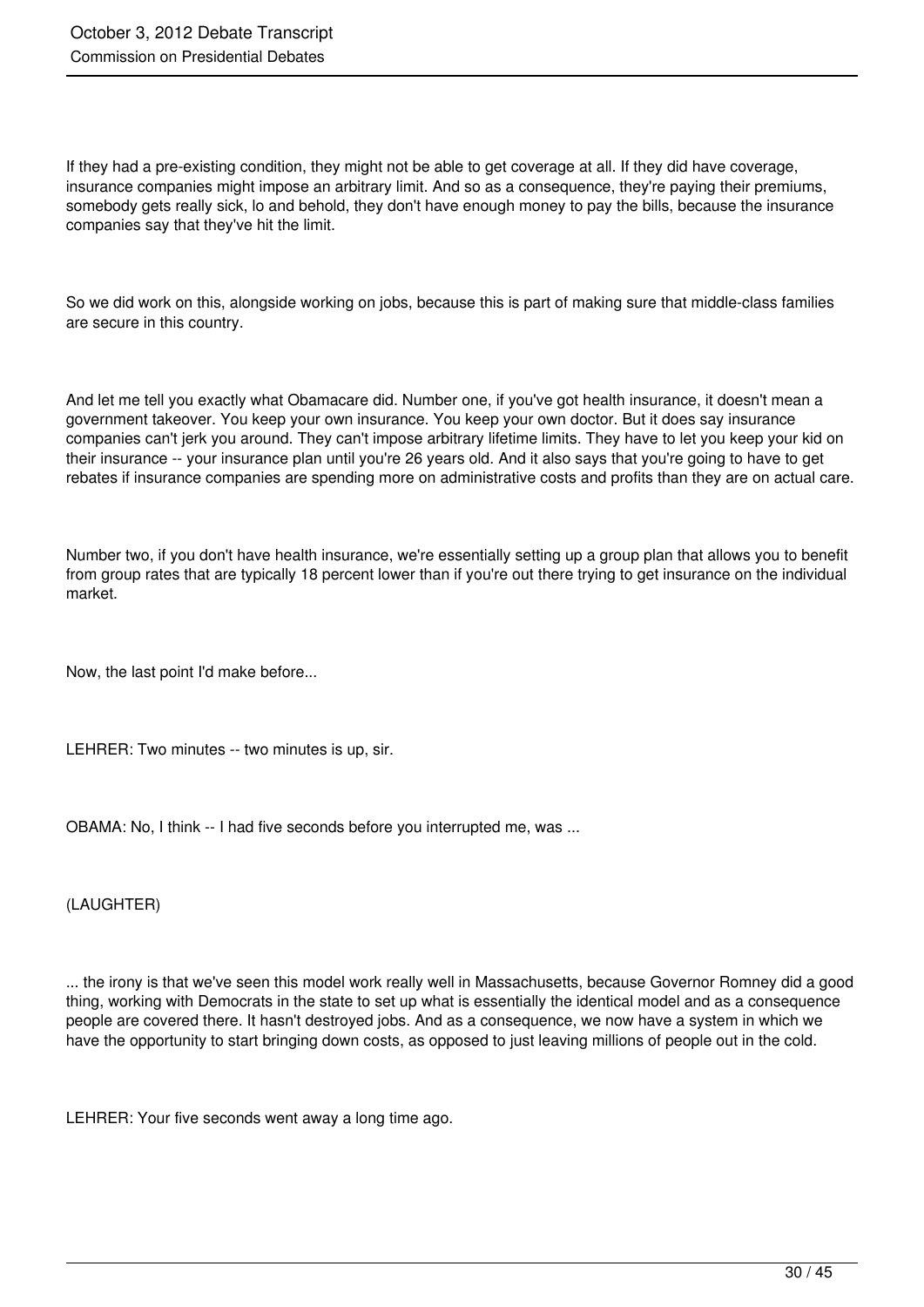If they had a pre-existing condition, they might not be able to get coverage at all. If they did have coverage, insurance companies might impose an arbitrary limit. And so as a consequence, they're paying their premiums, somebody gets really sick, lo and behold, they don't have enough money to pay the bills, because the insurance companies say that they've hit the limit.

So we did work on this, alongside working on jobs, because this is part of making sure that middle-class families are secure in this country.

And let me tell you exactly what Obamacare did. Number one, if you've got health insurance, it doesn't mean a government takeover. You keep your own insurance. You keep your own doctor. But it does say insurance companies can't jerk you around. They can't impose arbitrary lifetime limits. They have to let you keep your kid on their insurance -- your insurance plan until you're 26 years old. And it also says that you're going to have to get rebates if insurance companies are spending more on administrative costs and profits than they are on actual care.

Number two, if you don't have health insurance, we're essentially setting up a group plan that allows you to benefit from group rates that are typically 18 percent lower than if you're out there trying to get insurance on the individual market.

Now, the last point I'd make before...

LEHRER: Two minutes -- two minutes is up, sir.

OBAMA: No, I think -- I had five seconds before you interrupted me, was ...

(LAUGHTER)

... the irony is that we've seen this model work really well in Massachusetts, because Governor Romney did a good thing, working with Democrats in the state to set up what is essentially the identical model and as a consequence people are covered there. It hasn't destroyed jobs. And as a consequence, we now have a system in which we have the opportunity to start bringing down costs, as opposed to just leaving millions of people out in the cold.

LEHRER: Your five seconds went away a long time ago.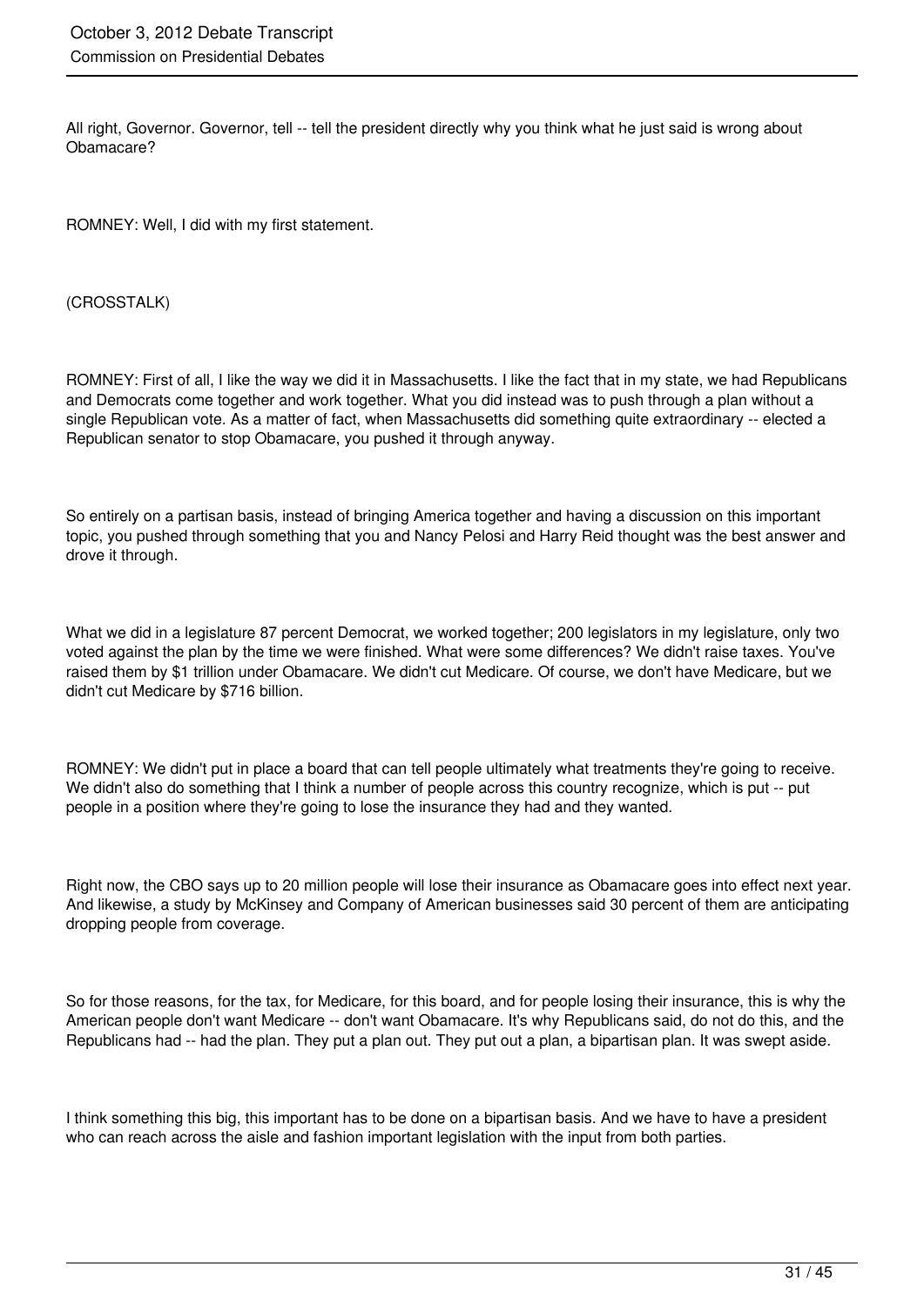All right, Governor. Governor, tell -- tell the president directly why you think what he just said is wrong about Obamacare?

ROMNEY: Well, I did with my first statement.

(CROSSTALK)

ROMNEY: First of all, I like the way we did it in Massachusetts. I like the fact that in my state, we had Republicans and Democrats come together and work together. What you did instead was to push through a plan without a single Republican vote. As a matter of fact, when Massachusetts did something quite extraordinary -- elected a Republican senator to stop Obamacare, you pushed it through anyway.

So entirely on a partisan basis, instead of bringing America together and having a discussion on this important topic, you pushed through something that you and Nancy Pelosi and Harry Reid thought was the best answer and drove it through.

What we did in a legislature 87 percent Democrat, we worked together; 200 legislators in my legislature, only two voted against the plan by the time we were finished. What were some differences? We didn't raise taxes. You've raised them by \$1 trillion under Obamacare. We didn't cut Medicare. Of course, we don't have Medicare, but we didn't cut Medicare by \$716 billion.

ROMNEY: We didn't put in place a board that can tell people ultimately what treatments they're going to receive. We didn't also do something that I think a number of people across this country recognize, which is put -- put people in a position where they're going to lose the insurance they had and they wanted.

Right now, the CBO says up to 20 million people will lose their insurance as Obamacare goes into effect next year. And likewise, a study by McKinsey and Company of American businesses said 30 percent of them are anticipating dropping people from coverage.

So for those reasons, for the tax, for Medicare, for this board, and for people losing their insurance, this is why the American people don't want Medicare -- don't want Obamacare. It's why Republicans said, do not do this, and the Republicans had -- had the plan. They put a plan out. They put out a plan, a bipartisan plan. It was swept aside.

I think something this big, this important has to be done on a bipartisan basis. And we have to have a president who can reach across the aisle and fashion important legislation with the input from both parties.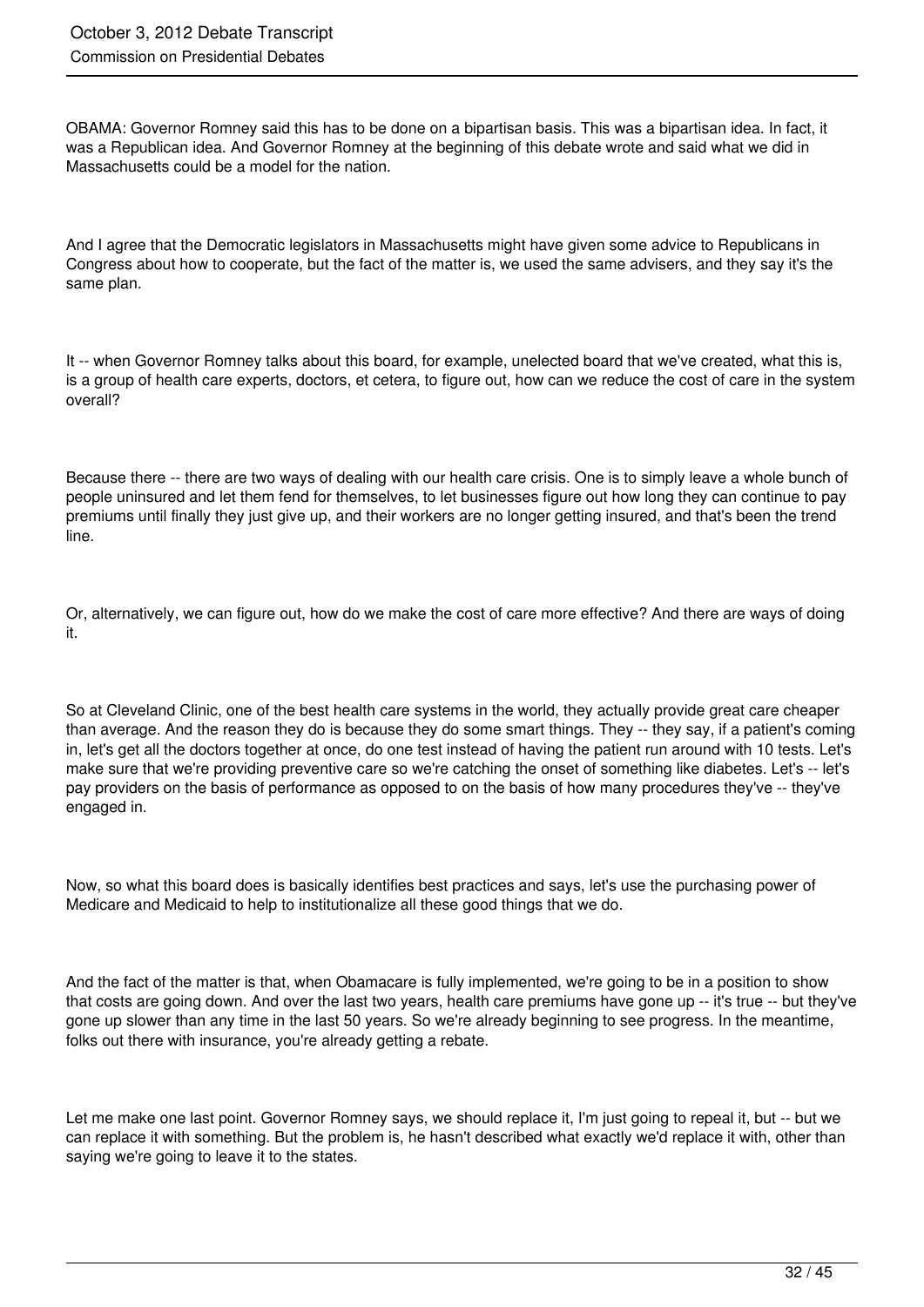OBAMA: Governor Romney said this has to be done on a bipartisan basis. This was a bipartisan idea. In fact, it was a Republican idea. And Governor Romney at the beginning of this debate wrote and said what we did in Massachusetts could be a model for the nation.

And I agree that the Democratic legislators in Massachusetts might have given some advice to Republicans in Congress about how to cooperate, but the fact of the matter is, we used the same advisers, and they say it's the same plan.

It -- when Governor Romney talks about this board, for example, unelected board that we've created, what this is, is a group of health care experts, doctors, et cetera, to figure out, how can we reduce the cost of care in the system overall?

Because there -- there are two ways of dealing with our health care crisis. One is to simply leave a whole bunch of people uninsured and let them fend for themselves, to let businesses figure out how long they can continue to pay premiums until finally they just give up, and their workers are no longer getting insured, and that's been the trend line.

Or, alternatively, we can figure out, how do we make the cost of care more effective? And there are ways of doing it.

So at Cleveland Clinic, one of the best health care systems in the world, they actually provide great care cheaper than average. And the reason they do is because they do some smart things. They -- they say, if a patient's coming in, let's get all the doctors together at once, do one test instead of having the patient run around with 10 tests. Let's make sure that we're providing preventive care so we're catching the onset of something like diabetes. Let's -- let's pay providers on the basis of performance as opposed to on the basis of how many procedures they've -- they've engaged in.

Now, so what this board does is basically identifies best practices and says, let's use the purchasing power of Medicare and Medicaid to help to institutionalize all these good things that we do.

And the fact of the matter is that, when Obamacare is fully implemented, we're going to be in a position to show that costs are going down. And over the last two years, health care premiums have gone up -- it's true -- but they've gone up slower than any time in the last 50 years. So we're already beginning to see progress. In the meantime, folks out there with insurance, you're already getting a rebate.

Let me make one last point. Governor Romney says, we should replace it, I'm just going to repeal it, but -- but we can replace it with something. But the problem is, he hasn't described what exactly we'd replace it with, other than saying we're going to leave it to the states.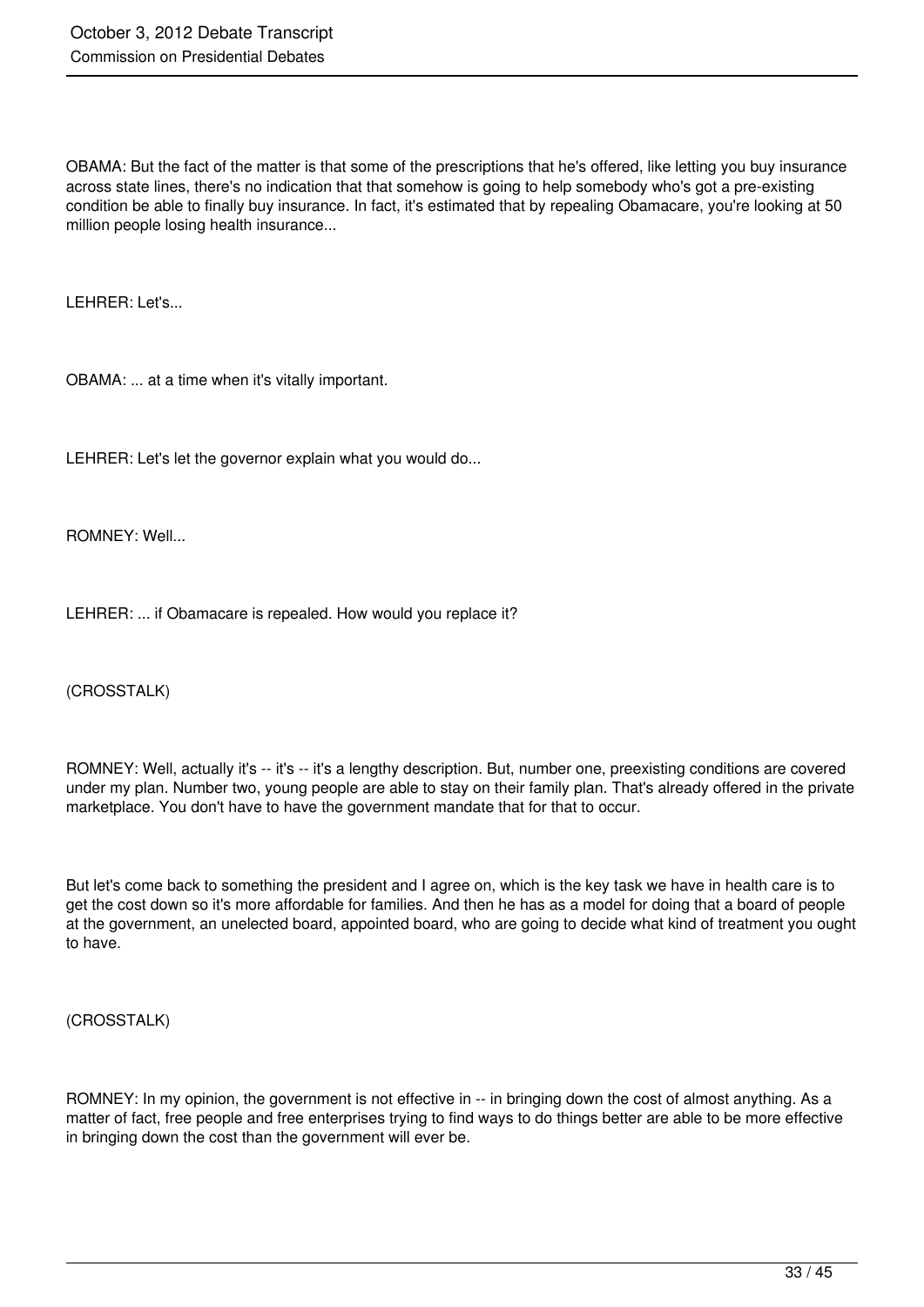OBAMA: But the fact of the matter is that some of the prescriptions that he's offered, like letting you buy insurance across state lines, there's no indication that that somehow is going to help somebody who's got a pre-existing condition be able to finally buy insurance. In fact, it's estimated that by repealing Obamacare, you're looking at 50 million people losing health insurance...

LEHRER: Let's...

OBAMA: ... at a time when it's vitally important.

LEHRER: Let's let the governor explain what you would do...

ROMNEY: Well...

LEHRER: ... if Obamacare is repealed. How would you replace it?

(CROSSTALK)

ROMNEY: Well, actually it's -- it's -- it's a lengthy description. But, number one, preexisting conditions are covered under my plan. Number two, young people are able to stay on their family plan. That's already offered in the private marketplace. You don't have to have the government mandate that for that to occur.

But let's come back to something the president and I agree on, which is the key task we have in health care is to get the cost down so it's more affordable for families. And then he has as a model for doing that a board of people at the government, an unelected board, appointed board, who are going to decide what kind of treatment you ought to have.

(CROSSTALK)

ROMNEY: In my opinion, the government is not effective in -- in bringing down the cost of almost anything. As a matter of fact, free people and free enterprises trying to find ways to do things better are able to be more effective in bringing down the cost than the government will ever be.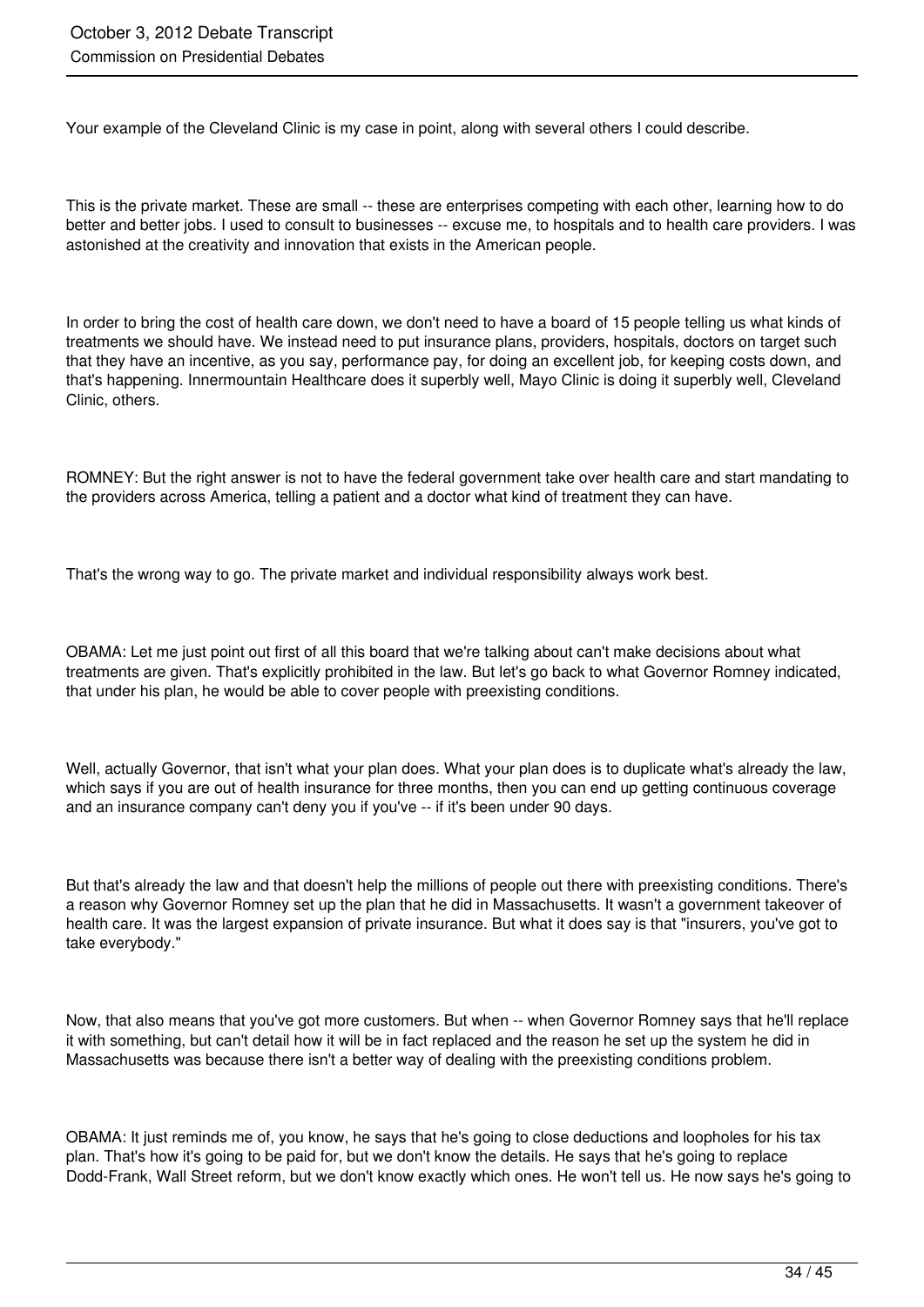Your example of the Cleveland Clinic is my case in point, along with several others I could describe.

This is the private market. These are small -- these are enterprises competing with each other, learning how to do better and better jobs. I used to consult to businesses -- excuse me, to hospitals and to health care providers. I was astonished at the creativity and innovation that exists in the American people.

In order to bring the cost of health care down, we don't need to have a board of 15 people telling us what kinds of treatments we should have. We instead need to put insurance plans, providers, hospitals, doctors on target such that they have an incentive, as you say, performance pay, for doing an excellent job, for keeping costs down, and that's happening. Innermountain Healthcare does it superbly well, Mayo Clinic is doing it superbly well, Cleveland Clinic, others.

ROMNEY: But the right answer is not to have the federal government take over health care and start mandating to the providers across America, telling a patient and a doctor what kind of treatment they can have.

That's the wrong way to go. The private market and individual responsibility always work best.

OBAMA: Let me just point out first of all this board that we're talking about can't make decisions about what treatments are given. That's explicitly prohibited in the law. But let's go back to what Governor Romney indicated, that under his plan, he would be able to cover people with preexisting conditions.

Well, actually Governor, that isn't what your plan does. What your plan does is to duplicate what's already the law, which says if you are out of health insurance for three months, then you can end up getting continuous coverage and an insurance company can't deny you if you've -- if it's been under 90 days.

But that's already the law and that doesn't help the millions of people out there with preexisting conditions. There's a reason why Governor Romney set up the plan that he did in Massachusetts. It wasn't a government takeover of health care. It was the largest expansion of private insurance. But what it does say is that "insurers, you've got to take everybody."

Now, that also means that you've got more customers. But when -- when Governor Romney says that he'll replace it with something, but can't detail how it will be in fact replaced and the reason he set up the system he did in Massachusetts was because there isn't a better way of dealing with the preexisting conditions problem.

OBAMA: It just reminds me of, you know, he says that he's going to close deductions and loopholes for his tax plan. That's how it's going to be paid for, but we don't know the details. He says that he's going to replace Dodd-Frank, Wall Street reform, but we don't know exactly which ones. He won't tell us. He now says he's going to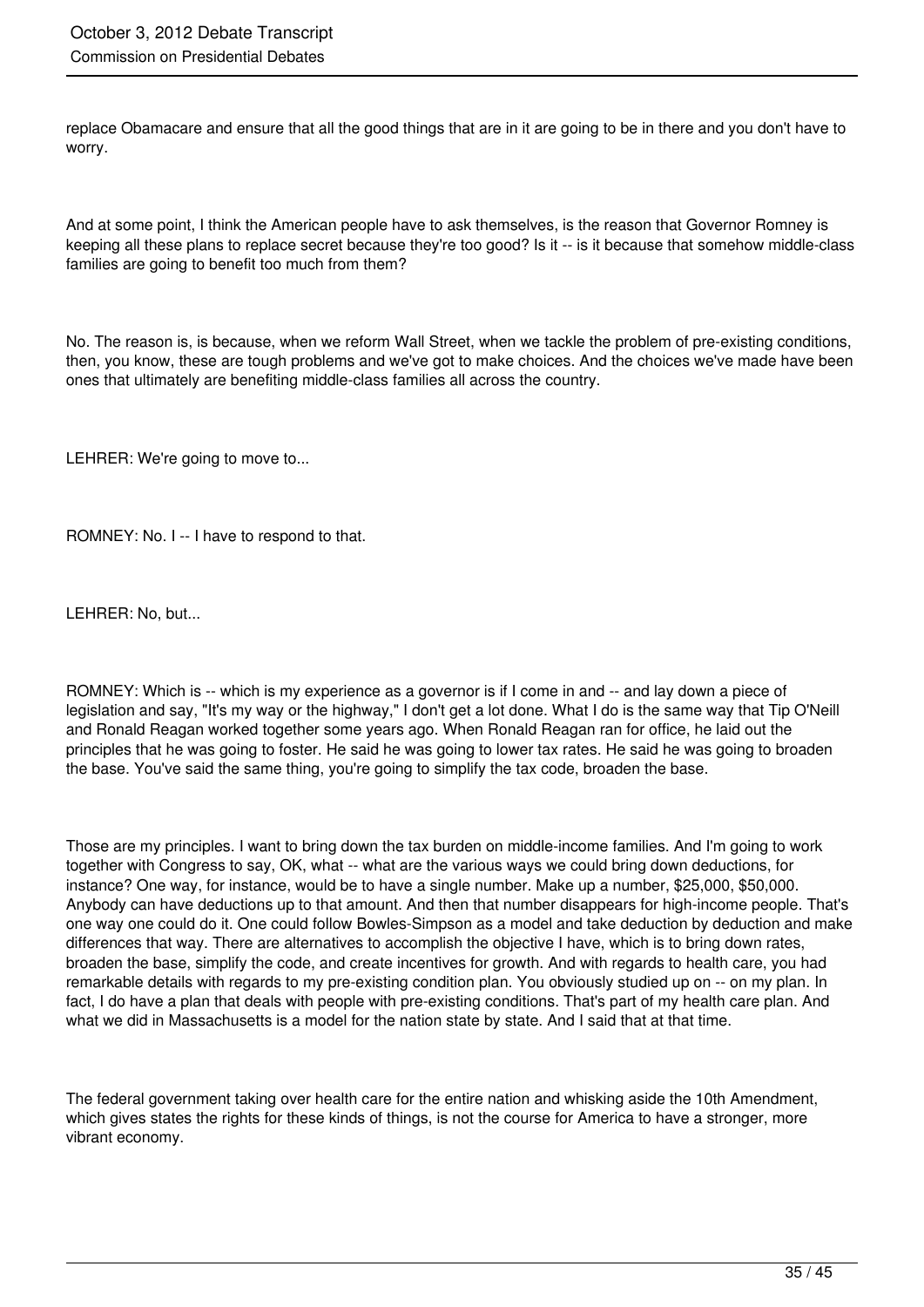replace Obamacare and ensure that all the good things that are in it are going to be in there and you don't have to worry.

And at some point, I think the American people have to ask themselves, is the reason that Governor Romney is keeping all these plans to replace secret because they're too good? Is it -- is it because that somehow middle-class families are going to benefit too much from them?

No. The reason is, is because, when we reform Wall Street, when we tackle the problem of pre-existing conditions, then, you know, these are tough problems and we've got to make choices. And the choices we've made have been ones that ultimately are benefiting middle-class families all across the country.

LEHRER: We're going to move to...

ROMNEY: No. I -- I have to respond to that.

LEHRER: No, but...

ROMNEY: Which is -- which is my experience as a governor is if I come in and -- and lay down a piece of legislation and say, "It's my way or the highway," I don't get a lot done. What I do is the same way that Tip O'Neill and Ronald Reagan worked together some years ago. When Ronald Reagan ran for office, he laid out the principles that he was going to foster. He said he was going to lower tax rates. He said he was going to broaden the base. You've said the same thing, you're going to simplify the tax code, broaden the base.

Those are my principles. I want to bring down the tax burden on middle-income families. And I'm going to work together with Congress to say, OK, what -- what are the various ways we could bring down deductions, for instance? One way, for instance, would be to have a single number. Make up a number, \$25,000, \$50,000. Anybody can have deductions up to that amount. And then that number disappears for high-income people. That's one way one could do it. One could follow Bowles-Simpson as a model and take deduction by deduction and make differences that way. There are alternatives to accomplish the objective I have, which is to bring down rates, broaden the base, simplify the code, and create incentives for growth. And with regards to health care, you had remarkable details with regards to my pre-existing condition plan. You obviously studied up on -- on my plan. In fact, I do have a plan that deals with people with pre-existing conditions. That's part of my health care plan. And what we did in Massachusetts is a model for the nation state by state. And I said that at that time.

The federal government taking over health care for the entire nation and whisking aside the 10th Amendment, which gives states the rights for these kinds of things, is not the course for America to have a stronger, more vibrant economy.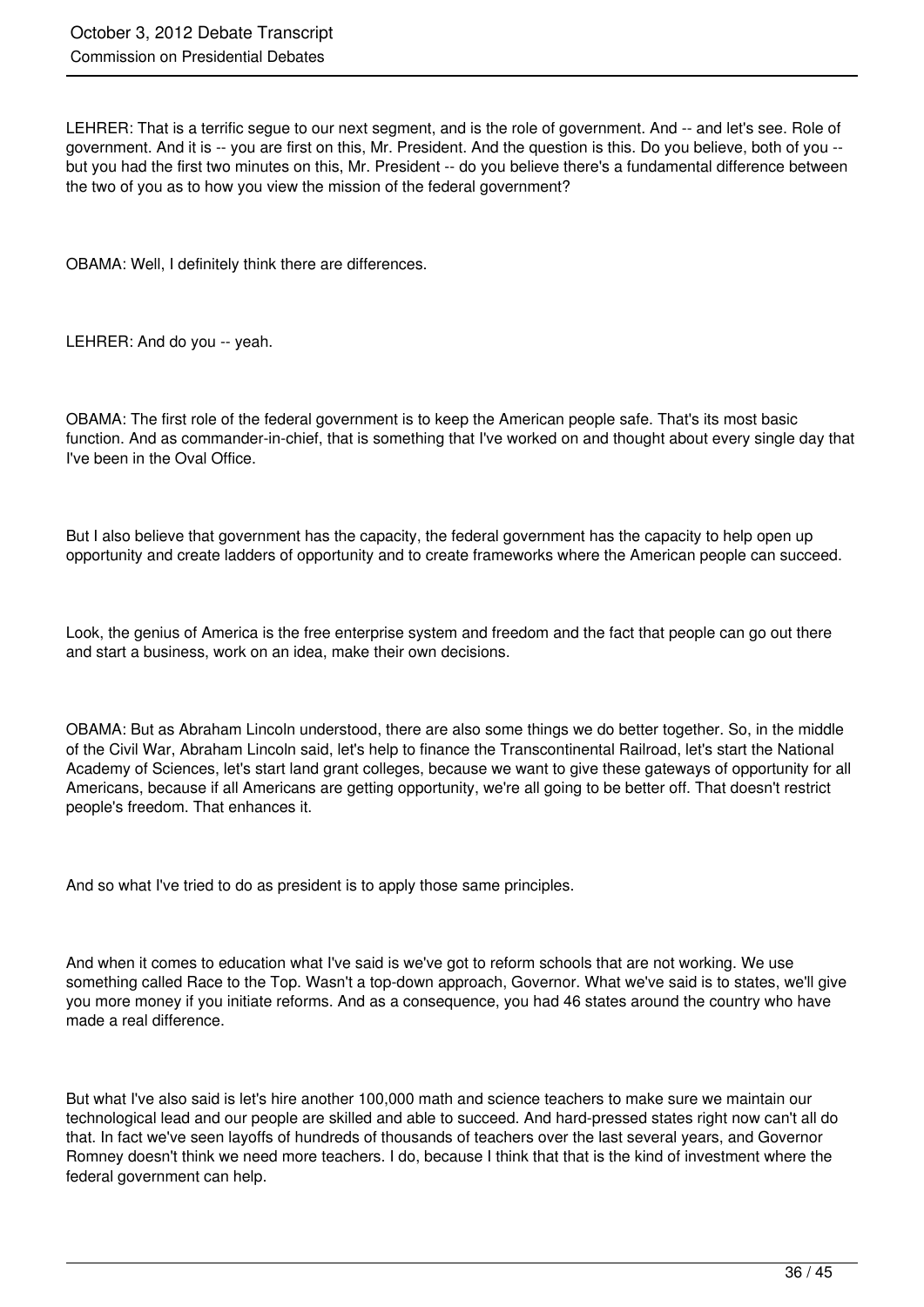LEHRER: That is a terrific segue to our next segment, and is the role of government. And -- and let's see. Role of government. And it is -- you are first on this, Mr. President. And the question is this. Do you believe, both of you - but you had the first two minutes on this, Mr. President -- do you believe there's a fundamental difference between the two of you as to how you view the mission of the federal government?

OBAMA: Well, I definitely think there are differences.

LEHRER: And do you -- yeah.

OBAMA: The first role of the federal government is to keep the American people safe. That's its most basic function. And as commander-in-chief, that is something that I've worked on and thought about every single day that I've been in the Oval Office.

But I also believe that government has the capacity, the federal government has the capacity to help open up opportunity and create ladders of opportunity and to create frameworks where the American people can succeed.

Look, the genius of America is the free enterprise system and freedom and the fact that people can go out there and start a business, work on an idea, make their own decisions.

OBAMA: But as Abraham Lincoln understood, there are also some things we do better together. So, in the middle of the Civil War, Abraham Lincoln said, let's help to finance the Transcontinental Railroad, let's start the National Academy of Sciences, let's start land grant colleges, because we want to give these gateways of opportunity for all Americans, because if all Americans are getting opportunity, we're all going to be better off. That doesn't restrict people's freedom. That enhances it.

And so what I've tried to do as president is to apply those same principles.

And when it comes to education what I've said is we've got to reform schools that are not working. We use something called Race to the Top. Wasn't a top-down approach, Governor. What we've said is to states, we'll give you more money if you initiate reforms. And as a consequence, you had 46 states around the country who have made a real difference.

But what I've also said is let's hire another 100,000 math and science teachers to make sure we maintain our technological lead and our people are skilled and able to succeed. And hard-pressed states right now can't all do that. In fact we've seen layoffs of hundreds of thousands of teachers over the last several years, and Governor Romney doesn't think we need more teachers. I do, because I think that that is the kind of investment where the federal government can help.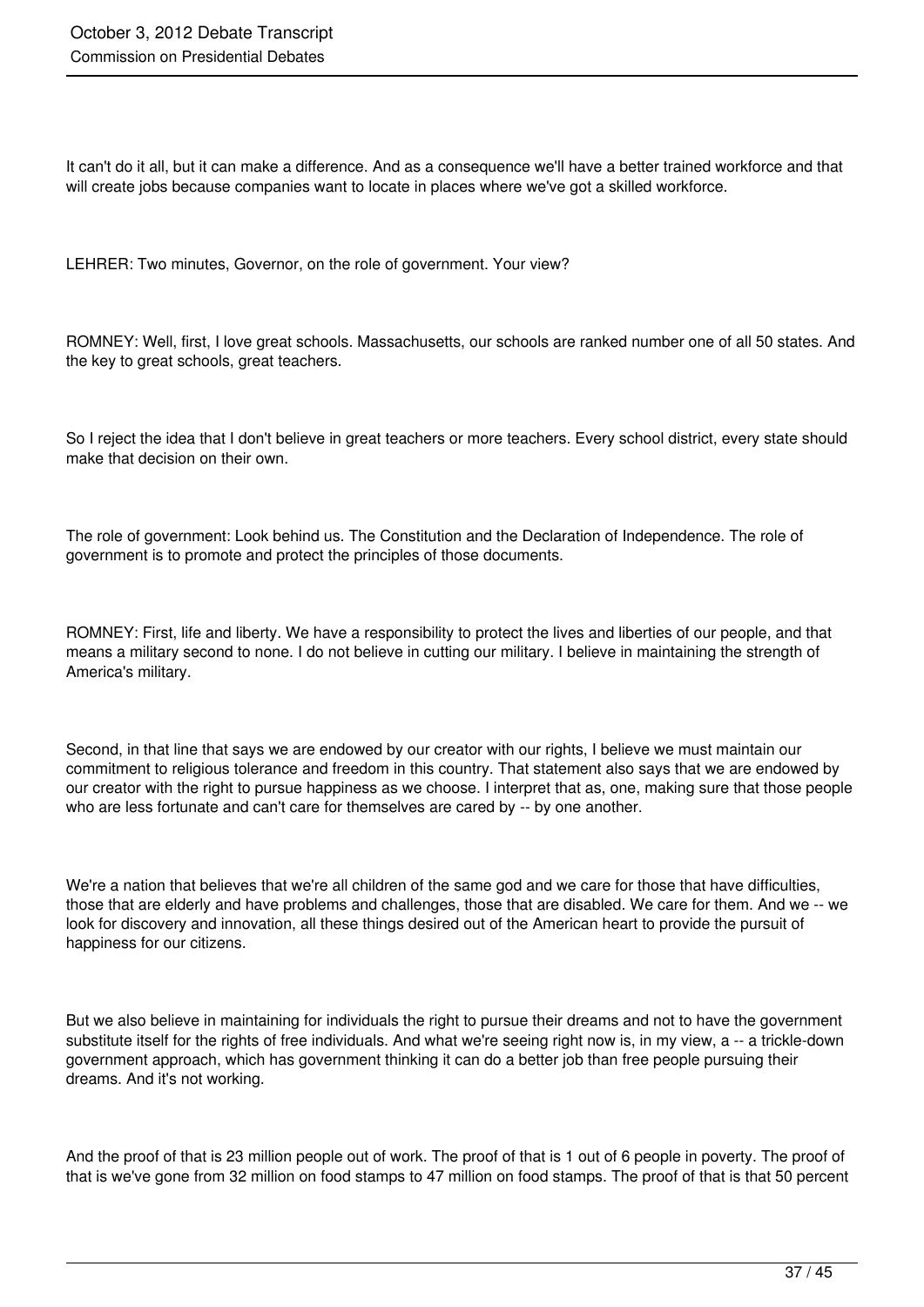It can't do it all, but it can make a difference. And as a consequence we'll have a better trained workforce and that will create jobs because companies want to locate in places where we've got a skilled workforce.

LEHRER: Two minutes, Governor, on the role of government. Your view?

ROMNEY: Well, first, I love great schools. Massachusetts, our schools are ranked number one of all 50 states. And the key to great schools, great teachers.

So I reject the idea that I don't believe in great teachers or more teachers. Every school district, every state should make that decision on their own.

The role of government: Look behind us. The Constitution and the Declaration of Independence. The role of government is to promote and protect the principles of those documents.

ROMNEY: First, life and liberty. We have a responsibility to protect the lives and liberties of our people, and that means a military second to none. I do not believe in cutting our military. I believe in maintaining the strength of America's military.

Second, in that line that says we are endowed by our creator with our rights, I believe we must maintain our commitment to religious tolerance and freedom in this country. That statement also says that we are endowed by our creator with the right to pursue happiness as we choose. I interpret that as, one, making sure that those people who are less fortunate and can't care for themselves are cared by -- by one another.

We're a nation that believes that we're all children of the same god and we care for those that have difficulties, those that are elderly and have problems and challenges, those that are disabled. We care for them. And we -- we look for discovery and innovation, all these things desired out of the American heart to provide the pursuit of happiness for our citizens.

But we also believe in maintaining for individuals the right to pursue their dreams and not to have the government substitute itself for the rights of free individuals. And what we're seeing right now is, in my view, a -- a trickle-down government approach, which has government thinking it can do a better job than free people pursuing their dreams. And it's not working.

And the proof of that is 23 million people out of work. The proof of that is 1 out of 6 people in poverty. The proof of that is we've gone from 32 million on food stamps to 47 million on food stamps. The proof of that is that 50 percent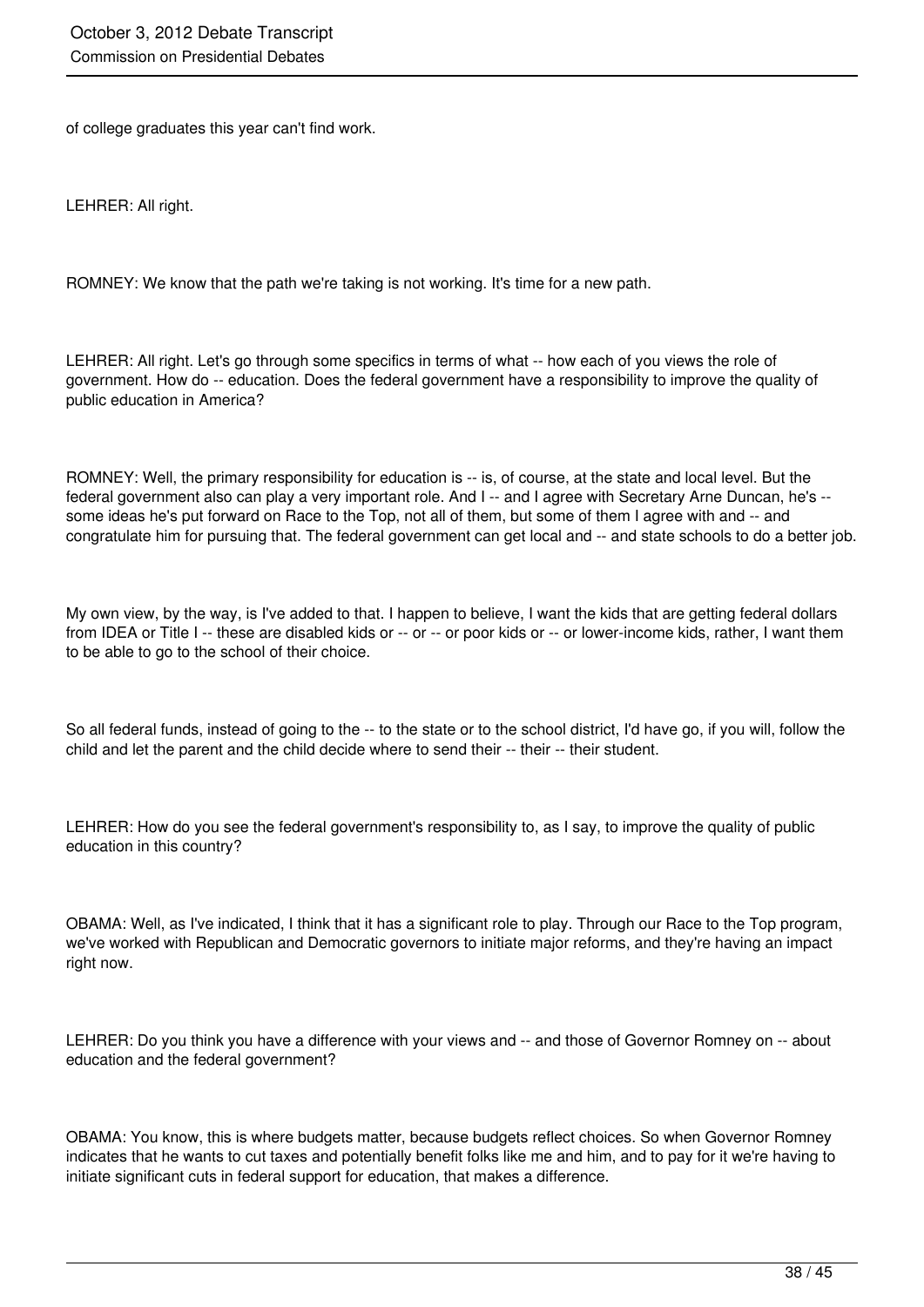of college graduates this year can't find work.

LEHRER: All right.

ROMNEY: We know that the path we're taking is not working. It's time for a new path.

LEHRER: All right. Let's go through some specifics in terms of what -- how each of you views the role of government. How do -- education. Does the federal government have a responsibility to improve the quality of public education in America?

ROMNEY: Well, the primary responsibility for education is -- is, of course, at the state and local level. But the federal government also can play a very important role. And I -- and I agree with Secretary Arne Duncan, he's -some ideas he's put forward on Race to the Top, not all of them, but some of them I agree with and -- and congratulate him for pursuing that. The federal government can get local and -- and state schools to do a better job.

My own view, by the way, is I've added to that. I happen to believe, I want the kids that are getting federal dollars from IDEA or Title I -- these are disabled kids or -- or -- or poor kids or -- or lower-income kids, rather, I want them to be able to go to the school of their choice.

So all federal funds, instead of going to the -- to the state or to the school district, I'd have go, if you will, follow the child and let the parent and the child decide where to send their -- their -- their student.

LEHRER: How do you see the federal government's responsibility to, as I say, to improve the quality of public education in this country?

OBAMA: Well, as I've indicated, I think that it has a significant role to play. Through our Race to the Top program, we've worked with Republican and Democratic governors to initiate major reforms, and they're having an impact right now.

LEHRER: Do you think you have a difference with your views and -- and those of Governor Romney on -- about education and the federal government?

OBAMA: You know, this is where budgets matter, because budgets reflect choices. So when Governor Romney indicates that he wants to cut taxes and potentially benefit folks like me and him, and to pay for it we're having to initiate significant cuts in federal support for education, that makes a difference.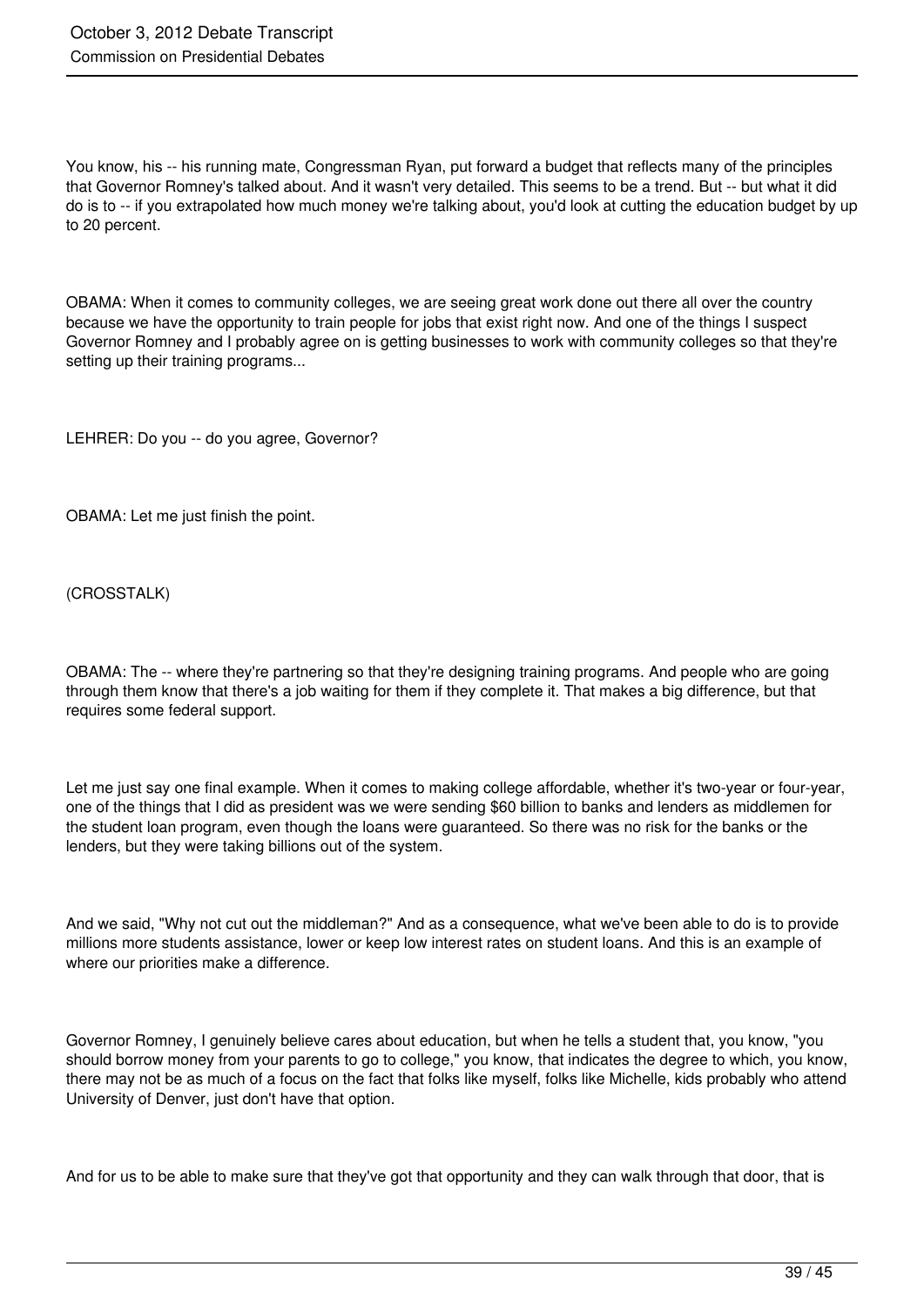You know, his -- his running mate, Congressman Ryan, put forward a budget that reflects many of the principles that Governor Romney's talked about. And it wasn't very detailed. This seems to be a trend. But -- but what it did do is to -- if you extrapolated how much money we're talking about, you'd look at cutting the education budget by up to 20 percent.

OBAMA: When it comes to community colleges, we are seeing great work done out there all over the country because we have the opportunity to train people for jobs that exist right now. And one of the things I suspect Governor Romney and I probably agree on is getting businesses to work with community colleges so that they're setting up their training programs...

LEHRER: Do you -- do you agree, Governor?

OBAMA: Let me just finish the point.

(CROSSTALK)

OBAMA: The -- where they're partnering so that they're designing training programs. And people who are going through them know that there's a job waiting for them if they complete it. That makes a big difference, but that requires some federal support.

Let me just say one final example. When it comes to making college affordable, whether it's two-year or four-year, one of the things that I did as president was we were sending \$60 billion to banks and lenders as middlemen for the student loan program, even though the loans were guaranteed. So there was no risk for the banks or the lenders, but they were taking billions out of the system.

And we said, "Why not cut out the middleman?" And as a consequence, what we've been able to do is to provide millions more students assistance, lower or keep low interest rates on student loans. And this is an example of where our priorities make a difference.

Governor Romney, I genuinely believe cares about education, but when he tells a student that, you know, "you should borrow money from your parents to go to college," you know, that indicates the degree to which, you know, there may not be as much of a focus on the fact that folks like myself, folks like Michelle, kids probably who attend University of Denver, just don't have that option.

And for us to be able to make sure that they've got that opportunity and they can walk through that door, that is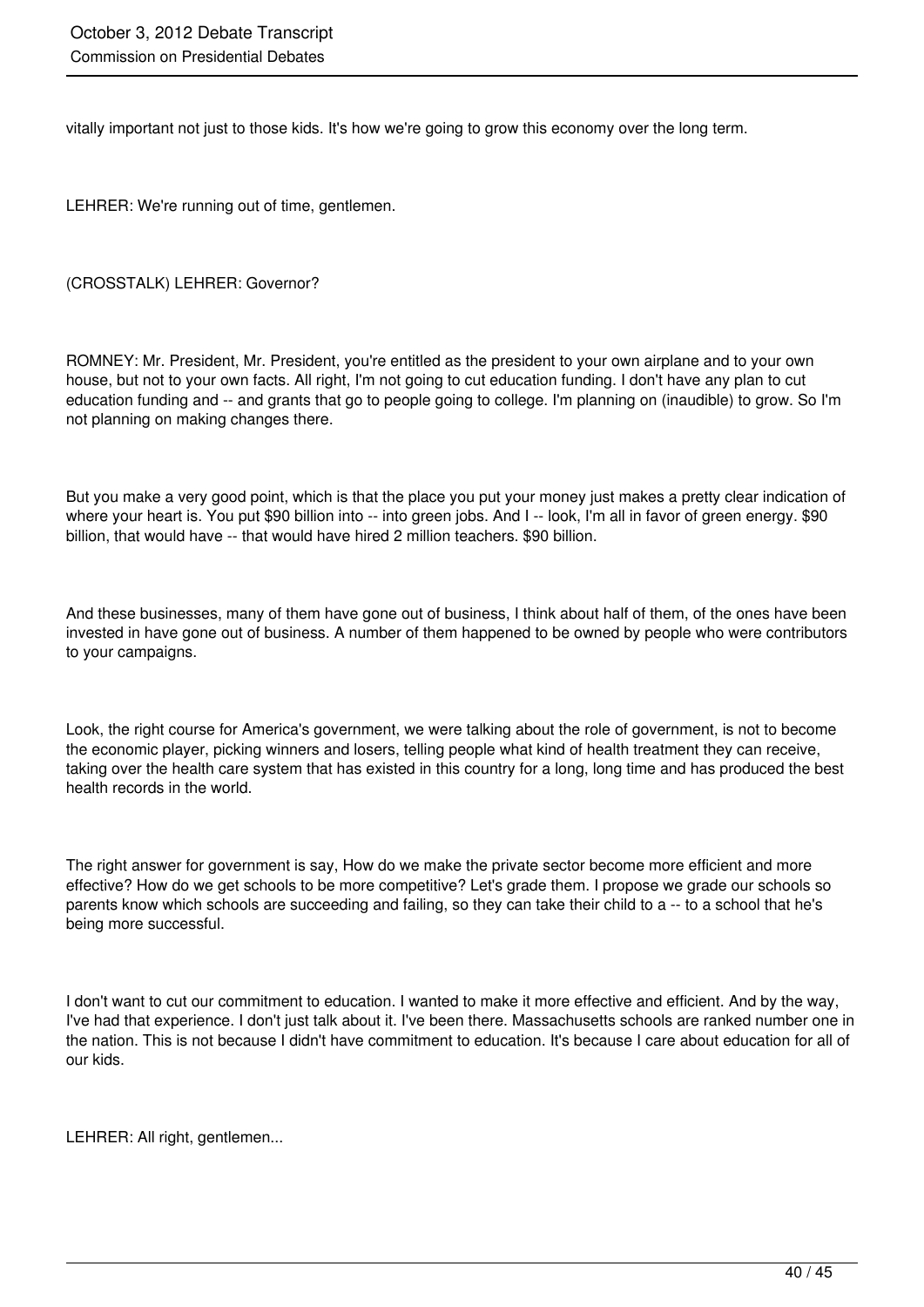vitally important not just to those kids. It's how we're going to grow this economy over the long term.

LEHRER: We're running out of time, gentlemen.

### (CROSSTALK) LEHRER: Governor?

ROMNEY: Mr. President, Mr. President, you're entitled as the president to your own airplane and to your own house, but not to your own facts. All right, I'm not going to cut education funding. I don't have any plan to cut education funding and -- and grants that go to people going to college. I'm planning on (inaudible) to grow. So I'm not planning on making changes there.

But you make a very good point, which is that the place you put your money just makes a pretty clear indication of where your heart is. You put \$90 billion into -- into green jobs. And I -- look, I'm all in favor of green energy. \$90 billion, that would have -- that would have hired 2 million teachers. \$90 billion.

And these businesses, many of them have gone out of business, I think about half of them, of the ones have been invested in have gone out of business. A number of them happened to be owned by people who were contributors to your campaigns.

Look, the right course for America's government, we were talking about the role of government, is not to become the economic player, picking winners and losers, telling people what kind of health treatment they can receive, taking over the health care system that has existed in this country for a long, long time and has produced the best health records in the world.

The right answer for government is say, How do we make the private sector become more efficient and more effective? How do we get schools to be more competitive? Let's grade them. I propose we grade our schools so parents know which schools are succeeding and failing, so they can take their child to a -- to a school that he's being more successful.

I don't want to cut our commitment to education. I wanted to make it more effective and efficient. And by the way, I've had that experience. I don't just talk about it. I've been there. Massachusetts schools are ranked number one in the nation. This is not because I didn't have commitment to education. It's because I care about education for all of our kids.

LEHRER: All right, gentlemen...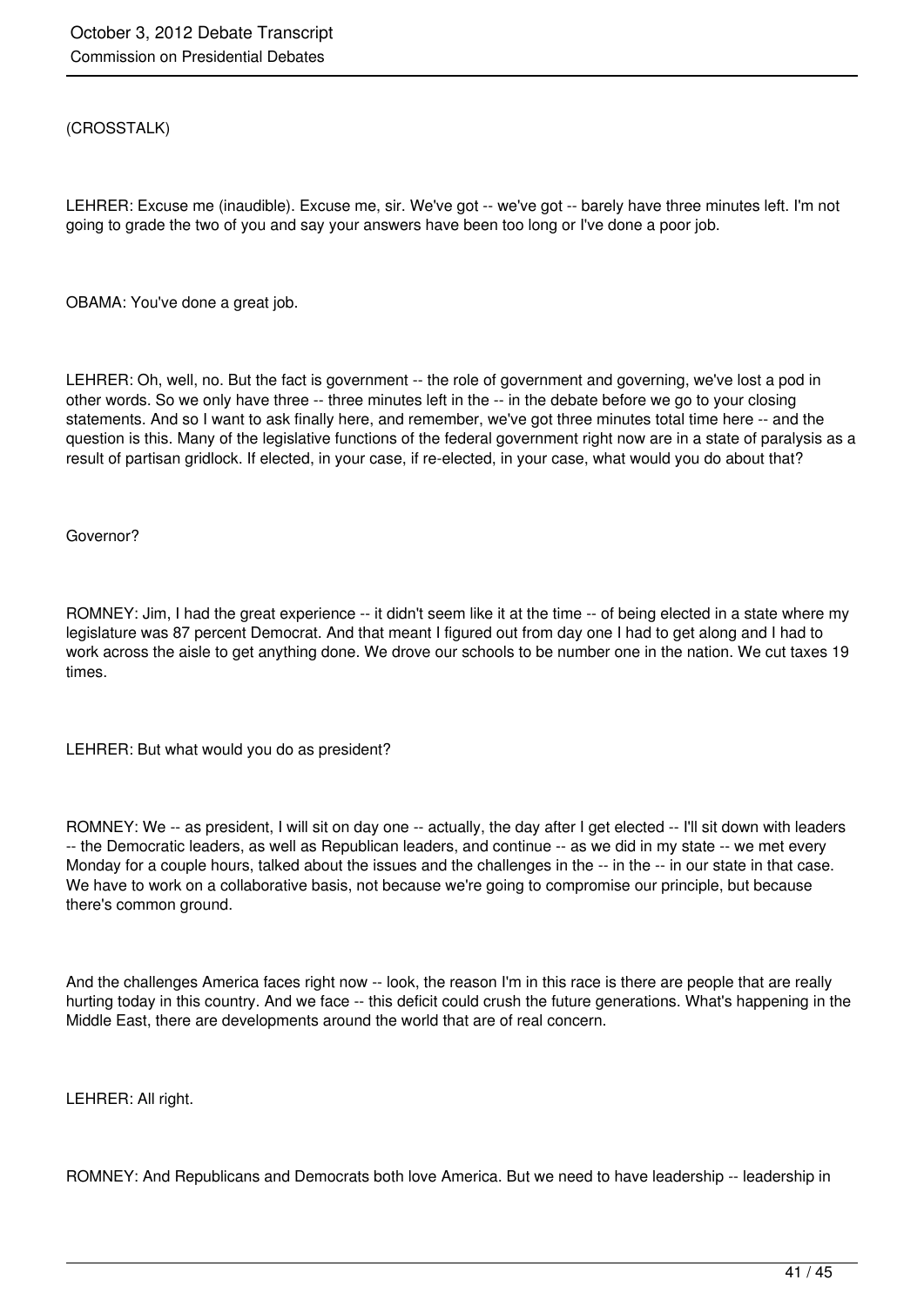## (CROSSTALK)

LEHRER: Excuse me (inaudible). Excuse me, sir. We've got -- we've got -- barely have three minutes left. I'm not going to grade the two of you and say your answers have been too long or I've done a poor job.

OBAMA: You've done a great job.

LEHRER: Oh, well, no. But the fact is government -- the role of government and governing, we've lost a pod in other words. So we only have three -- three minutes left in the -- in the debate before we go to your closing statements. And so I want to ask finally here, and remember, we've got three minutes total time here -- and the question is this. Many of the legislative functions of the federal government right now are in a state of paralysis as a result of partisan gridlock. If elected, in your case, if re-elected, in your case, what would you do about that?

#### Governor?

ROMNEY: Jim, I had the great experience -- it didn't seem like it at the time -- of being elected in a state where my legislature was 87 percent Democrat. And that meant I figured out from day one I had to get along and I had to work across the aisle to get anything done. We drove our schools to be number one in the nation. We cut taxes 19 times.

LEHRER: But what would you do as president?

ROMNEY: We -- as president, I will sit on day one -- actually, the day after I get elected -- I'll sit down with leaders -- the Democratic leaders, as well as Republican leaders, and continue -- as we did in my state -- we met every Monday for a couple hours, talked about the issues and the challenges in the -- in the -- in our state in that case. We have to work on a collaborative basis, not because we're going to compromise our principle, but because there's common ground.

And the challenges America faces right now -- look, the reason I'm in this race is there are people that are really hurting today in this country. And we face -- this deficit could crush the future generations. What's happening in the Middle East, there are developments around the world that are of real concern.

LEHRER: All right.

ROMNEY: And Republicans and Democrats both love America. But we need to have leadership -- leadership in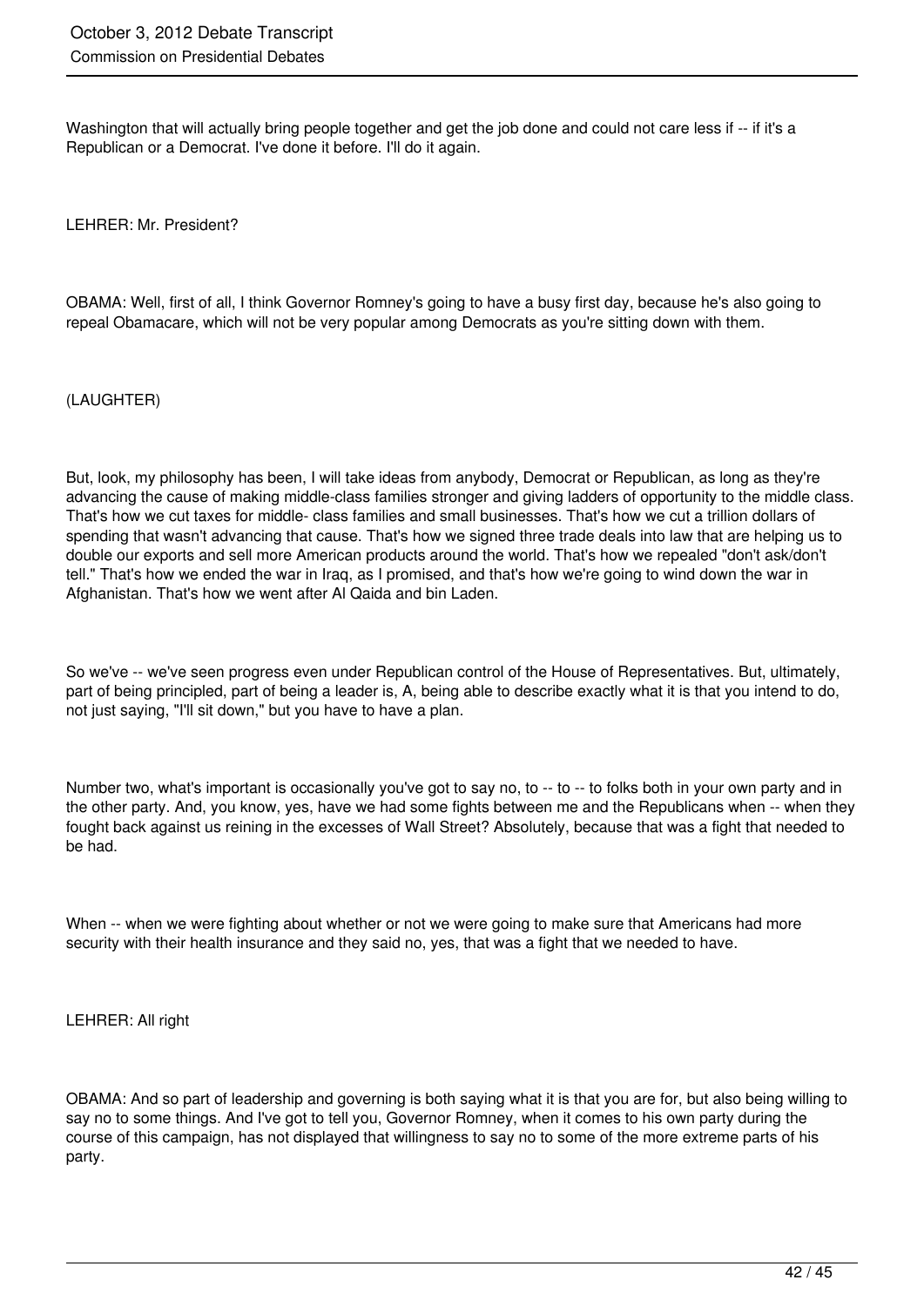Washington that will actually bring people together and get the job done and could not care less if -- if it's a Republican or a Democrat. I've done it before. I'll do it again.

LEHRER: Mr. President?

OBAMA: Well, first of all, I think Governor Romney's going to have a busy first day, because he's also going to repeal Obamacare, which will not be very popular among Democrats as you're sitting down with them.

(LAUGHTER)

But, look, my philosophy has been, I will take ideas from anybody, Democrat or Republican, as long as they're advancing the cause of making middle-class families stronger and giving ladders of opportunity to the middle class. That's how we cut taxes for middle- class families and small businesses. That's how we cut a trillion dollars of spending that wasn't advancing that cause. That's how we signed three trade deals into law that are helping us to double our exports and sell more American products around the world. That's how we repealed "don't ask/don't tell." That's how we ended the war in Iraq, as I promised, and that's how we're going to wind down the war in Afghanistan. That's how we went after Al Qaida and bin Laden.

So we've -- we've seen progress even under Republican control of the House of Representatives. But, ultimately, part of being principled, part of being a leader is, A, being able to describe exactly what it is that you intend to do, not just saying, "I'll sit down," but you have to have a plan.

Number two, what's important is occasionally you've got to say no, to -- to -- to folks both in your own party and in the other party. And, you know, yes, have we had some fights between me and the Republicans when -- when they fought back against us reining in the excesses of Wall Street? Absolutely, because that was a fight that needed to be had.

When -- when we were fighting about whether or not we were going to make sure that Americans had more security with their health insurance and they said no, yes, that was a fight that we needed to have.

LEHRER: All right

OBAMA: And so part of leadership and governing is both saying what it is that you are for, but also being willing to say no to some things. And I've got to tell you, Governor Romney, when it comes to his own party during the course of this campaign, has not displayed that willingness to say no to some of the more extreme parts of his party.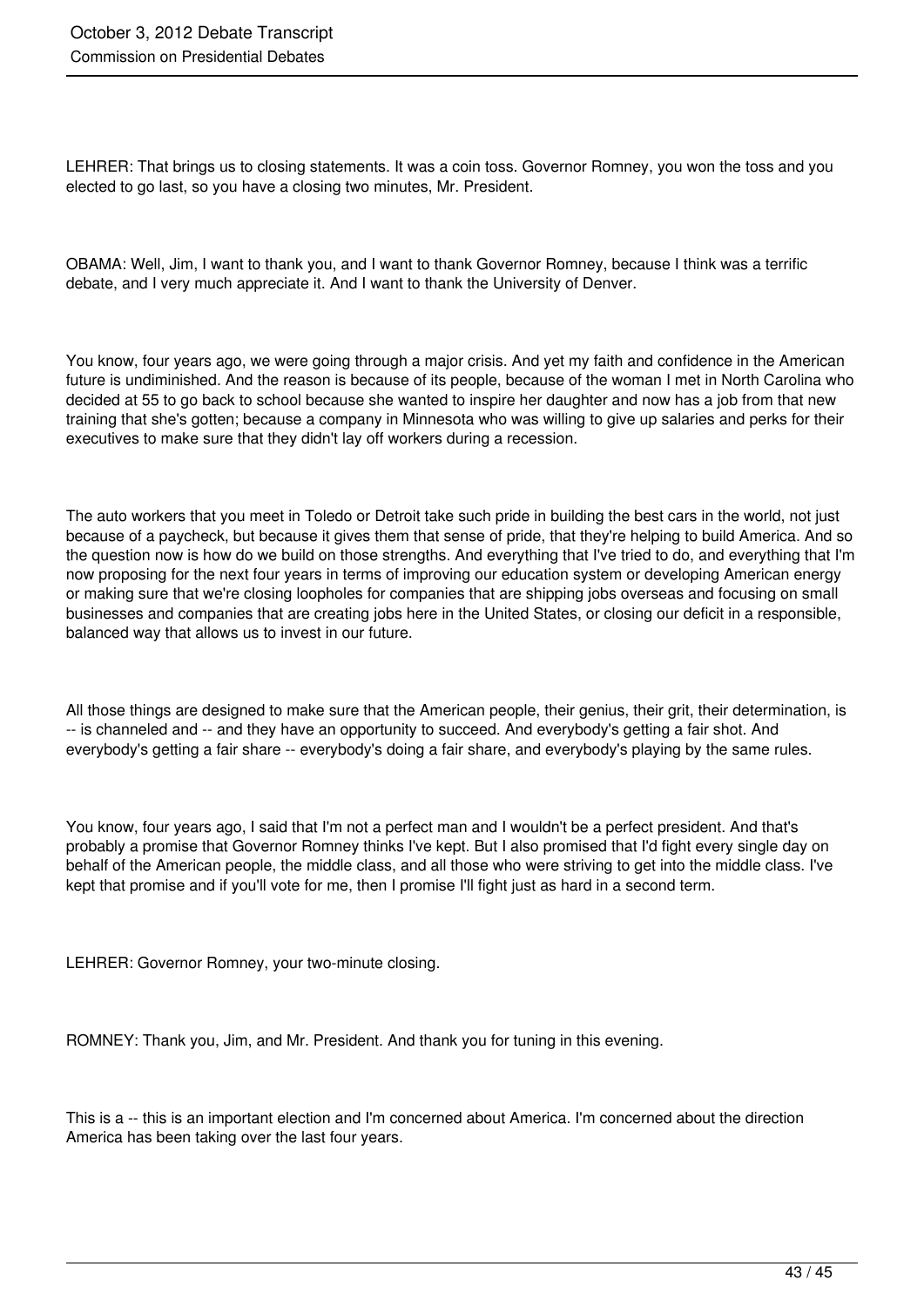LEHRER: That brings us to closing statements. It was a coin toss. Governor Romney, you won the toss and you elected to go last, so you have a closing two minutes, Mr. President.

OBAMA: Well, Jim, I want to thank you, and I want to thank Governor Romney, because I think was a terrific debate, and I very much appreciate it. And I want to thank the University of Denver.

You know, four years ago, we were going through a major crisis. And yet my faith and confidence in the American future is undiminished. And the reason is because of its people, because of the woman I met in North Carolina who decided at 55 to go back to school because she wanted to inspire her daughter and now has a job from that new training that she's gotten; because a company in Minnesota who was willing to give up salaries and perks for their executives to make sure that they didn't lay off workers during a recession.

The auto workers that you meet in Toledo or Detroit take such pride in building the best cars in the world, not just because of a paycheck, but because it gives them that sense of pride, that they're helping to build America. And so the question now is how do we build on those strengths. And everything that I've tried to do, and everything that I'm now proposing for the next four years in terms of improving our education system or developing American energy or making sure that we're closing loopholes for companies that are shipping jobs overseas and focusing on small businesses and companies that are creating jobs here in the United States, or closing our deficit in a responsible, balanced way that allows us to invest in our future.

All those things are designed to make sure that the American people, their genius, their grit, their determination, is -- is channeled and -- and they have an opportunity to succeed. And everybody's getting a fair shot. And everybody's getting a fair share -- everybody's doing a fair share, and everybody's playing by the same rules.

You know, four years ago, I said that I'm not a perfect man and I wouldn't be a perfect president. And that's probably a promise that Governor Romney thinks I've kept. But I also promised that I'd fight every single day on behalf of the American people, the middle class, and all those who were striving to get into the middle class. I've kept that promise and if you'll vote for me, then I promise I'll fight just as hard in a second term.

LEHRER: Governor Romney, your two-minute closing.

ROMNEY: Thank you, Jim, and Mr. President. And thank you for tuning in this evening.

This is a -- this is an important election and I'm concerned about America. I'm concerned about the direction America has been taking over the last four years.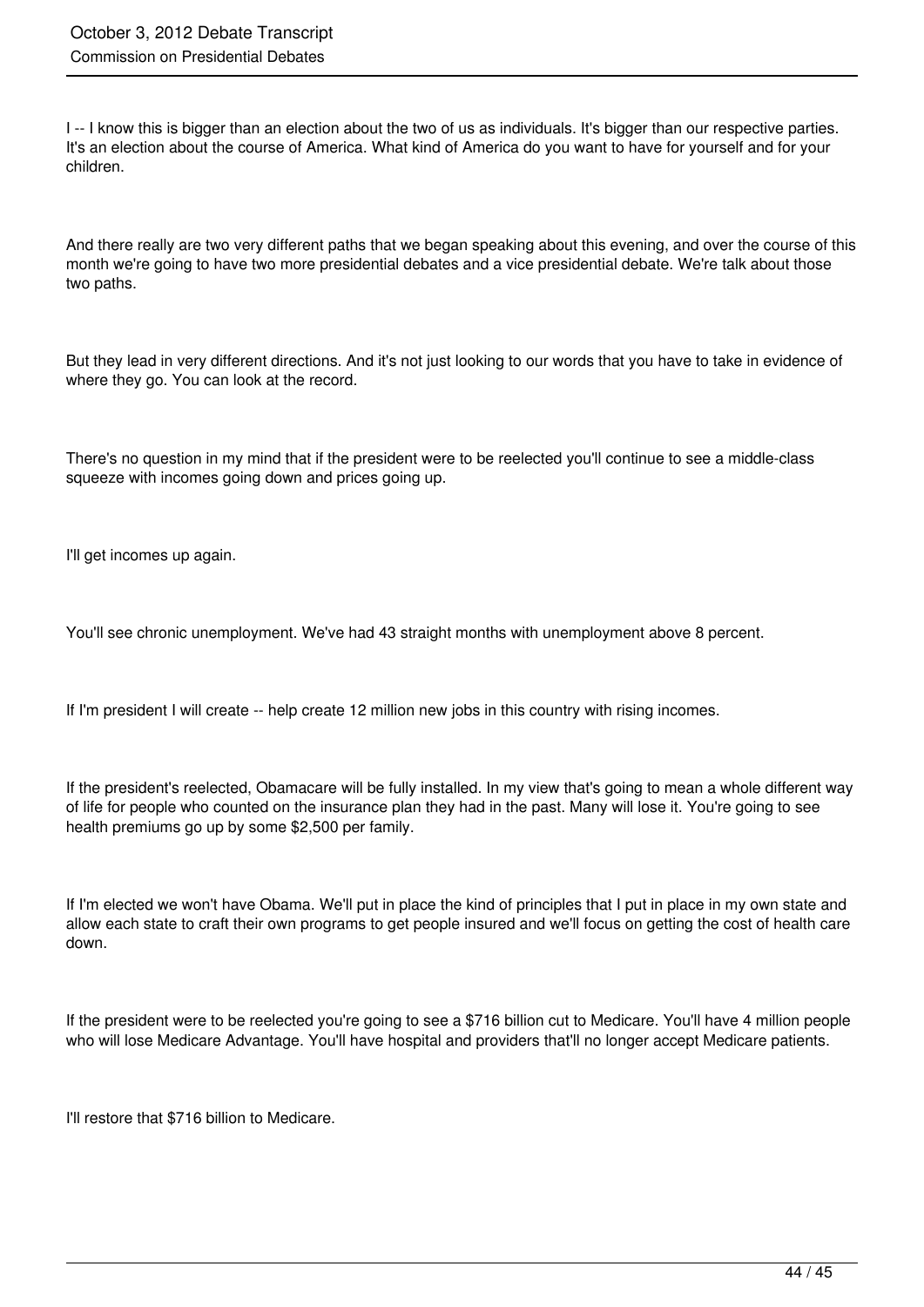I -- I know this is bigger than an election about the two of us as individuals. It's bigger than our respective parties. It's an election about the course of America. What kind of America do you want to have for yourself and for your children.

And there really are two very different paths that we began speaking about this evening, and over the course of this month we're going to have two more presidential debates and a vice presidential debate. We're talk about those two paths.

But they lead in very different directions. And it's not just looking to our words that you have to take in evidence of where they go. You can look at the record.

There's no question in my mind that if the president were to be reelected you'll continue to see a middle-class squeeze with incomes going down and prices going up.

I'll get incomes up again.

You'll see chronic unemployment. We've had 43 straight months with unemployment above 8 percent.

If I'm president I will create -- help create 12 million new jobs in this country with rising incomes.

If the president's reelected, Obamacare will be fully installed. In my view that's going to mean a whole different way of life for people who counted on the insurance plan they had in the past. Many will lose it. You're going to see health premiums go up by some \$2,500 per family.

If I'm elected we won't have Obama. We'll put in place the kind of principles that I put in place in my own state and allow each state to craft their own programs to get people insured and we'll focus on getting the cost of health care down.

If the president were to be reelected you're going to see a \$716 billion cut to Medicare. You'll have 4 million people who will lose Medicare Advantage. You'll have hospital and providers that'll no longer accept Medicare patients.

I'll restore that \$716 billion to Medicare.